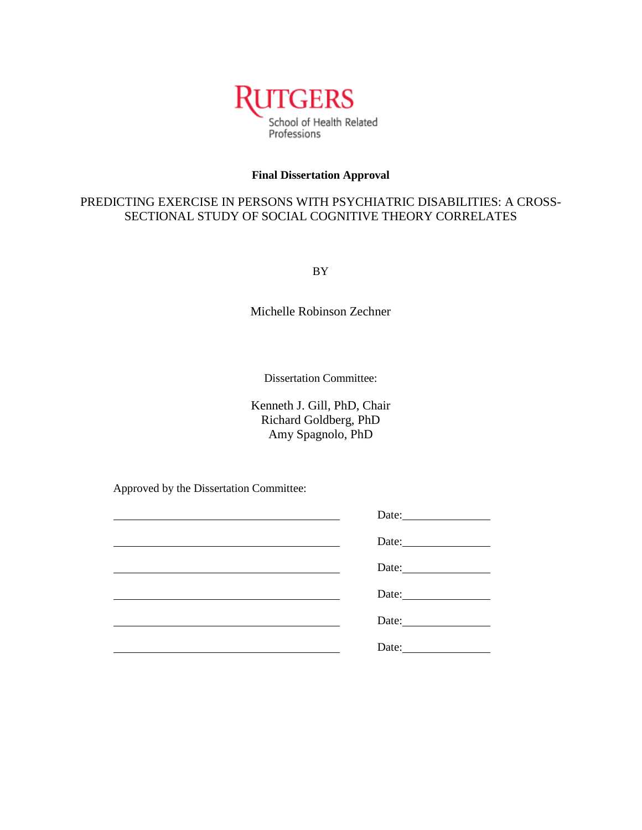

# **Final Dissertation Approval**

# PREDICTING EXERCISE IN PERSONS WITH PSYCHIATRIC DISABILITIES: A CROSS-SECTIONAL STUDY OF SOCIAL COGNITIVE THEORY CORRELATES

BY

Michelle Robinson Zechner

Dissertation Committee:

Kenneth J. Gill, PhD, Chair Richard Goldberg, PhD Amy Spagnolo, PhD

Approved by the Dissertation Committee:

| Date:              |
|--------------------|
|                    |
| Date: <u>Date:</u> |
|                    |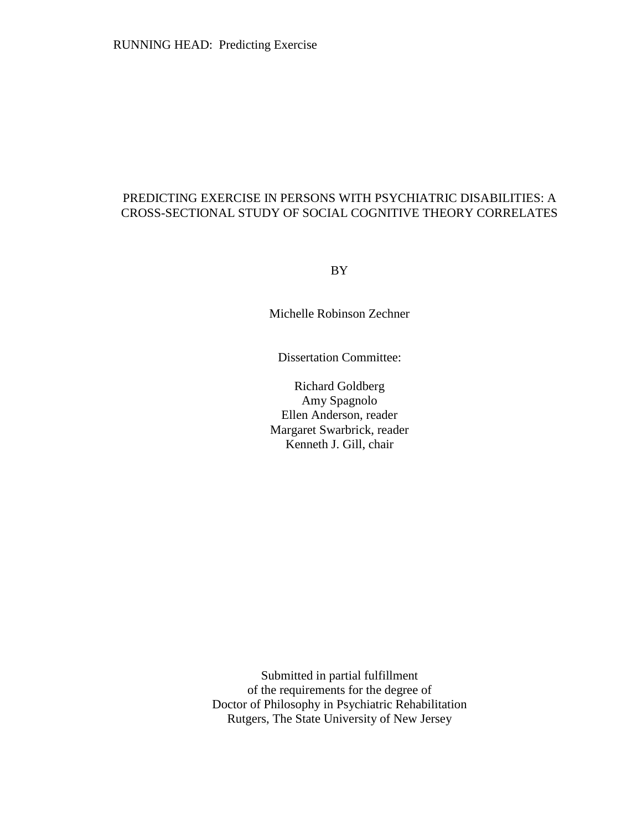# PREDICTING EXERCISE IN PERSONS WITH PSYCHIATRIC DISABILITIES: A CROSS-SECTIONAL STUDY OF SOCIAL COGNITIVE THEORY CORRELATES

BY

Michelle Robinson Zechner

Dissertation Committee:

Richard Goldberg Amy Spagnolo Ellen Anderson, reader Margaret Swarbrick, reader Kenneth J. Gill, chair

Submitted in partial fulfillment of the requirements for the degree of Doctor of Philosophy in Psychiatric Rehabilitation Rutgers, The State University of New Jersey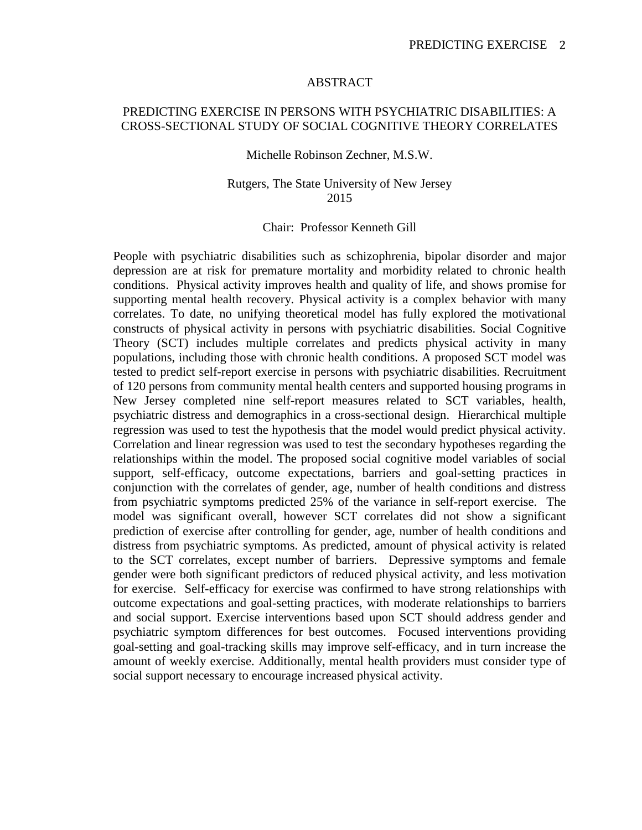# ABSTRACT

# PREDICTING EXERCISE IN PERSONS WITH PSYCHIATRIC DISABILITIES: A CROSS-SECTIONAL STUDY OF SOCIAL COGNITIVE THEORY CORRELATES

## Michelle Robinson Zechner, M.S.W.

# Rutgers, The State University of New Jersey 2015

# Chair: Professor Kenneth Gill

People with psychiatric disabilities such as schizophrenia, bipolar disorder and major depression are at risk for premature mortality and morbidity related to chronic health conditions. Physical activity improves health and quality of life, and shows promise for supporting mental health recovery. Physical activity is a complex behavior with many correlates. To date, no unifying theoretical model has fully explored the motivational constructs of physical activity in persons with psychiatric disabilities. Social Cognitive Theory (SCT) includes multiple correlates and predicts physical activity in many populations, including those with chronic health conditions. A proposed SCT model was tested to predict self-report exercise in persons with psychiatric disabilities. Recruitment of 120 persons from community mental health centers and supported housing programs in New Jersey completed nine self-report measures related to SCT variables, health, psychiatric distress and demographics in a cross-sectional design. Hierarchical multiple regression was used to test the hypothesis that the model would predict physical activity. Correlation and linear regression was used to test the secondary hypotheses regarding the relationships within the model. The proposed social cognitive model variables of social support, self-efficacy, outcome expectations, barriers and goal-setting practices in conjunction with the correlates of gender, age, number of health conditions and distress from psychiatric symptoms predicted 25% of the variance in self-report exercise. The model was significant overall, however SCT correlates did not show a significant prediction of exercise after controlling for gender, age, number of health conditions and distress from psychiatric symptoms. As predicted, amount of physical activity is related to the SCT correlates, except number of barriers. Depressive symptoms and female gender were both significant predictors of reduced physical activity, and less motivation for exercise. Self-efficacy for exercise was confirmed to have strong relationships with outcome expectations and goal-setting practices, with moderate relationships to barriers and social support. Exercise interventions based upon SCT should address gender and psychiatric symptom differences for best outcomes. Focused interventions providing goal-setting and goal-tracking skills may improve self-efficacy, and in turn increase the amount of weekly exercise. Additionally, mental health providers must consider type of social support necessary to encourage increased physical activity.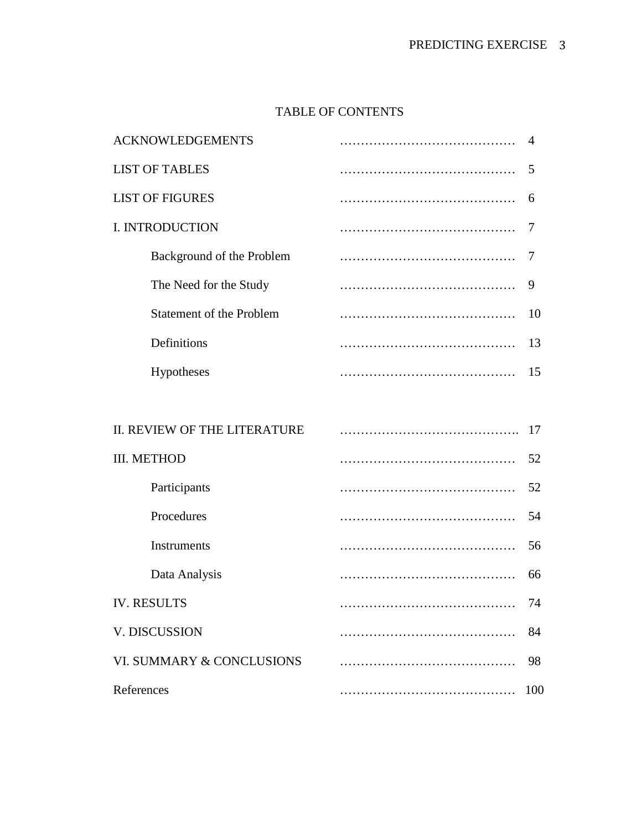# TABLE OF CONTENTS

| <b>ACKNOWLEDGEMENTS</b>      | 4   |
|------------------------------|-----|
| <b>LIST OF TABLES</b>        | 5   |
| <b>LIST OF FIGURES</b>       | 6   |
| I. INTRODUCTION              | 7   |
| Background of the Problem    | 7   |
| The Need for the Study       | 9   |
| Statement of the Problem     | 10  |
| Definitions                  | 13  |
| Hypotheses                   | 15  |
|                              |     |
| II. REVIEW OF THE LITERATURE | 17  |
| <b>III. METHOD</b>           | 52  |
| Participants                 | 52  |
| Procedures                   | 54  |
| Instruments                  | 56  |
| Data Analysis                | 66  |
| <b>IV. RESULTS</b>           | 74  |
| V. DISCUSSION                | 84  |
| VI. SUMMARY & CONCLUSIONS    | 98  |
| References                   | 100 |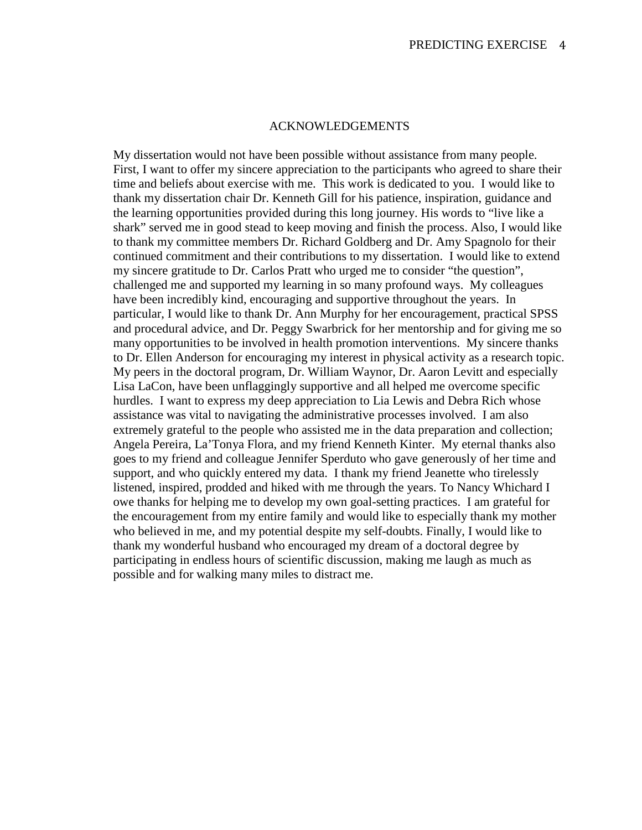# ACKNOWLEDGEMENTS

My dissertation would not have been possible without assistance from many people. First, I want to offer my sincere appreciation to the participants who agreed to share their time and beliefs about exercise with me. This work is dedicated to you. I would like to thank my dissertation chair Dr. Kenneth Gill for his patience, inspiration, guidance and the learning opportunities provided during this long journey. His words to "live like a shark" served me in good stead to keep moving and finish the process. Also, I would like to thank my committee members Dr. Richard Goldberg and Dr. Amy Spagnolo for their continued commitment and their contributions to my dissertation. I would like to extend my sincere gratitude to Dr. Carlos Pratt who urged me to consider "the question", challenged me and supported my learning in so many profound ways. My colleagues have been incredibly kind, encouraging and supportive throughout the years. In particular, I would like to thank Dr. Ann Murphy for her encouragement, practical SPSS and procedural advice, and Dr. Peggy Swarbrick for her mentorship and for giving me so many opportunities to be involved in health promotion interventions. My sincere thanks to Dr. Ellen Anderson for encouraging my interest in physical activity as a research topic. My peers in the doctoral program, Dr. William Waynor, Dr. Aaron Levitt and especially Lisa LaCon, have been unflaggingly supportive and all helped me overcome specific hurdles. I want to express my deep appreciation to Lia Lewis and Debra Rich whose assistance was vital to navigating the administrative processes involved. I am also extremely grateful to the people who assisted me in the data preparation and collection; Angela Pereira, La'Tonya Flora, and my friend Kenneth Kinter. My eternal thanks also goes to my friend and colleague Jennifer Sperduto who gave generously of her time and support, and who quickly entered my data. I thank my friend Jeanette who tirelessly listened, inspired, prodded and hiked with me through the years. To Nancy Whichard I owe thanks for helping me to develop my own goal-setting practices. I am grateful for the encouragement from my entire family and would like to especially thank my mother who believed in me, and my potential despite my self-doubts. Finally, I would like to thank my wonderful husband who encouraged my dream of a doctoral degree by participating in endless hours of scientific discussion, making me laugh as much as possible and for walking many miles to distract me.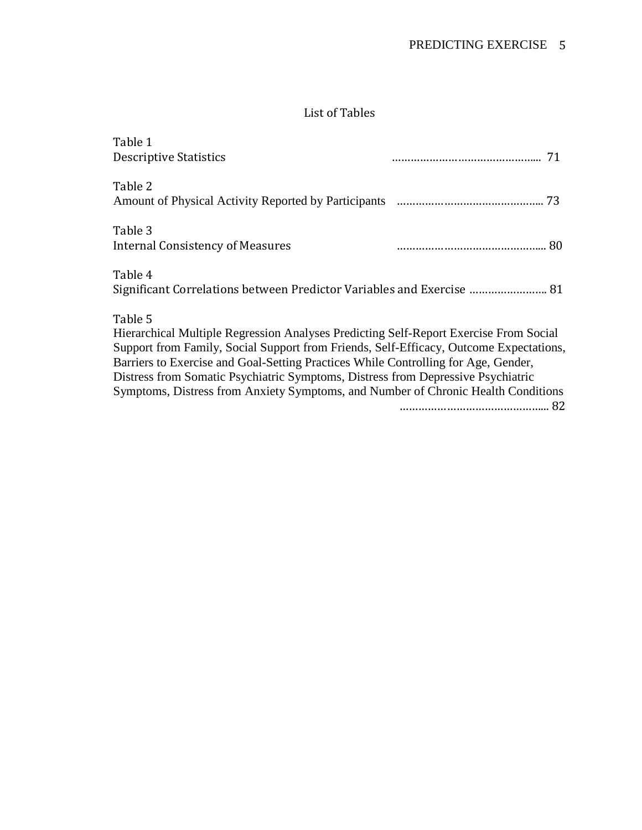# List of Tables

| Table 1<br><b>Descriptive Statistics</b>                                                                                                                                                                                                                                                                                                                                                                                                                  | 71 |  |
|-----------------------------------------------------------------------------------------------------------------------------------------------------------------------------------------------------------------------------------------------------------------------------------------------------------------------------------------------------------------------------------------------------------------------------------------------------------|----|--|
| Table 2                                                                                                                                                                                                                                                                                                                                                                                                                                                   |    |  |
| Table 3<br>Internal Consistency of Measures                                                                                                                                                                                                                                                                                                                                                                                                               |    |  |
| Table 4<br>Significant Correlations between Predictor Variables and Exercise  81                                                                                                                                                                                                                                                                                                                                                                          |    |  |
| Table 5<br>Hierarchical Multiple Regression Analyses Predicting Self-Report Exercise From Social<br>Support from Family, Social Support from Friends, Self-Efficacy, Outcome Expectations,<br>Barriers to Exercise and Goal-Setting Practices While Controlling for Age, Gender,<br>Distress from Somatic Psychiatric Symptoms, Distress from Depressive Psychiatric<br>Symptoms, Distress from Anxiety Symptoms, and Number of Chronic Health Conditions |    |  |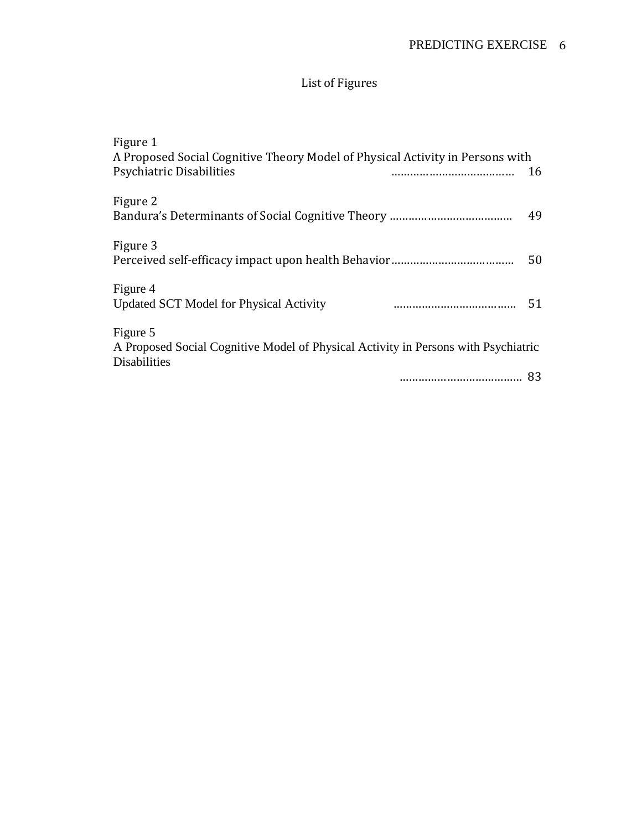# List of Figures

| Figure 1                                                                                                  |        |
|-----------------------------------------------------------------------------------------------------------|--------|
| A Proposed Social Cognitive Theory Model of Physical Activity in Persons with                             |        |
| Psychiatric Disabilities                                                                                  | <br>16 |
| Figure 2                                                                                                  | 49     |
| Figure 3                                                                                                  | 50     |
| Figure 4                                                                                                  |        |
| <b>Updated SCT Model for Physical Activity</b>                                                            | 51     |
| Figure 5                                                                                                  |        |
| A Proposed Social Cognitive Model of Physical Activity in Persons with Psychiatric<br><b>Disabilities</b> |        |
|                                                                                                           | <br>83 |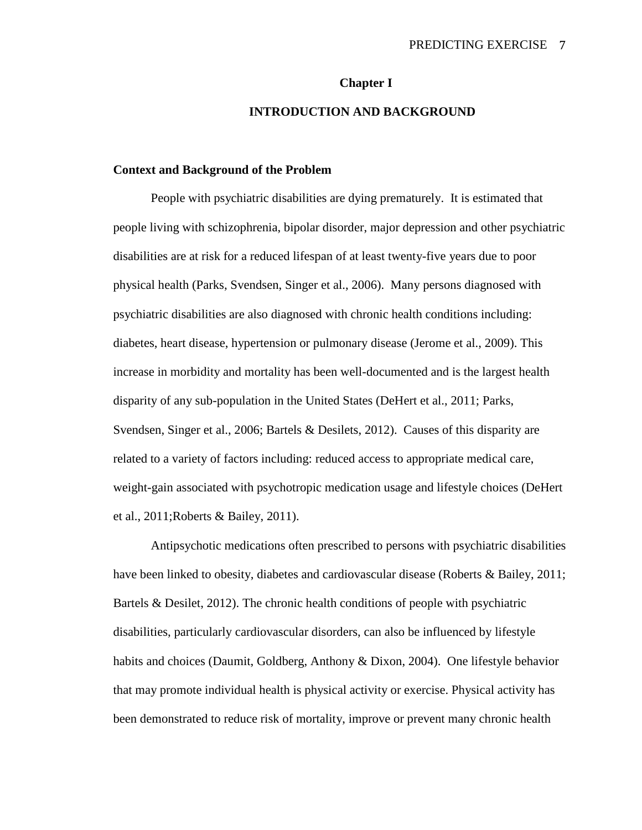#### **Chapter I**

# **INTRODUCTION AND BACKGROUND**

#### **Context and Background of the Problem**

People with psychiatric disabilities are dying prematurely. It is estimated that people living with schizophrenia, bipolar disorder, major depression and other psychiatric disabilities are at risk for a reduced lifespan of at least twenty-five years due to poor physical health (Parks, Svendsen, Singer et al., 2006). Many persons diagnosed with psychiatric disabilities are also diagnosed with chronic health conditions including: diabetes, heart disease, hypertension or pulmonary disease (Jerome et al., 2009). This increase in morbidity and mortality has been well-documented and is the largest health disparity of any sub-population in the United States (DeHert et al., 2011; Parks, Svendsen, Singer et al., 2006; Bartels & Desilets, 2012). Causes of this disparity are related to a variety of factors including: reduced access to appropriate medical care, weight-gain associated with psychotropic medication usage and lifestyle choices (DeHert et al., 2011;Roberts & Bailey, 2011).

Antipsychotic medications often prescribed to persons with psychiatric disabilities have been linked to obesity, diabetes and cardiovascular disease (Roberts & Bailey, 2011; Bartels & Desilet, 2012). The chronic health conditions of people with psychiatric disabilities, particularly cardiovascular disorders, can also be influenced by lifestyle habits and choices (Daumit, Goldberg, Anthony & Dixon, 2004). One lifestyle behavior that may promote individual health is physical activity or exercise. Physical activity has been demonstrated to reduce risk of mortality, improve or prevent many chronic health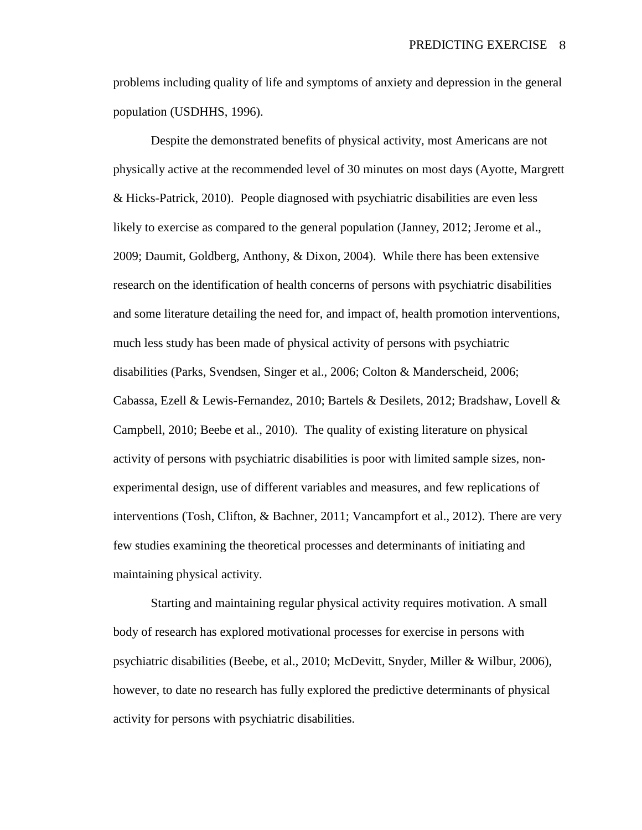problems including quality of life and symptoms of anxiety and depression in the general population (USDHHS, 1996).

Despite the demonstrated benefits of physical activity, most Americans are not physically active at the recommended level of 30 minutes on most days (Ayotte, Margrett & Hicks-Patrick, 2010). People diagnosed with psychiatric disabilities are even less likely to exercise as compared to the general population (Janney, 2012; Jerome et al., 2009; Daumit, Goldberg, Anthony, & Dixon, 2004). While there has been extensive research on the identification of health concerns of persons with psychiatric disabilities and some literature detailing the need for, and impact of, health promotion interventions, much less study has been made of physical activity of persons with psychiatric disabilities (Parks, Svendsen, Singer et al., 2006; Colton & Manderscheid, 2006; Cabassa, Ezell & Lewis-Fernandez, 2010; Bartels & Desilets, 2012; Bradshaw, Lovell & Campbell, 2010; Beebe et al., 2010). The quality of existing literature on physical activity of persons with psychiatric disabilities is poor with limited sample sizes, nonexperimental design, use of different variables and measures, and few replications of interventions (Tosh, Clifton, & Bachner, 2011; Vancampfort et al., 2012). There are very few studies examining the theoretical processes and determinants of initiating and maintaining physical activity.

Starting and maintaining regular physical activity requires motivation. A small body of research has explored motivational processes for exercise in persons with psychiatric disabilities (Beebe, et al., 2010; McDevitt, Snyder, Miller & Wilbur, 2006), however, to date no research has fully explored the predictive determinants of physical activity for persons with psychiatric disabilities.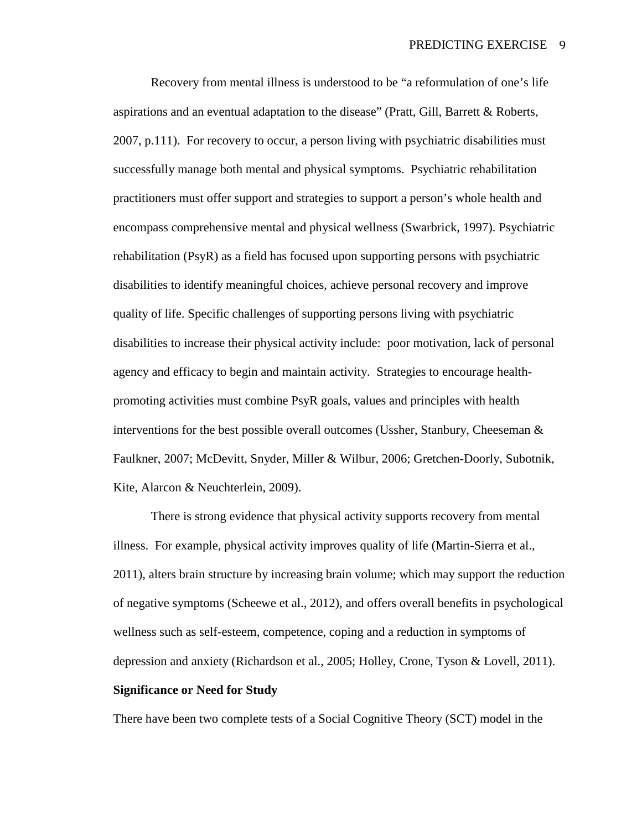Recovery from mental illness is understood to be "a reformulation of one's life aspirations and an eventual adaptation to the disease" (Pratt, Gill, Barrett & Roberts, 2007, p.111). For recovery to occur, a person living with psychiatric disabilities must successfully manage both mental and physical symptoms. Psychiatric rehabilitation practitioners must offer support and strategies to support a person's whole health and encompass comprehensive mental and physical wellness (Swarbrick, 1997). Psychiatric rehabilitation (PsyR) as a field has focused upon supporting persons with psychiatric disabilities to identify meaningful choices, achieve personal recovery and improve quality of life. Specific challenges of supporting persons living with psychiatric disabilities to increase their physical activity include: poor motivation, lack of personal agency and efficacy to begin and maintain activity. Strategies to encourage healthpromoting activities must combine PsyR goals, values and principles with health interventions for the best possible overall outcomes (Ussher, Stanbury, Cheeseman & Faulkner, 2007; McDevitt, Snyder, Miller & Wilbur, 2006; Gretchen-Doorly, Subotnik, Kite, Alarcon & Neuchterlein, 2009).

There is strong evidence that physical activity supports recovery from mental illness. For example, physical activity improves quality of life (Martin-Sierra et al., 2011), alters brain structure by increasing brain volume; which may support the reduction of negative symptoms (Scheewe et al., 2012), and offers overall benefits in psychological wellness such as self-esteem, competence, coping and a reduction in symptoms of depression and anxiety (Richardson et al., 2005; Holley, Crone, Tyson & Lovell, 2011).

# **Significance or Need for Study**

There have been two complete tests of a Social Cognitive Theory (SCT) model in the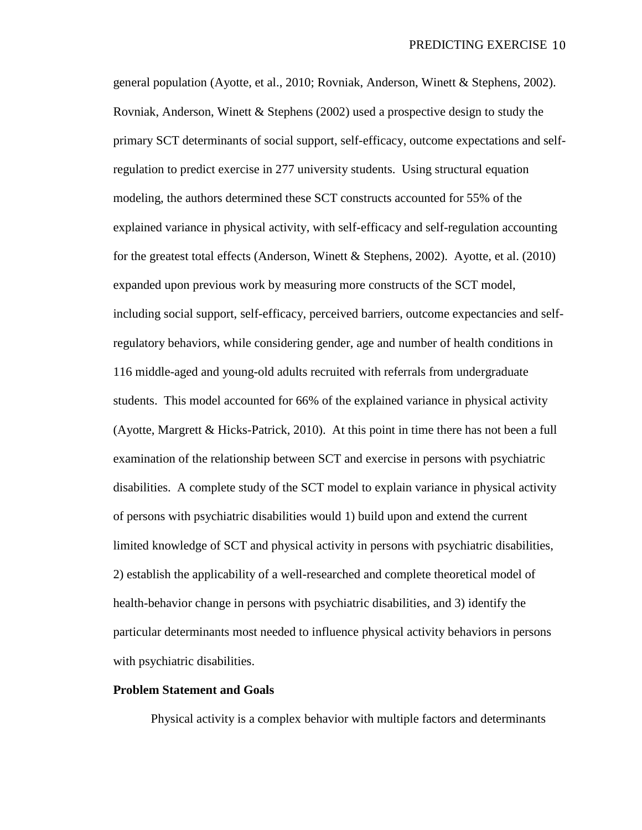general population (Ayotte, et al., 2010; Rovniak, Anderson, Winett & Stephens, 2002). Rovniak, Anderson, Winett & Stephens (2002) used a prospective design to study the primary SCT determinants of social support, self-efficacy, outcome expectations and selfregulation to predict exercise in 277 university students. Using structural equation modeling, the authors determined these SCT constructs accounted for 55% of the explained variance in physical activity, with self-efficacy and self-regulation accounting for the greatest total effects (Anderson, Winett & Stephens, 2002). Ayotte, et al. (2010) expanded upon previous work by measuring more constructs of the SCT model, including social support, self-efficacy, perceived barriers, outcome expectancies and selfregulatory behaviors, while considering gender, age and number of health conditions in 116 middle-aged and young-old adults recruited with referrals from undergraduate students. This model accounted for 66% of the explained variance in physical activity (Ayotte, Margrett & Hicks-Patrick, 2010). At this point in time there has not been a full examination of the relationship between SCT and exercise in persons with psychiatric disabilities. A complete study of the SCT model to explain variance in physical activity of persons with psychiatric disabilities would 1) build upon and extend the current limited knowledge of SCT and physical activity in persons with psychiatric disabilities, 2) establish the applicability of a well-researched and complete theoretical model of health-behavior change in persons with psychiatric disabilities, and 3) identify the particular determinants most needed to influence physical activity behaviors in persons with psychiatric disabilities.

# **Problem Statement and Goals**

Physical activity is a complex behavior with multiple factors and determinants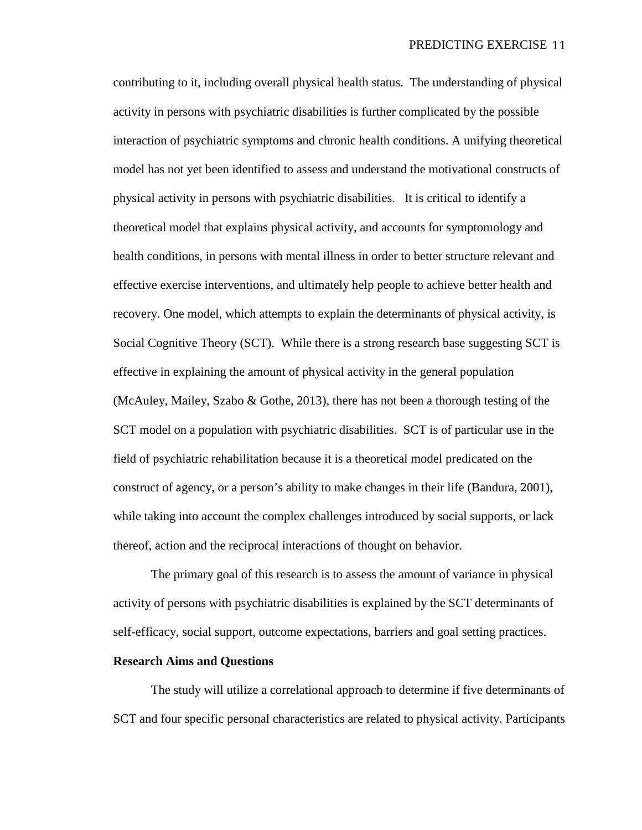contributing to it, including overall physical health status. The understanding of physical activity in persons with psychiatric disabilities is further complicated by the possible interaction of psychiatric symptoms and chronic health conditions. A unifying theoretical model has not yet been identified to assess and understand the motivational constructs of physical activity in persons with psychiatric disabilities. It is critical to identify a theoretical model that explains physical activity, and accounts for symptomology and health conditions, in persons with mental illness in order to better structure relevant and effective exercise interventions, and ultimately help people to achieve better health and recovery. One model, which attempts to explain the determinants of physical activity, is Social Cognitive Theory (SCT). While there is a strong research base suggesting SCT is effective in explaining the amount of physical activity in the general population (McAuley, Mailey, Szabo & Gothe, 2013), there has not been a thorough testing of the SCT model on a population with psychiatric disabilities. SCT is of particular use in the field of psychiatric rehabilitation because it is a theoretical model predicated on the construct of agency, or a person's ability to make changes in their life (Bandura, 2001), while taking into account the complex challenges introduced by social supports, or lack thereof, action and the reciprocal interactions of thought on behavior.

The primary goal of this research is to assess the amount of variance in physical activity of persons with psychiatric disabilities is explained by the SCT determinants of self-efficacy, social support, outcome expectations, barriers and goal setting practices.

# **Research Aims and Questions**

The study will utilize a correlational approach to determine if five determinants of SCT and four specific personal characteristics are related to physical activity. Participants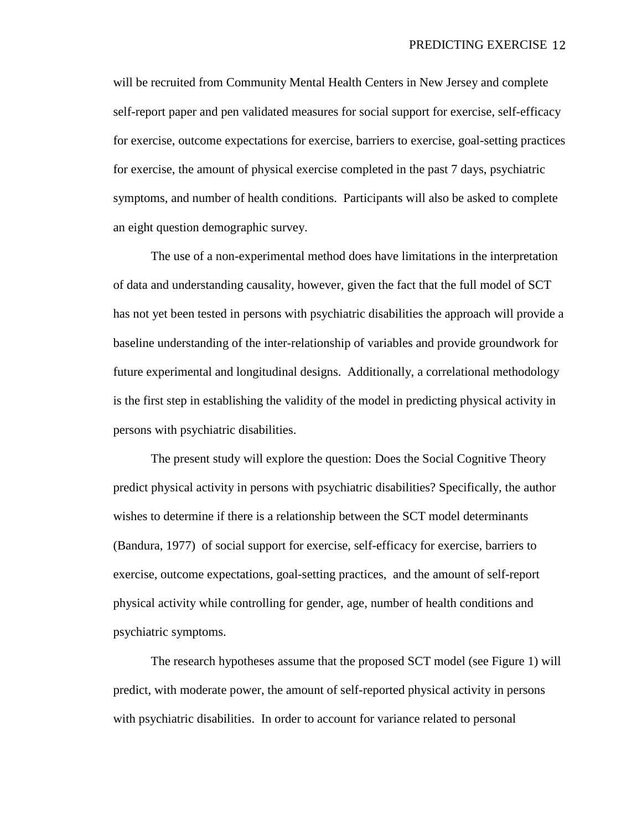will be recruited from Community Mental Health Centers in New Jersey and complete self-report paper and pen validated measures for social support for exercise, self-efficacy for exercise, outcome expectations for exercise, barriers to exercise, goal-setting practices for exercise, the amount of physical exercise completed in the past 7 days, psychiatric symptoms, and number of health conditions. Participants will also be asked to complete an eight question demographic survey.

The use of a non-experimental method does have limitations in the interpretation of data and understanding causality, however, given the fact that the full model of SCT has not yet been tested in persons with psychiatric disabilities the approach will provide a baseline understanding of the inter-relationship of variables and provide groundwork for future experimental and longitudinal designs. Additionally, a correlational methodology is the first step in establishing the validity of the model in predicting physical activity in persons with psychiatric disabilities.

The present study will explore the question: Does the Social Cognitive Theory predict physical activity in persons with psychiatric disabilities? Specifically, the author wishes to determine if there is a relationship between the SCT model determinants (Bandura, 1977) of social support for exercise, self-efficacy for exercise, barriers to exercise, outcome expectations, goal-setting practices, and the amount of self-report physical activity while controlling for gender, age, number of health conditions and psychiatric symptoms.

The research hypotheses assume that the proposed SCT model (see Figure 1) will predict, with moderate power, the amount of self-reported physical activity in persons with psychiatric disabilities. In order to account for variance related to personal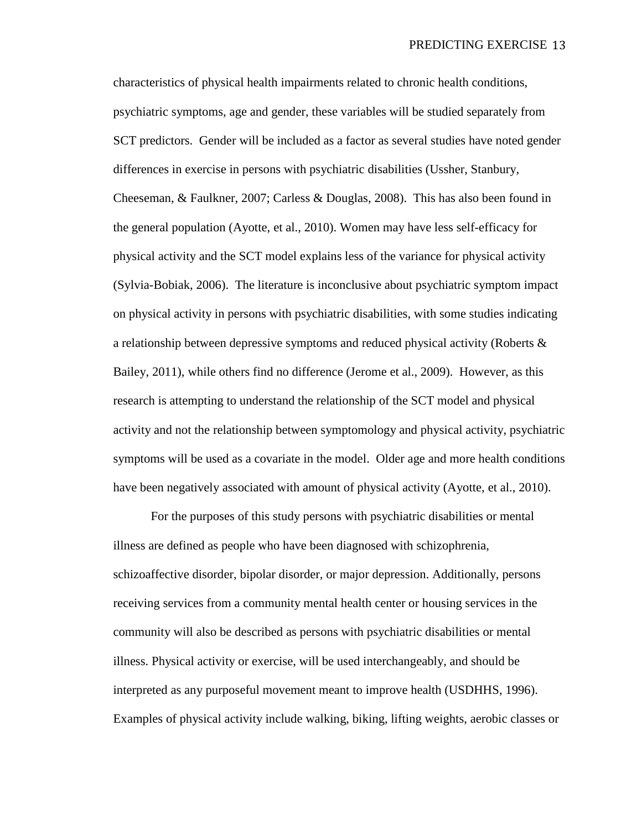characteristics of physical health impairments related to chronic health conditions, psychiatric symptoms, age and gender, these variables will be studied separately from SCT predictors. Gender will be included as a factor as several studies have noted gender differences in exercise in persons with psychiatric disabilities (Ussher, Stanbury, Cheeseman, & Faulkner, 2007; Carless & Douglas, 2008). This has also been found in the general population (Ayotte, et al., 2010). Women may have less self-efficacy for physical activity and the SCT model explains less of the variance for physical activity (Sylvia-Bobiak, 2006). The literature is inconclusive about psychiatric symptom impact on physical activity in persons with psychiatric disabilities, with some studies indicating a relationship between depressive symptoms and reduced physical activity (Roberts & Bailey, 2011), while others find no difference (Jerome et al., 2009). However, as this research is attempting to understand the relationship of the SCT model and physical activity and not the relationship between symptomology and physical activity, psychiatric symptoms will be used as a covariate in the model. Older age and more health conditions have been negatively associated with amount of physical activity (Ayotte, et al., 2010).

For the purposes of this study persons with psychiatric disabilities or mental illness are defined as people who have been diagnosed with schizophrenia, schizoaffective disorder, bipolar disorder, or major depression. Additionally, persons receiving services from a community mental health center or housing services in the community will also be described as persons with psychiatric disabilities or mental illness. Physical activity or exercise, will be used interchangeably, and should be interpreted as any purposeful movement meant to improve health (USDHHS, 1996). Examples of physical activity include walking, biking, lifting weights, aerobic classes or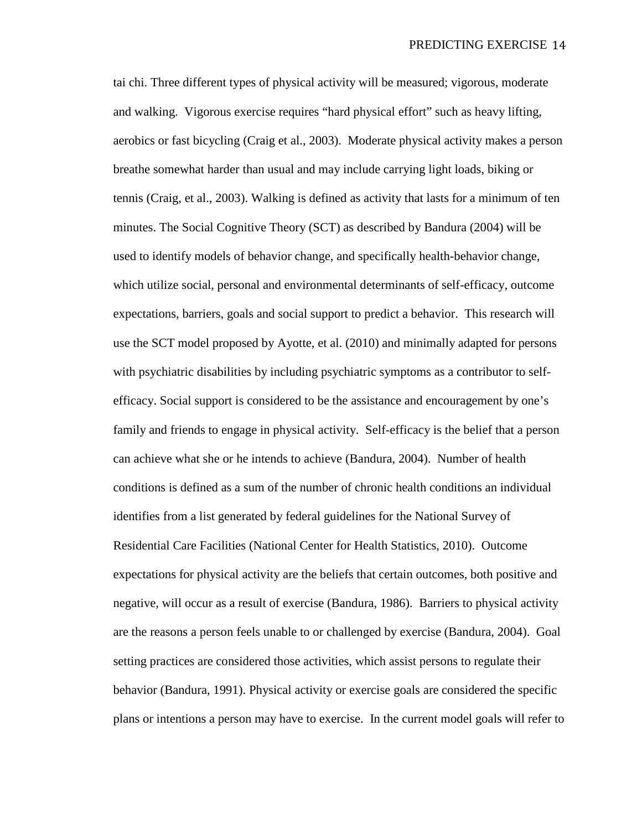tai chi. Three different types of physical activity will be measured; vigorous, moderate and walking. Vigorous exercise requires "hard physical effort" such as heavy lifting, aerobics or fast bicycling (Craig et al., 2003). Moderate physical activity makes a person breathe somewhat harder than usual and may include carrying light loads, biking or tennis (Craig, et al., 2003). Walking is defined as activity that lasts for a minimum of ten minutes. The Social Cognitive Theory (SCT) as described by Bandura (2004) will be used to identify models of behavior change, and specifically health-behavior change, which utilize social, personal and environmental determinants of self-efficacy, outcome expectations, barriers, goals and social support to predict a behavior. This research will use the SCT model proposed by Ayotte, et al. (2010) and minimally adapted for persons with psychiatric disabilities by including psychiatric symptoms as a contributor to selfefficacy. Social support is considered to be the assistance and encouragement by one's family and friends to engage in physical activity. Self-efficacy is the belief that a person can achieve what she or he intends to achieve (Bandura, 2004). Number of health conditions is defined as a sum of the number of chronic health conditions an individual identifies from a list generated by federal guidelines for the National Survey of Residential Care Facilities (National Center for Health Statistics, 2010). Outcome expectations for physical activity are the beliefs that certain outcomes, both positive and negative, will occur as a result of exercise (Bandura, 1986). Barriers to physical activity are the reasons a person feels unable to or challenged by exercise (Bandura, 2004). Goal setting practices are considered those activities, which assist persons to regulate their behavior (Bandura, 1991). Physical activity or exercise goals are considered the specific plans or intentions a person may have to exercise. In the current model goals will refer to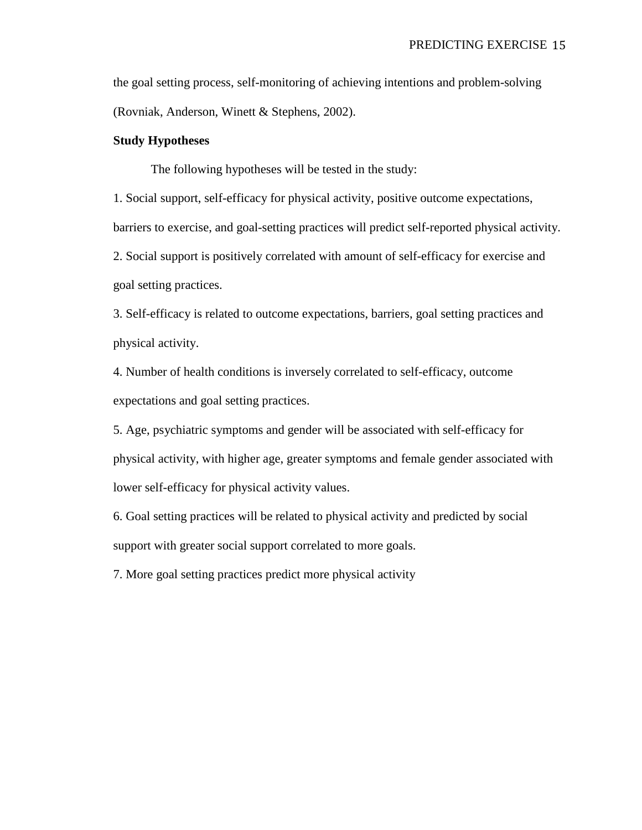the goal setting process, self-monitoring of achieving intentions and problem-solving (Rovniak, Anderson, Winett & Stephens, 2002).

# **Study Hypotheses**

The following hypotheses will be tested in the study:

1. Social support, self-efficacy for physical activity, positive outcome expectations, barriers to exercise, and goal-setting practices will predict self-reported physical activity. 2. Social support is positively correlated with amount of self-efficacy for exercise and goal setting practices.

3. Self-efficacy is related to outcome expectations, barriers, goal setting practices and physical activity.

4. Number of health conditions is inversely correlated to self-efficacy, outcome expectations and goal setting practices.

5. Age, psychiatric symptoms and gender will be associated with self-efficacy for physical activity, with higher age, greater symptoms and female gender associated with lower self-efficacy for physical activity values.

6. Goal setting practices will be related to physical activity and predicted by social support with greater social support correlated to more goals.

7. More goal setting practices predict more physical activity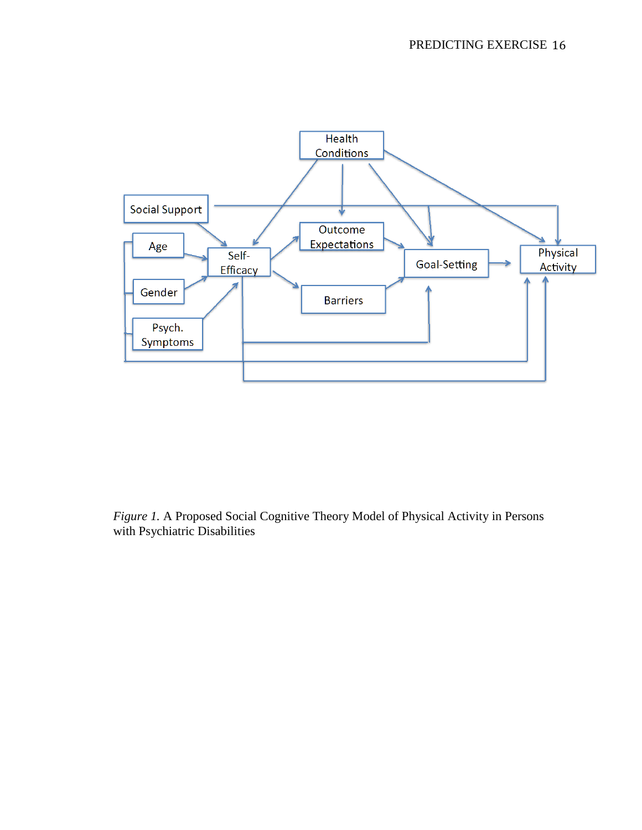

*Figure 1.* A Proposed Social Cognitive Theory Model of Physical Activity in Persons with Psychiatric Disabilities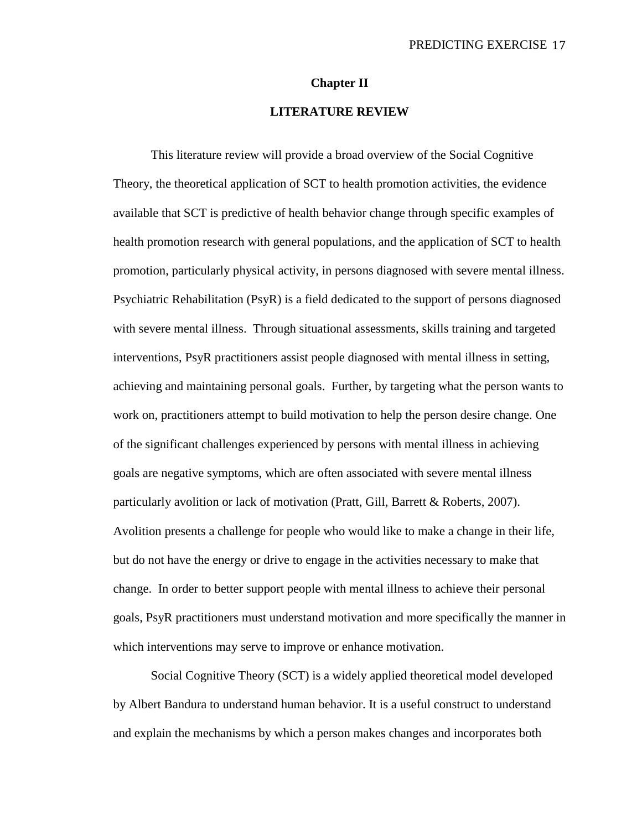#### **Chapter II**

# **LITERATURE REVIEW**

This literature review will provide a broad overview of the Social Cognitive Theory, the theoretical application of SCT to health promotion activities, the evidence available that SCT is predictive of health behavior change through specific examples of health promotion research with general populations, and the application of SCT to health promotion, particularly physical activity, in persons diagnosed with severe mental illness. Psychiatric Rehabilitation (PsyR) is a field dedicated to the support of persons diagnosed with severe mental illness. Through situational assessments, skills training and targeted interventions, PsyR practitioners assist people diagnosed with mental illness in setting, achieving and maintaining personal goals. Further, by targeting what the person wants to work on, practitioners attempt to build motivation to help the person desire change. One of the significant challenges experienced by persons with mental illness in achieving goals are negative symptoms, which are often associated with severe mental illness particularly avolition or lack of motivation (Pratt, Gill, Barrett & Roberts, 2007). Avolition presents a challenge for people who would like to make a change in their life, but do not have the energy or drive to engage in the activities necessary to make that change. In order to better support people with mental illness to achieve their personal goals, PsyR practitioners must understand motivation and more specifically the manner in which interventions may serve to improve or enhance motivation.

Social Cognitive Theory (SCT) is a widely applied theoretical model developed by Albert Bandura to understand human behavior. It is a useful construct to understand and explain the mechanisms by which a person makes changes and incorporates both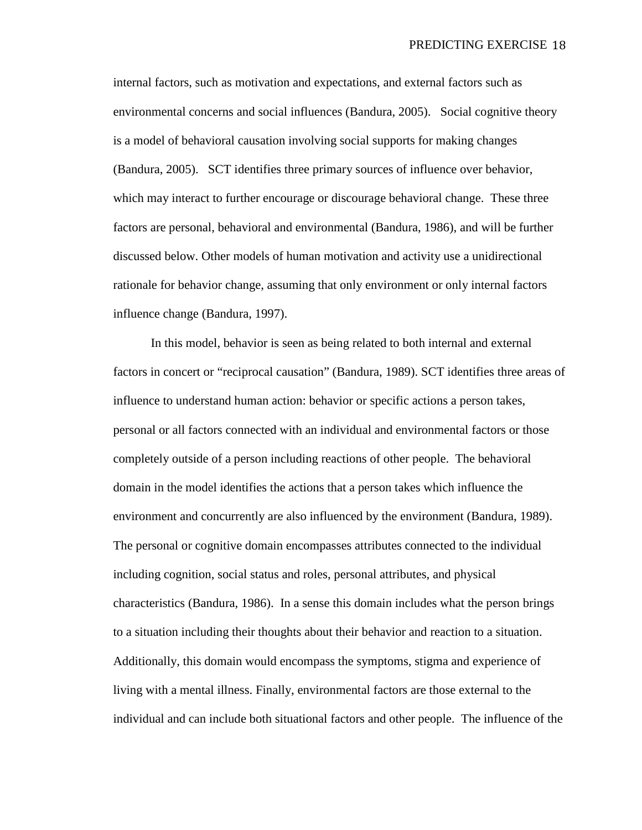internal factors, such as motivation and expectations, and external factors such as environmental concerns and social influences (Bandura, 2005). Social cognitive theory is a model of behavioral causation involving social supports for making changes (Bandura, 2005). SCT identifies three primary sources of influence over behavior, which may interact to further encourage or discourage behavioral change. These three factors are personal, behavioral and environmental (Bandura, 1986), and will be further discussed below. Other models of human motivation and activity use a unidirectional rationale for behavior change, assuming that only environment or only internal factors influence change (Bandura, 1997).

In this model, behavior is seen as being related to both internal and external factors in concert or "reciprocal causation" (Bandura, 1989). SCT identifies three areas of influence to understand human action: behavior or specific actions a person takes, personal or all factors connected with an individual and environmental factors or those completely outside of a person including reactions of other people. The behavioral domain in the model identifies the actions that a person takes which influence the environment and concurrently are also influenced by the environment (Bandura, 1989). The personal or cognitive domain encompasses attributes connected to the individual including cognition, social status and roles, personal attributes, and physical characteristics (Bandura, 1986). In a sense this domain includes what the person brings to a situation including their thoughts about their behavior and reaction to a situation. Additionally, this domain would encompass the symptoms, stigma and experience of living with a mental illness. Finally, environmental factors are those external to the individual and can include both situational factors and other people. The influence of the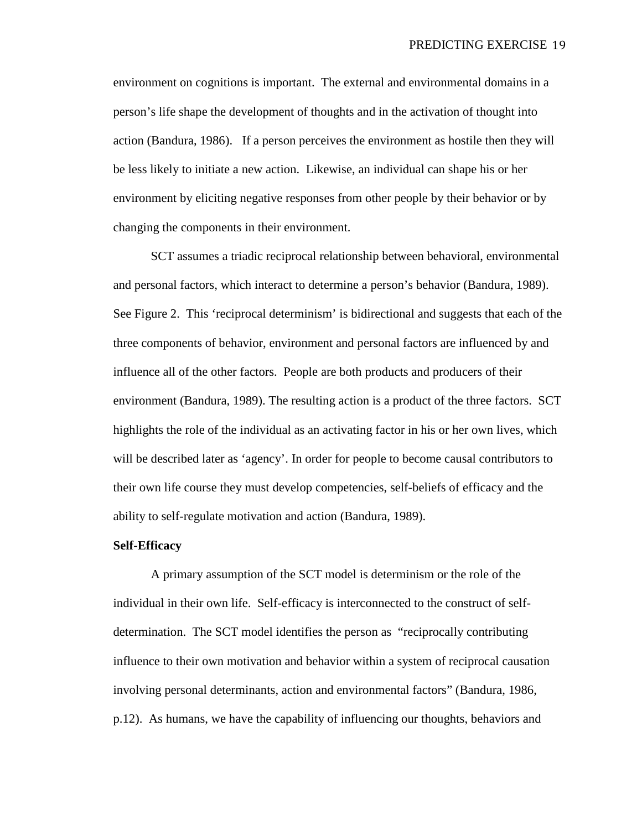environment on cognitions is important. The external and environmental domains in a person's life shape the development of thoughts and in the activation of thought into action (Bandura, 1986). If a person perceives the environment as hostile then they will be less likely to initiate a new action. Likewise, an individual can shape his or her environment by eliciting negative responses from other people by their behavior or by changing the components in their environment.

SCT assumes a triadic reciprocal relationship between behavioral, environmental and personal factors, which interact to determine a person's behavior (Bandura, 1989). See Figure 2. This 'reciprocal determinism' is bidirectional and suggests that each of the three components of behavior, environment and personal factors are influenced by and influence all of the other factors. People are both products and producers of their environment (Bandura, 1989). The resulting action is a product of the three factors. SCT highlights the role of the individual as an activating factor in his or her own lives, which will be described later as 'agency'. In order for people to become causal contributors to their own life course they must develop competencies, self-beliefs of efficacy and the ability to self-regulate motivation and action (Bandura, 1989).

# **Self-Efficacy**

A primary assumption of the SCT model is determinism or the role of the individual in their own life. Self-efficacy is interconnected to the construct of selfdetermination. The SCT model identifies the person as "reciprocally contributing influence to their own motivation and behavior within a system of reciprocal causation involving personal determinants, action and environmental factors" (Bandura, 1986, p.12). As humans, we have the capability of influencing our thoughts, behaviors and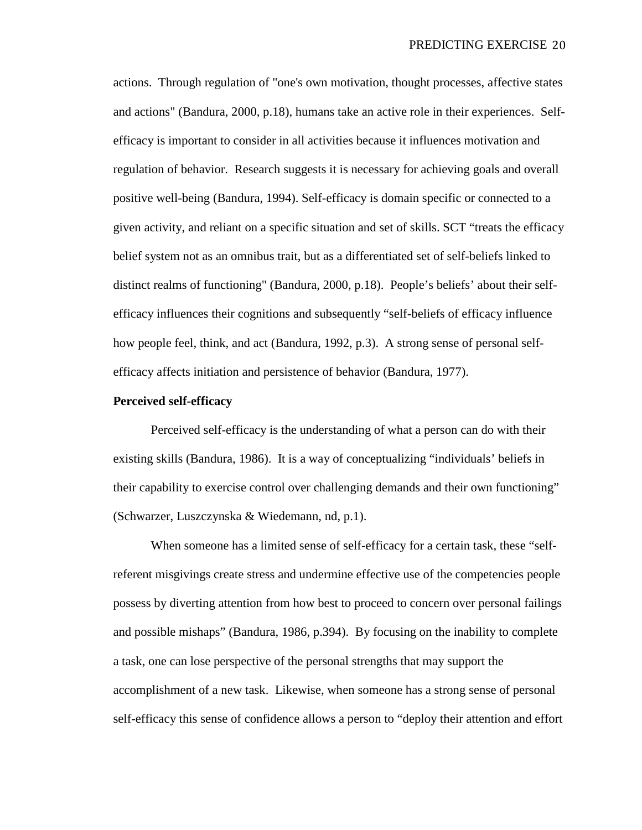actions. Through regulation of "one's own motivation, thought processes, affective states and actions" (Bandura, 2000, p.18), humans take an active role in their experiences. Selfefficacy is important to consider in all activities because it influences motivation and regulation of behavior. Research suggests it is necessary for achieving goals and overall positive well-being (Bandura, 1994). Self-efficacy is domain specific or connected to a given activity, and reliant on a specific situation and set of skills. SCT "treats the efficacy belief system not as an omnibus trait, but as a differentiated set of self-beliefs linked to distinct realms of functioning" (Bandura, 2000, p.18). People's beliefs' about their selfefficacy influences their cognitions and subsequently "self-beliefs of efficacy influence how people feel, think, and act (Bandura, 1992, p.3). A strong sense of personal selfefficacy affects initiation and persistence of behavior (Bandura, 1977).

## **Perceived self-efficacy**

Perceived self-efficacy is the understanding of what a person can do with their existing skills (Bandura, 1986). It is a way of conceptualizing "individuals' beliefs in their capability to exercise control over challenging demands and their own functioning" (Schwarzer, Luszczynska & Wiedemann, nd, p.1).

When someone has a limited sense of self-efficacy for a certain task, these "selfreferent misgivings create stress and undermine effective use of the competencies people possess by diverting attention from how best to proceed to concern over personal failings and possible mishaps" (Bandura, 1986, p.394). By focusing on the inability to complete a task, one can lose perspective of the personal strengths that may support the accomplishment of a new task. Likewise, when someone has a strong sense of personal self-efficacy this sense of confidence allows a person to "deploy their attention and effort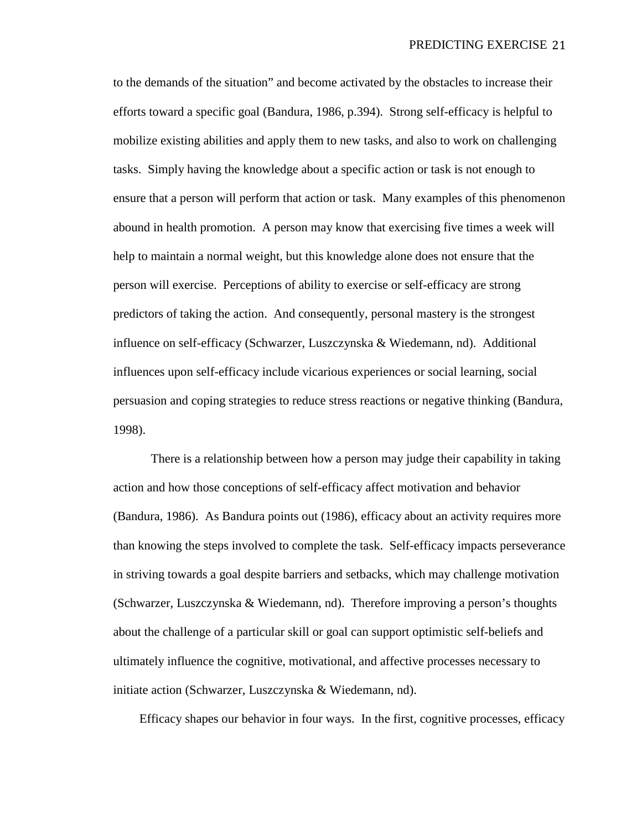to the demands of the situation" and become activated by the obstacles to increase their efforts toward a specific goal (Bandura, 1986, p.394). Strong self-efficacy is helpful to mobilize existing abilities and apply them to new tasks, and also to work on challenging tasks. Simply having the knowledge about a specific action or task is not enough to ensure that a person will perform that action or task. Many examples of this phenomenon abound in health promotion. A person may know that exercising five times a week will help to maintain a normal weight, but this knowledge alone does not ensure that the person will exercise. Perceptions of ability to exercise or self-efficacy are strong predictors of taking the action. And consequently, personal mastery is the strongest influence on self-efficacy (Schwarzer, Luszczynska & Wiedemann, nd). Additional influences upon self-efficacy include vicarious experiences or social learning, social persuasion and coping strategies to reduce stress reactions or negative thinking (Bandura, 1998).

There is a relationship between how a person may judge their capability in taking action and how those conceptions of self-efficacy affect motivation and behavior (Bandura, 1986). As Bandura points out (1986), efficacy about an activity requires more than knowing the steps involved to complete the task. Self-efficacy impacts perseverance in striving towards a goal despite barriers and setbacks, which may challenge motivation (Schwarzer, Luszczynska & Wiedemann, nd). Therefore improving a person's thoughts about the challenge of a particular skill or goal can support optimistic self-beliefs and ultimately influence the cognitive, motivational, and affective processes necessary to initiate action (Schwarzer, Luszczynska & Wiedemann, nd).

Efficacy shapes our behavior in four ways. In the first, cognitive processes, efficacy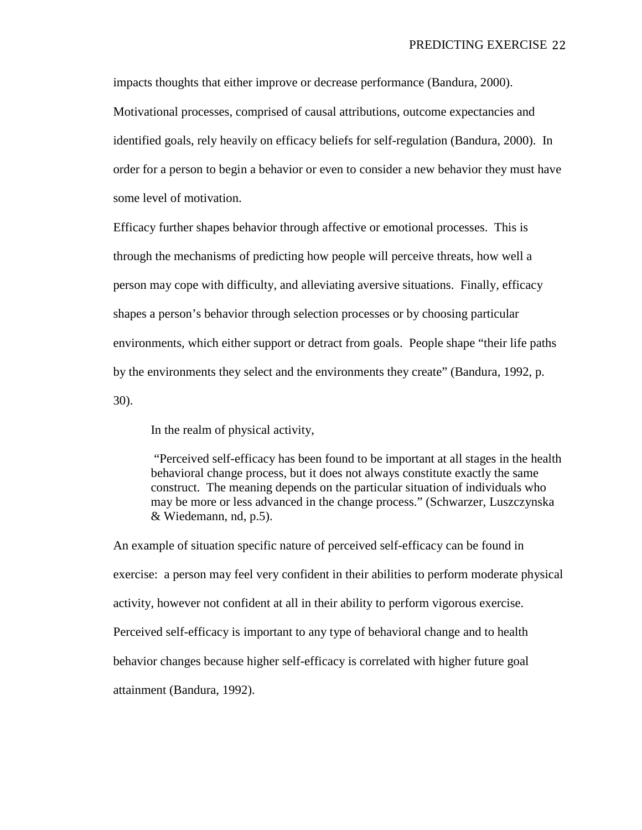impacts thoughts that either improve or decrease performance (Bandura, 2000). Motivational processes, comprised of causal attributions, outcome expectancies and identified goals, rely heavily on efficacy beliefs for self-regulation (Bandura, 2000). In order for a person to begin a behavior or even to consider a new behavior they must have some level of motivation.

Efficacy further shapes behavior through affective or emotional processes. This is through the mechanisms of predicting how people will perceive threats, how well a person may cope with difficulty, and alleviating aversive situations. Finally, efficacy shapes a person's behavior through selection processes or by choosing particular environments, which either support or detract from goals. People shape "their life paths by the environments they select and the environments they create" (Bandura, 1992, p. 30).

In the realm of physical activity,

"Perceived self-efficacy has been found to be important at all stages in the health behavioral change process, but it does not always constitute exactly the same construct. The meaning depends on the particular situation of individuals who may be more or less advanced in the change process." (Schwarzer, Luszczynska & Wiedemann, nd, p.5).

An example of situation specific nature of perceived self-efficacy can be found in exercise: a person may feel very confident in their abilities to perform moderate physical activity, however not confident at all in their ability to perform vigorous exercise. Perceived self-efficacy is important to any type of behavioral change and to health behavior changes because higher self-efficacy is correlated with higher future goal attainment (Bandura, 1992).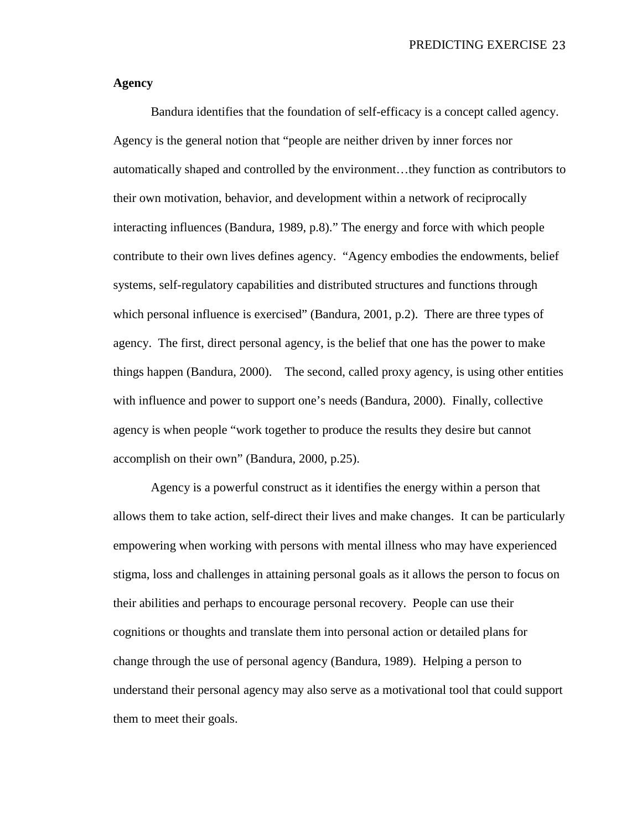# **Agency**

Bandura identifies that the foundation of self-efficacy is a concept called agency. Agency is the general notion that "people are neither driven by inner forces nor automatically shaped and controlled by the environment…they function as contributors to their own motivation, behavior, and development within a network of reciprocally interacting influences (Bandura, 1989, p.8)." The energy and force with which people contribute to their own lives defines agency. "Agency embodies the endowments, belief systems, self-regulatory capabilities and distributed structures and functions through which personal influence is exercised" (Bandura, 2001, p.2). There are three types of agency. The first, direct personal agency, is the belief that one has the power to make things happen (Bandura, 2000). The second, called proxy agency, is using other entities with influence and power to support one's needs (Bandura, 2000). Finally, collective agency is when people "work together to produce the results they desire but cannot accomplish on their own" (Bandura, 2000, p.25).

Agency is a powerful construct as it identifies the energy within a person that allows them to take action, self-direct their lives and make changes. It can be particularly empowering when working with persons with mental illness who may have experienced stigma, loss and challenges in attaining personal goals as it allows the person to focus on their abilities and perhaps to encourage personal recovery. People can use their cognitions or thoughts and translate them into personal action or detailed plans for change through the use of personal agency (Bandura, 1989). Helping a person to understand their personal agency may also serve as a motivational tool that could support them to meet their goals.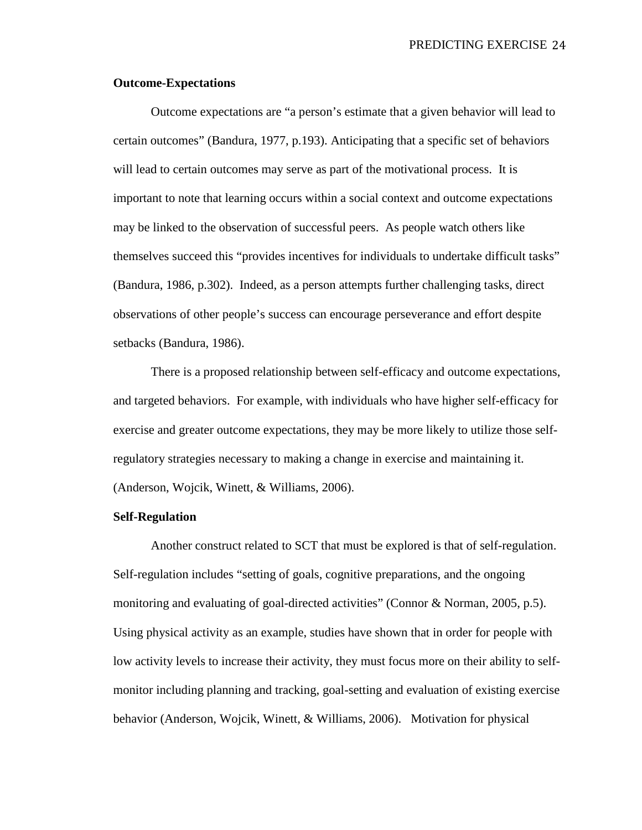# **Outcome-Expectations**

Outcome expectations are "a person's estimate that a given behavior will lead to certain outcomes" (Bandura, 1977, p.193). Anticipating that a specific set of behaviors will lead to certain outcomes may serve as part of the motivational process. It is important to note that learning occurs within a social context and outcome expectations may be linked to the observation of successful peers. As people watch others like themselves succeed this "provides incentives for individuals to undertake difficult tasks" (Bandura, 1986, p.302). Indeed, as a person attempts further challenging tasks, direct observations of other people's success can encourage perseverance and effort despite setbacks (Bandura, 1986).

There is a proposed relationship between self-efficacy and outcome expectations, and targeted behaviors. For example, with individuals who have higher self-efficacy for exercise and greater outcome expectations, they may be more likely to utilize those selfregulatory strategies necessary to making a change in exercise and maintaining it. (Anderson, Wojcik, Winett, & Williams, 2006).

#### **Self-Regulation**

Another construct related to SCT that must be explored is that of self-regulation. Self-regulation includes "setting of goals, cognitive preparations, and the ongoing monitoring and evaluating of goal-directed activities" (Connor & Norman, 2005, p.5). Using physical activity as an example, studies have shown that in order for people with low activity levels to increase their activity, they must focus more on their ability to selfmonitor including planning and tracking, goal-setting and evaluation of existing exercise behavior (Anderson, Wojcik, Winett, & Williams, 2006). Motivation for physical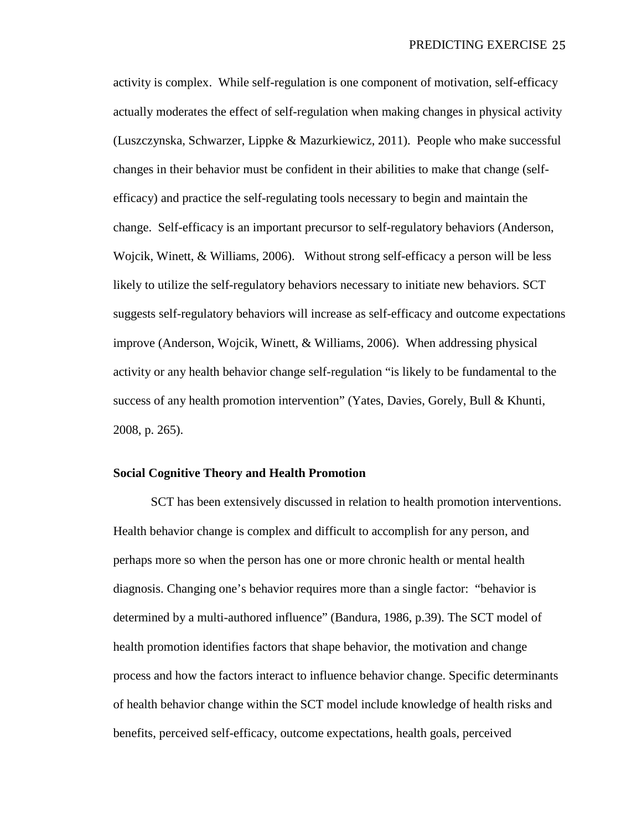activity is complex. While self-regulation is one component of motivation, self-efficacy actually moderates the effect of self-regulation when making changes in physical activity (Luszczynska, Schwarzer, Lippke & Mazurkiewicz, 2011). People who make successful changes in their behavior must be confident in their abilities to make that change (selfefficacy) and practice the self-regulating tools necessary to begin and maintain the change. Self-efficacy is an important precursor to self-regulatory behaviors (Anderson, Wojcik, Winett, & Williams, 2006). Without strong self-efficacy a person will be less likely to utilize the self-regulatory behaviors necessary to initiate new behaviors. SCT suggests self-regulatory behaviors will increase as self-efficacy and outcome expectations improve (Anderson, Wojcik, Winett, & Williams, 2006). When addressing physical activity or any health behavior change self-regulation "is likely to be fundamental to the success of any health promotion intervention" (Yates, Davies, Gorely, Bull & Khunti, 2008, p. 265).

# **Social Cognitive Theory and Health Promotion**

SCT has been extensively discussed in relation to health promotion interventions. Health behavior change is complex and difficult to accomplish for any person, and perhaps more so when the person has one or more chronic health or mental health diagnosis. Changing one's behavior requires more than a single factor: "behavior is determined by a multi-authored influence" (Bandura, 1986, p.39). The SCT model of health promotion identifies factors that shape behavior, the motivation and change process and how the factors interact to influence behavior change. Specific determinants of health behavior change within the SCT model include knowledge of health risks and benefits, perceived self-efficacy, outcome expectations, health goals, perceived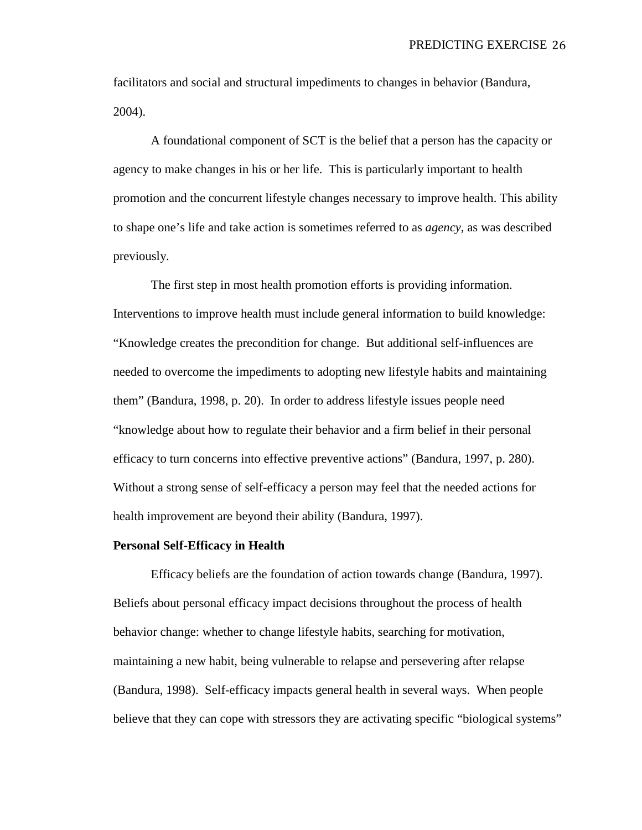facilitators and social and structural impediments to changes in behavior (Bandura, 2004).

A foundational component of SCT is the belief that a person has the capacity or agency to make changes in his or her life. This is particularly important to health promotion and the concurrent lifestyle changes necessary to improve health. This ability to shape one's life and take action is sometimes referred to as *agency*, as was described previously.

The first step in most health promotion efforts is providing information. Interventions to improve health must include general information to build knowledge: "Knowledge creates the precondition for change. But additional self-influences are needed to overcome the impediments to adopting new lifestyle habits and maintaining them" (Bandura, 1998, p. 20). In order to address lifestyle issues people need "knowledge about how to regulate their behavior and a firm belief in their personal efficacy to turn concerns into effective preventive actions" (Bandura, 1997, p. 280). Without a strong sense of self-efficacy a person may feel that the needed actions for health improvement are beyond their ability (Bandura, 1997).

#### **Personal Self-Efficacy in Health**

Efficacy beliefs are the foundation of action towards change (Bandura, 1997). Beliefs about personal efficacy impact decisions throughout the process of health behavior change: whether to change lifestyle habits, searching for motivation, maintaining a new habit, being vulnerable to relapse and persevering after relapse (Bandura, 1998). Self-efficacy impacts general health in several ways. When people believe that they can cope with stressors they are activating specific "biological systems"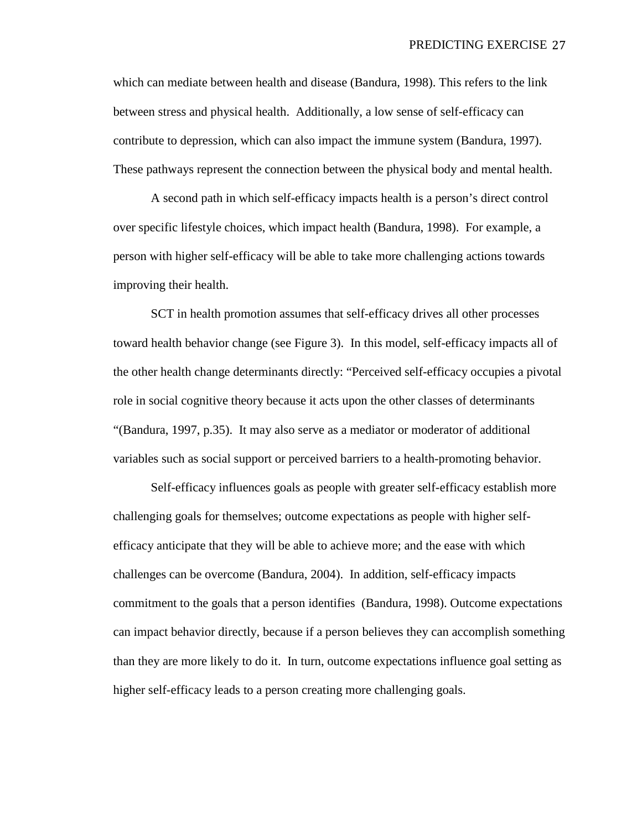which can mediate between health and disease (Bandura, 1998). This refers to the link between stress and physical health. Additionally, a low sense of self-efficacy can contribute to depression, which can also impact the immune system (Bandura, 1997). These pathways represent the connection between the physical body and mental health.

A second path in which self-efficacy impacts health is a person's direct control over specific lifestyle choices, which impact health (Bandura, 1998). For example, a person with higher self-efficacy will be able to take more challenging actions towards improving their health.

SCT in health promotion assumes that self-efficacy drives all other processes toward health behavior change (see Figure 3). In this model, self-efficacy impacts all of the other health change determinants directly: "Perceived self-efficacy occupies a pivotal role in social cognitive theory because it acts upon the other classes of determinants "(Bandura, 1997, p.35). It may also serve as a mediator or moderator of additional variables such as social support or perceived barriers to a health-promoting behavior.

Self-efficacy influences goals as people with greater self-efficacy establish more challenging goals for themselves; outcome expectations as people with higher selfefficacy anticipate that they will be able to achieve more; and the ease with which challenges can be overcome (Bandura, 2004). In addition, self-efficacy impacts commitment to the goals that a person identifies (Bandura, 1998). Outcome expectations can impact behavior directly, because if a person believes they can accomplish something than they are more likely to do it. In turn, outcome expectations influence goal setting as higher self-efficacy leads to a person creating more challenging goals.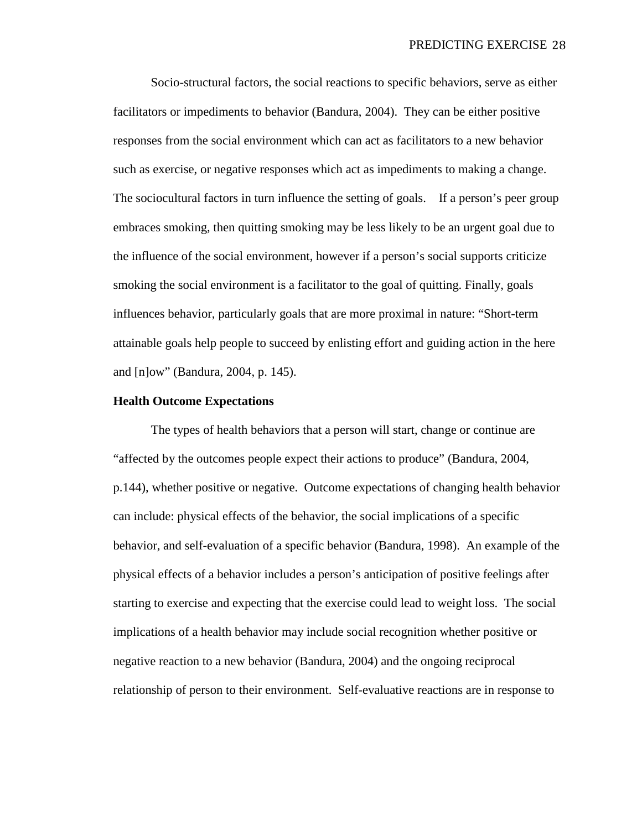Socio-structural factors, the social reactions to specific behaviors, serve as either facilitators or impediments to behavior (Bandura, 2004). They can be either positive responses from the social environment which can act as facilitators to a new behavior such as exercise, or negative responses which act as impediments to making a change. The sociocultural factors in turn influence the setting of goals. If a person's peer group embraces smoking, then quitting smoking may be less likely to be an urgent goal due to the influence of the social environment, however if a person's social supports criticize smoking the social environment is a facilitator to the goal of quitting. Finally, goals influences behavior, particularly goals that are more proximal in nature: "Short-term attainable goals help people to succeed by enlisting effort and guiding action in the here and [n]ow" (Bandura, 2004, p. 145).

# **Health Outcome Expectations**

The types of health behaviors that a person will start, change or continue are "affected by the outcomes people expect their actions to produce" (Bandura, 2004, p.144), whether positive or negative. Outcome expectations of changing health behavior can include: physical effects of the behavior, the social implications of a specific behavior, and self-evaluation of a specific behavior (Bandura, 1998). An example of the physical effects of a behavior includes a person's anticipation of positive feelings after starting to exercise and expecting that the exercise could lead to weight loss. The social implications of a health behavior may include social recognition whether positive or negative reaction to a new behavior (Bandura, 2004) and the ongoing reciprocal relationship of person to their environment. Self-evaluative reactions are in response to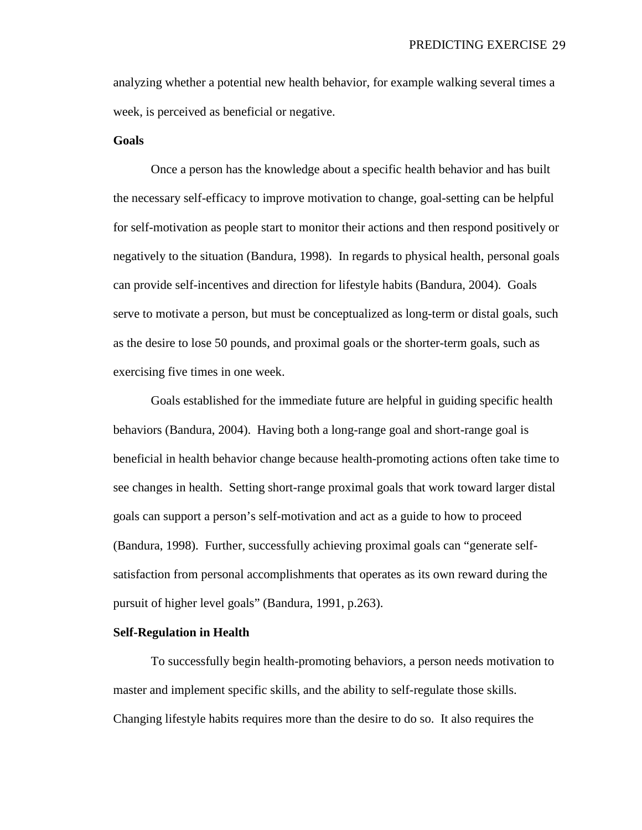analyzing whether a potential new health behavior, for example walking several times a week, is perceived as beneficial or negative.

# **Goals**

Once a person has the knowledge about a specific health behavior and has built the necessary self-efficacy to improve motivation to change, goal-setting can be helpful for self-motivation as people start to monitor their actions and then respond positively or negatively to the situation (Bandura, 1998). In regards to physical health, personal goals can provide self-incentives and direction for lifestyle habits (Bandura, 2004). Goals serve to motivate a person, but must be conceptualized as long-term or distal goals, such as the desire to lose 50 pounds, and proximal goals or the shorter-term goals, such as exercising five times in one week.

Goals established for the immediate future are helpful in guiding specific health behaviors (Bandura, 2004). Having both a long-range goal and short-range goal is beneficial in health behavior change because health-promoting actions often take time to see changes in health. Setting short-range proximal goals that work toward larger distal goals can support a person's self-motivation and act as a guide to how to proceed (Bandura, 1998). Further, successfully achieving proximal goals can "generate selfsatisfaction from personal accomplishments that operates as its own reward during the pursuit of higher level goals" (Bandura, 1991, p.263).

# **Self-Regulation in Health**

To successfully begin health-promoting behaviors, a person needs motivation to master and implement specific skills, and the ability to self-regulate those skills. Changing lifestyle habits requires more than the desire to do so. It also requires the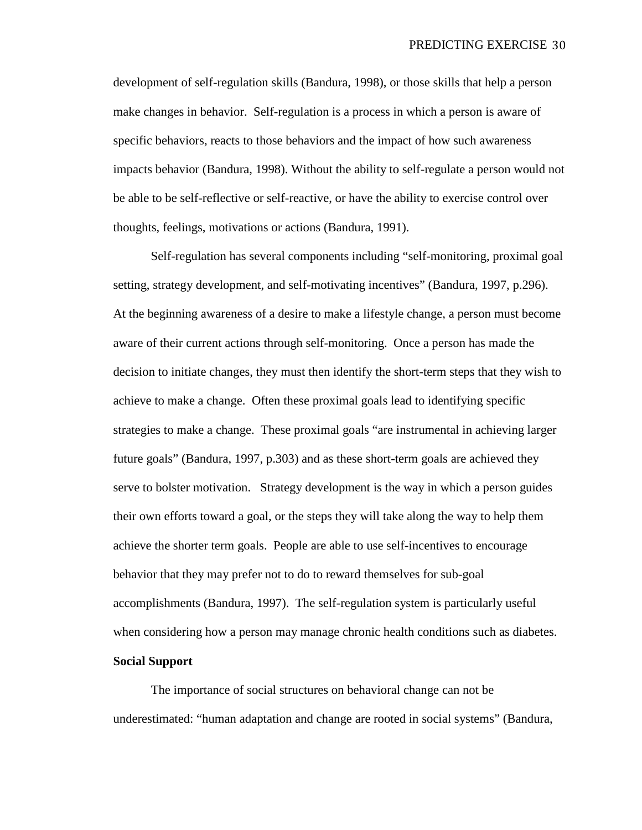development of self-regulation skills (Bandura, 1998), or those skills that help a person make changes in behavior. Self-regulation is a process in which a person is aware of specific behaviors, reacts to those behaviors and the impact of how such awareness impacts behavior (Bandura, 1998). Without the ability to self-regulate a person would not be able to be self-reflective or self-reactive, or have the ability to exercise control over thoughts, feelings, motivations or actions (Bandura, 1991).

Self-regulation has several components including "self-monitoring, proximal goal setting, strategy development, and self-motivating incentives" (Bandura, 1997, p.296). At the beginning awareness of a desire to make a lifestyle change, a person must become aware of their current actions through self-monitoring. Once a person has made the decision to initiate changes, they must then identify the short-term steps that they wish to achieve to make a change. Often these proximal goals lead to identifying specific strategies to make a change. These proximal goals "are instrumental in achieving larger future goals" (Bandura, 1997, p.303) and as these short-term goals are achieved they serve to bolster motivation. Strategy development is the way in which a person guides their own efforts toward a goal, or the steps they will take along the way to help them achieve the shorter term goals. People are able to use self-incentives to encourage behavior that they may prefer not to do to reward themselves for sub-goal accomplishments (Bandura, 1997). The self-regulation system is particularly useful when considering how a person may manage chronic health conditions such as diabetes. **Social Support**

The importance of social structures on behavioral change can not be underestimated: "human adaptation and change are rooted in social systems" (Bandura,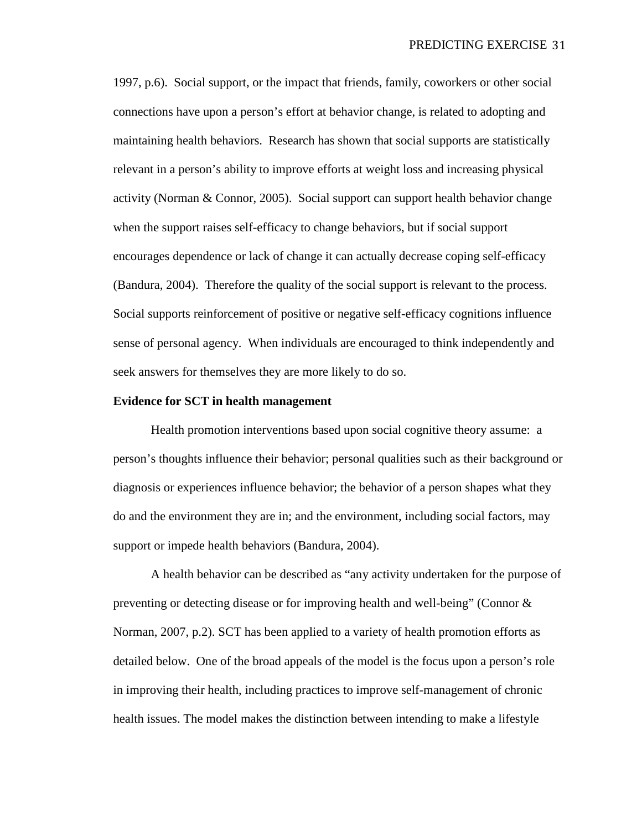1997, p.6). Social support, or the impact that friends, family, coworkers or other social connections have upon a person's effort at behavior change, is related to adopting and maintaining health behaviors. Research has shown that social supports are statistically relevant in a person's ability to improve efforts at weight loss and increasing physical activity (Norman & Connor, 2005). Social support can support health behavior change when the support raises self-efficacy to change behaviors, but if social support encourages dependence or lack of change it can actually decrease coping self-efficacy (Bandura, 2004). Therefore the quality of the social support is relevant to the process. Social supports reinforcement of positive or negative self-efficacy cognitions influence sense of personal agency. When individuals are encouraged to think independently and seek answers for themselves they are more likely to do so.

# **Evidence for SCT in health management**

Health promotion interventions based upon social cognitive theory assume: a person's thoughts influence their behavior; personal qualities such as their background or diagnosis or experiences influence behavior; the behavior of a person shapes what they do and the environment they are in; and the environment, including social factors, may support or impede health behaviors (Bandura, 2004).

A health behavior can be described as "any activity undertaken for the purpose of preventing or detecting disease or for improving health and well-being" (Connor & Norman, 2007, p.2). SCT has been applied to a variety of health promotion efforts as detailed below. One of the broad appeals of the model is the focus upon a person's role in improving their health, including practices to improve self-management of chronic health issues. The model makes the distinction between intending to make a lifestyle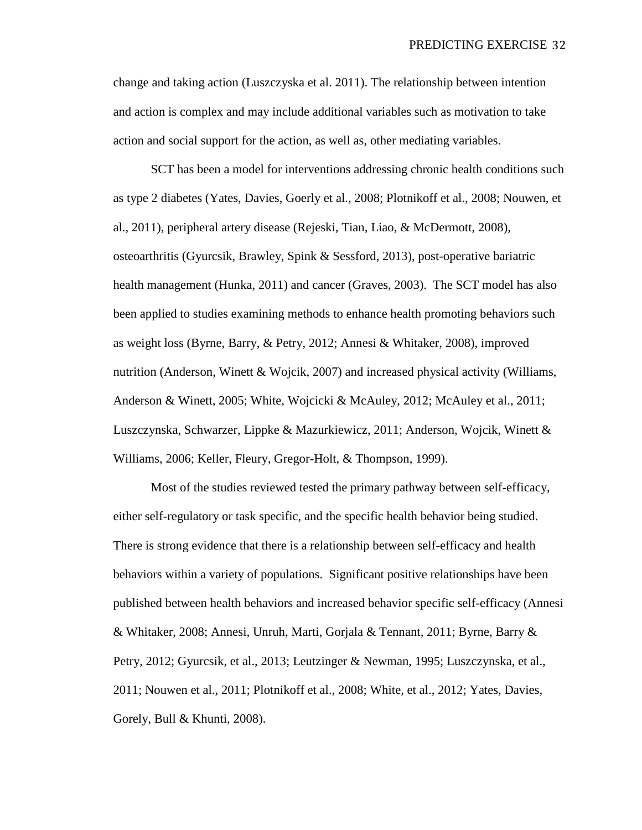change and taking action (Luszczyska et al. 2011). The relationship between intention and action is complex and may include additional variables such as motivation to take action and social support for the action, as well as, other mediating variables.

SCT has been a model for interventions addressing chronic health conditions such as type 2 diabetes (Yates, Davies, Goerly et al., 2008; Plotnikoff et al., 2008; Nouwen, et al., 2011), peripheral artery disease (Rejeski, Tian, Liao, & McDermott, 2008), osteoarthritis (Gyurcsik, Brawley, Spink & Sessford, 2013), post-operative bariatric health management (Hunka, 2011) and cancer (Graves, 2003). The SCT model has also been applied to studies examining methods to enhance health promoting behaviors such as weight loss (Byrne, Barry, & Petry, 2012; Annesi & Whitaker, 2008), improved nutrition (Anderson, Winett & Wojcik, 2007) and increased physical activity (Williams, Anderson & Winett, 2005; White, Wojcicki & McAuley, 2012; McAuley et al., 2011; Luszczynska, Schwarzer, Lippke & Mazurkiewicz, 2011; Anderson, Wojcik, Winett & Williams, 2006; Keller, Fleury, Gregor-Holt, & Thompson, 1999).

Most of the studies reviewed tested the primary pathway between self-efficacy, either self-regulatory or task specific, and the specific health behavior being studied. There is strong evidence that there is a relationship between self-efficacy and health behaviors within a variety of populations. Significant positive relationships have been published between health behaviors and increased behavior specific self-efficacy (Annesi & Whitaker, 2008; Annesi, Unruh, Marti, Gorjala & Tennant, 2011; Byrne, Barry & Petry, 2012; Gyurcsik, et al., 2013; Leutzinger & Newman, 1995; Luszczynska, et al., 2011; Nouwen et al., 2011; Plotnikoff et al., 2008; White, et al., 2012; Yates, Davies, Gorely, Bull & Khunti, 2008).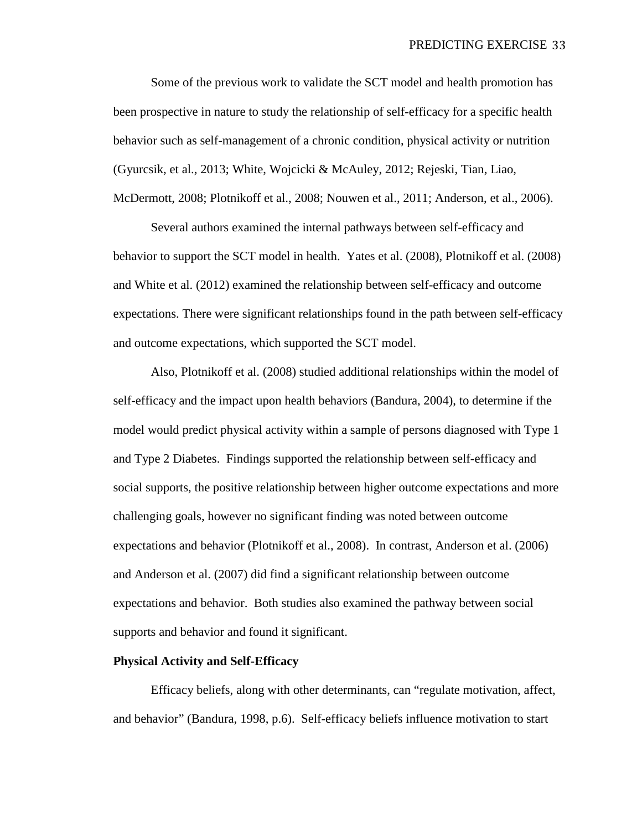Some of the previous work to validate the SCT model and health promotion has been prospective in nature to study the relationship of self-efficacy for a specific health behavior such as self-management of a chronic condition, physical activity or nutrition (Gyurcsik, et al., 2013; White, Wojcicki & McAuley, 2012; Rejeski, Tian, Liao, McDermott, 2008; Plotnikoff et al., 2008; Nouwen et al., 2011; Anderson, et al., 2006).

Several authors examined the internal pathways between self-efficacy and behavior to support the SCT model in health. Yates et al. (2008), Plotnikoff et al. (2008) and White et al. (2012) examined the relationship between self-efficacy and outcome expectations. There were significant relationships found in the path between self-efficacy and outcome expectations, which supported the SCT model.

Also, Plotnikoff et al. (2008) studied additional relationships within the model of self-efficacy and the impact upon health behaviors (Bandura, 2004), to determine if the model would predict physical activity within a sample of persons diagnosed with Type 1 and Type 2 Diabetes. Findings supported the relationship between self-efficacy and social supports, the positive relationship between higher outcome expectations and more challenging goals, however no significant finding was noted between outcome expectations and behavior (Plotnikoff et al., 2008). In contrast, Anderson et al. (2006) and Anderson et al. (2007) did find a significant relationship between outcome expectations and behavior. Both studies also examined the pathway between social supports and behavior and found it significant.

## **Physical Activity and Self-Efficacy**

Efficacy beliefs, along with other determinants, can "regulate motivation, affect, and behavior" (Bandura, 1998, p.6). Self-efficacy beliefs influence motivation to start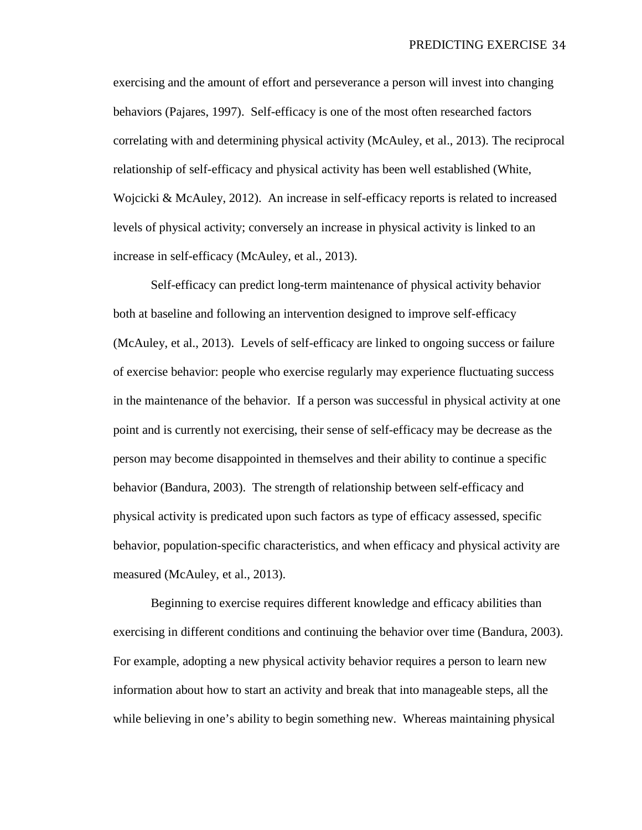exercising and the amount of effort and perseverance a person will invest into changing behaviors (Pajares, 1997). Self-efficacy is one of the most often researched factors correlating with and determining physical activity (McAuley, et al., 2013). The reciprocal relationship of self-efficacy and physical activity has been well established (White, Wojcicki & McAuley, 2012). An increase in self-efficacy reports is related to increased levels of physical activity; conversely an increase in physical activity is linked to an increase in self-efficacy (McAuley, et al., 2013).

Self-efficacy can predict long-term maintenance of physical activity behavior both at baseline and following an intervention designed to improve self-efficacy (McAuley, et al., 2013). Levels of self-efficacy are linked to ongoing success or failure of exercise behavior: people who exercise regularly may experience fluctuating success in the maintenance of the behavior. If a person was successful in physical activity at one point and is currently not exercising, their sense of self-efficacy may be decrease as the person may become disappointed in themselves and their ability to continue a specific behavior (Bandura, 2003). The strength of relationship between self-efficacy and physical activity is predicated upon such factors as type of efficacy assessed, specific behavior, population-specific characteristics, and when efficacy and physical activity are measured (McAuley, et al., 2013).

Beginning to exercise requires different knowledge and efficacy abilities than exercising in different conditions and continuing the behavior over time (Bandura, 2003). For example, adopting a new physical activity behavior requires a person to learn new information about how to start an activity and break that into manageable steps, all the while believing in one's ability to begin something new. Whereas maintaining physical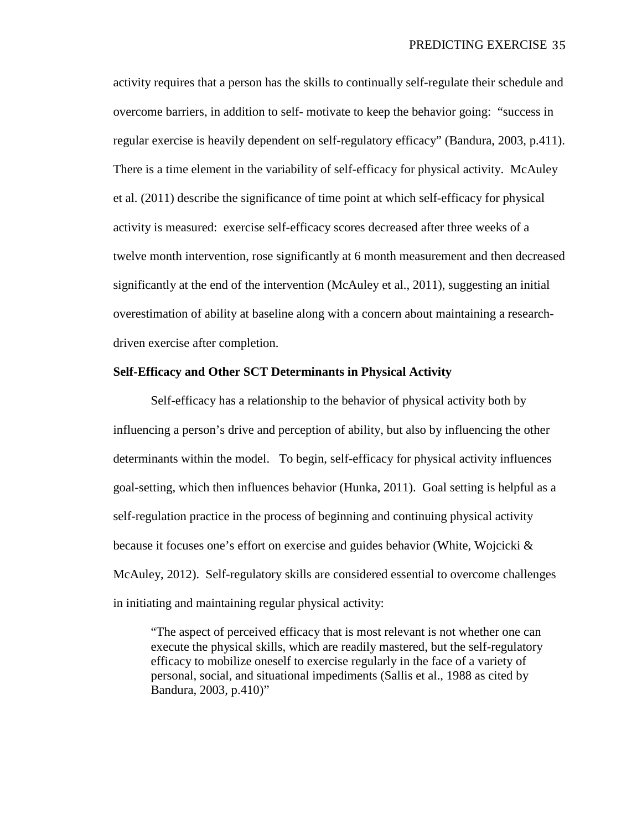activity requires that a person has the skills to continually self-regulate their schedule and overcome barriers, in addition to self- motivate to keep the behavior going: "success in regular exercise is heavily dependent on self-regulatory efficacy" (Bandura, 2003, p.411). There is a time element in the variability of self-efficacy for physical activity. McAuley et al. (2011) describe the significance of time point at which self-efficacy for physical activity is measured: exercise self-efficacy scores decreased after three weeks of a twelve month intervention, rose significantly at 6 month measurement and then decreased significantly at the end of the intervention (McAuley et al., 2011), suggesting an initial overestimation of ability at baseline along with a concern about maintaining a researchdriven exercise after completion.

# **Self-Efficacy and Other SCT Determinants in Physical Activity**

Self-efficacy has a relationship to the behavior of physical activity both by influencing a person's drive and perception of ability, but also by influencing the other determinants within the model. To begin, self-efficacy for physical activity influences goal-setting, which then influences behavior (Hunka, 2011). Goal setting is helpful as a self-regulation practice in the process of beginning and continuing physical activity because it focuses one's effort on exercise and guides behavior (White, Wojcicki  $\&$ McAuley, 2012). Self-regulatory skills are considered essential to overcome challenges in initiating and maintaining regular physical activity:

"The aspect of perceived efficacy that is most relevant is not whether one can execute the physical skills, which are readily mastered, but the self-regulatory efficacy to mobilize oneself to exercise regularly in the face of a variety of personal, social, and situational impediments (Sallis et al., 1988 as cited by Bandura, 2003, p.410)"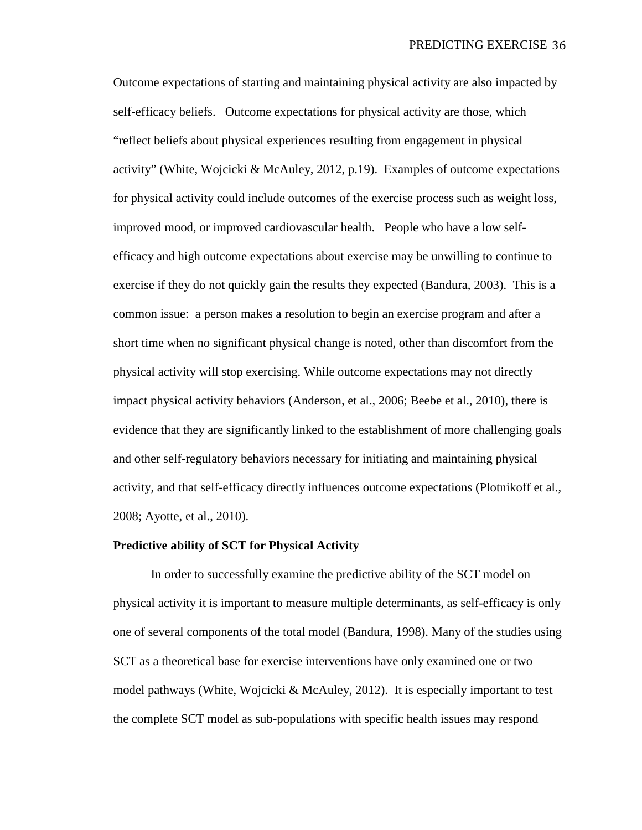Outcome expectations of starting and maintaining physical activity are also impacted by self-efficacy beliefs. Outcome expectations for physical activity are those, which "reflect beliefs about physical experiences resulting from engagement in physical activity" (White, Wojcicki & McAuley, 2012, p.19). Examples of outcome expectations for physical activity could include outcomes of the exercise process such as weight loss, improved mood, or improved cardiovascular health. People who have a low selfefficacy and high outcome expectations about exercise may be unwilling to continue to exercise if they do not quickly gain the results they expected (Bandura, 2003). This is a common issue: a person makes a resolution to begin an exercise program and after a short time when no significant physical change is noted, other than discomfort from the physical activity will stop exercising. While outcome expectations may not directly impact physical activity behaviors (Anderson, et al., 2006; Beebe et al., 2010), there is evidence that they are significantly linked to the establishment of more challenging goals and other self-regulatory behaviors necessary for initiating and maintaining physical activity, and that self-efficacy directly influences outcome expectations (Plotnikoff et al., 2008; Ayotte, et al., 2010).

#### **Predictive ability of SCT for Physical Activity**

In order to successfully examine the predictive ability of the SCT model on physical activity it is important to measure multiple determinants, as self-efficacy is only one of several components of the total model (Bandura, 1998). Many of the studies using SCT as a theoretical base for exercise interventions have only examined one or two model pathways (White, Wojcicki  $\&$  McAuley, 2012). It is especially important to test the complete SCT model as sub-populations with specific health issues may respond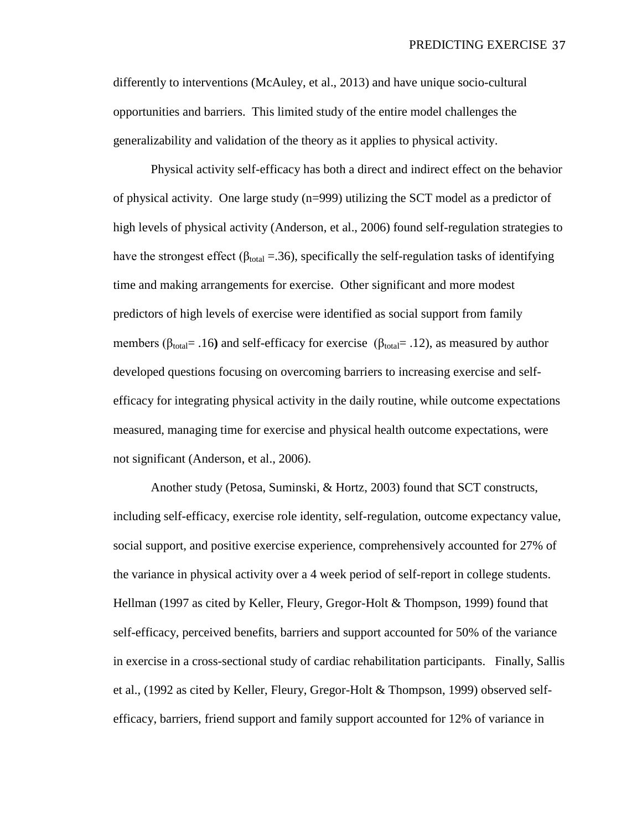differently to interventions (McAuley, et al., 2013) and have unique socio-cultural opportunities and barriers. This limited study of the entire model challenges the generalizability and validation of the theory as it applies to physical activity.

Physical activity self-efficacy has both a direct and indirect effect on the behavior of physical activity. One large study (n=999) utilizing the SCT model as a predictor of high levels of physical activity (Anderson, et al., 2006) found self-regulation strategies to have the strongest effect ( $\beta_{total} = .36$ ), specifically the self-regulation tasks of identifying time and making arrangements for exercise. Other significant and more modest predictors of high levels of exercise were identified as social support from family members ( $\beta_{\text{total}}$ = .16) and self-efficacy for exercise ( $\beta_{\text{total}}$ = .12), as measured by author developed questions focusing on overcoming barriers to increasing exercise and selfefficacy for integrating physical activity in the daily routine, while outcome expectations measured, managing time for exercise and physical health outcome expectations, were not significant (Anderson, et al., 2006).

Another study (Petosa, Suminski, & Hortz, 2003) found that SCT constructs, including self-efficacy, exercise role identity, self-regulation, outcome expectancy value, social support, and positive exercise experience, comprehensively accounted for 27% of the variance in physical activity over a 4 week period of self-report in college students. Hellman (1997 as cited by Keller, Fleury, Gregor-Holt & Thompson, 1999) found that self-efficacy, perceived benefits, barriers and support accounted for 50% of the variance in exercise in a cross-sectional study of cardiac rehabilitation participants. Finally, Sallis et al., (1992 as cited by Keller, Fleury, Gregor-Holt & Thompson, 1999) observed selfefficacy, barriers, friend support and family support accounted for 12% of variance in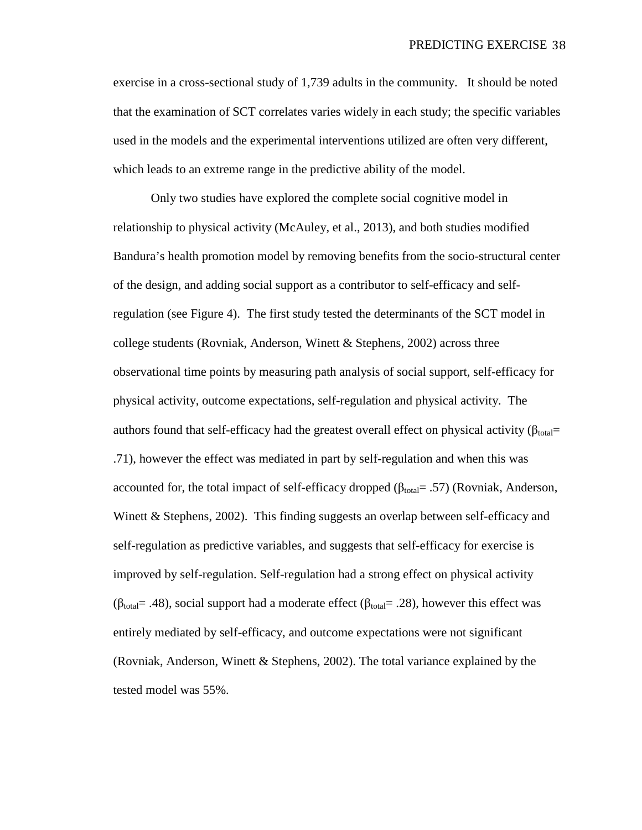exercise in a cross-sectional study of 1,739 adults in the community. It should be noted that the examination of SCT correlates varies widely in each study; the specific variables used in the models and the experimental interventions utilized are often very different, which leads to an extreme range in the predictive ability of the model.

Only two studies have explored the complete social cognitive model in relationship to physical activity (McAuley, et al., 2013), and both studies modified Bandura's health promotion model by removing benefits from the socio-structural center of the design, and adding social support as a contributor to self-efficacy and selfregulation (see Figure 4). The first study tested the determinants of the SCT model in college students (Rovniak, Anderson, Winett & Stephens, 2002) across three observational time points by measuring path analysis of social support, self-efficacy for physical activity, outcome expectations, self-regulation and physical activity. The authors found that self-efficacy had the greatest overall effect on physical activity ( $\beta_{total}$ = .71), however the effect was mediated in part by self-regulation and when this was accounted for, the total impact of self-efficacy dropped ( $\beta_{\text{total}}$ = .57) (Rovniak, Anderson, Winett & Stephens, 2002). This finding suggests an overlap between self-efficacy and self-regulation as predictive variables, and suggests that self-efficacy for exercise is improved by self-regulation. Self-regulation had a strong effect on physical activity (β<sub>total</sub> = .48), social support had a moderate effect (β<sub>total</sub> = .28), however this effect was entirely mediated by self-efficacy, and outcome expectations were not significant (Rovniak, Anderson, Winett & Stephens, 2002). The total variance explained by the tested model was 55%.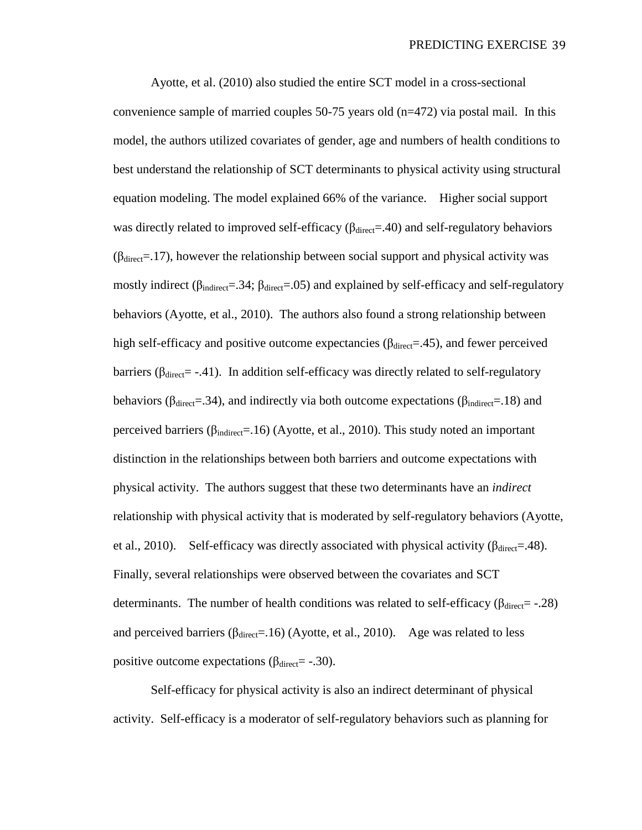Ayotte, et al. (2010) also studied the entire SCT model in a cross-sectional convenience sample of married couples 50-75 years old (n=472) via postal mail. In this model, the authors utilized covariates of gender, age and numbers of health conditions to best understand the relationship of SCT determinants to physical activity using structural equation modeling. The model explained 66% of the variance. Higher social support was directly related to improved self-efficacy ( $\beta_{\text{direct}}$ =.40) and self-regulatory behaviors  $(\beta_{\text{direct}}=17)$ , however the relationship between social support and physical activity was mostly indirect ( $\beta_{indirect}$ =.34;  $\beta_{direct}$ =.05) and explained by self-efficacy and self-regulatory behaviors (Ayotte, et al., 2010). The authors also found a strong relationship between high self-efficacy and positive outcome expectancies ( $\beta_{\text{direct}}$ =.45), and fewer perceived barriers ( $\beta_{\text{direct}}$  = -.41). In addition self-efficacy was directly related to self-regulatory behaviors ( $\beta_{\text{direct}}$ =.34), and indirectly via both outcome expectations ( $\beta_{\text{indirect}}$ =.18) and perceived barriers ( $β<sub>indirect</sub>=.16$ ) (Ayotte, et al., 2010). This study noted an important distinction in the relationships between both barriers and outcome expectations with physical activity. The authors suggest that these two determinants have an *indirect* relationship with physical activity that is moderated by self-regulatory behaviors (Ayotte, et al., 2010). Self-efficacy was directly associated with physical activity ( $\beta_{\text{direct}}$ =.48). Finally, several relationships were observed between the covariates and SCT determinants. The number of health conditions was related to self-efficacy ( $\beta_{\text{direct}}$  -.28) and perceived barriers ( $\beta_{\text{direct}}$ =.16) (Ayotte, et al., 2010). Age was related to less positive outcome expectations ( $β<sub>direct</sub> = -0.30$ ).

Self-efficacy for physical activity is also an indirect determinant of physical activity. Self-efficacy is a moderator of self-regulatory behaviors such as planning for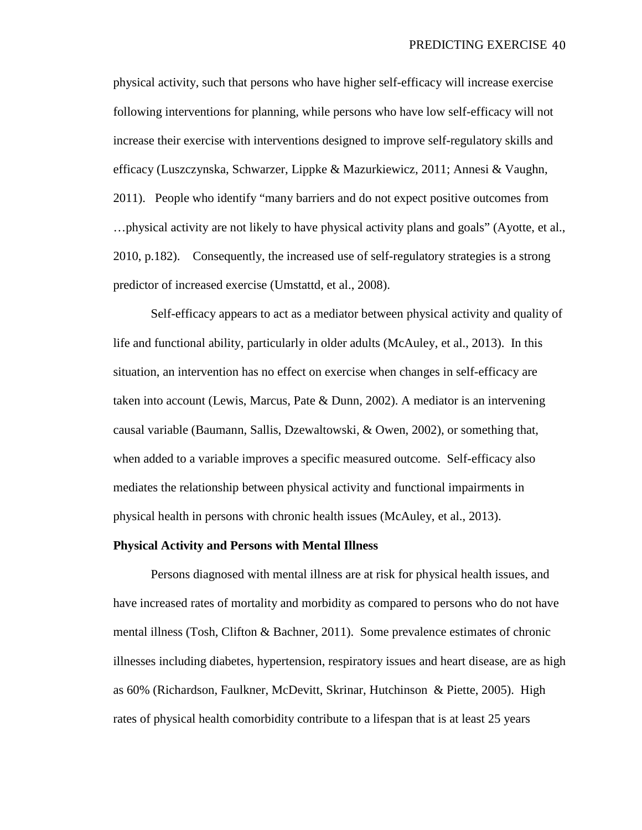physical activity, such that persons who have higher self-efficacy will increase exercise following interventions for planning, while persons who have low self-efficacy will not increase their exercise with interventions designed to improve self-regulatory skills and efficacy (Luszczynska, Schwarzer, Lippke & Mazurkiewicz, 2011; Annesi & Vaughn, 2011). People who identify "many barriers and do not expect positive outcomes from …physical activity are not likely to have physical activity plans and goals" (Ayotte, et al., 2010, p.182). Consequently, the increased use of self-regulatory strategies is a strong predictor of increased exercise (Umstattd, et al., 2008).

Self-efficacy appears to act as a mediator between physical activity and quality of life and functional ability, particularly in older adults (McAuley, et al., 2013). In this situation, an intervention has no effect on exercise when changes in self-efficacy are taken into account (Lewis, Marcus, Pate & Dunn, 2002). A mediator is an intervening causal variable (Baumann, Sallis, Dzewaltowski, & Owen, 2002), or something that, when added to a variable improves a specific measured outcome. Self-efficacy also mediates the relationship between physical activity and functional impairments in physical health in persons with chronic health issues (McAuley, et al., 2013).

#### **Physical Activity and Persons with Mental Illness**

Persons diagnosed with mental illness are at risk for physical health issues, and have increased rates of mortality and morbidity as compared to persons who do not have mental illness (Tosh, Clifton & Bachner, 2011). Some prevalence estimates of chronic illnesses including diabetes, hypertension, respiratory issues and heart disease, are as high as 60% (Richardson, Faulkner, McDevitt, Skrinar, Hutchinson & Piette, 2005). High rates of physical health comorbidity contribute to a lifespan that is at least 25 years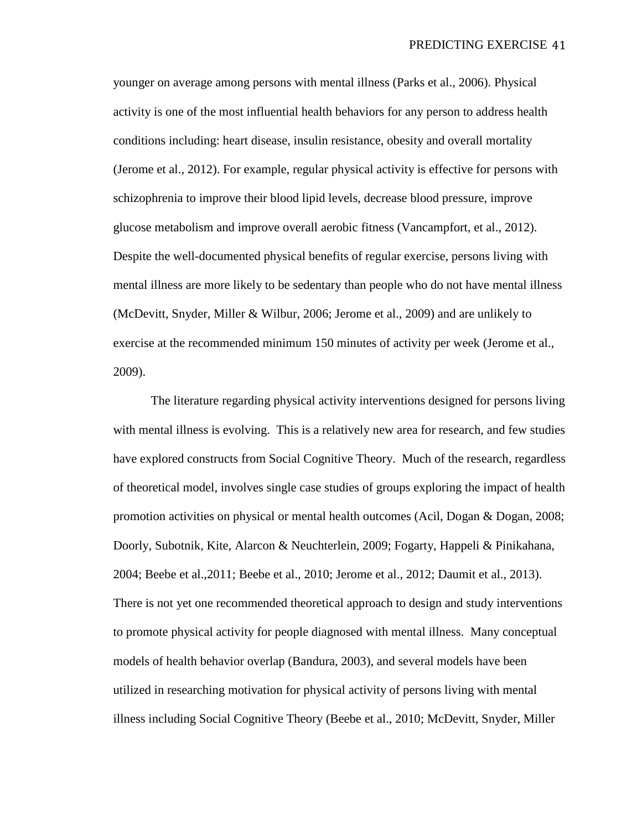younger on average among persons with mental illness (Parks et al., 2006). Physical activity is one of the most influential health behaviors for any person to address health conditions including: heart disease, insulin resistance, obesity and overall mortality (Jerome et al., 2012). For example, regular physical activity is effective for persons with schizophrenia to improve their blood lipid levels, decrease blood pressure, improve glucose metabolism and improve overall aerobic fitness (Vancampfort, et al., 2012). Despite the well-documented physical benefits of regular exercise, persons living with mental illness are more likely to be sedentary than people who do not have mental illness (McDevitt, Snyder, Miller & Wilbur, 2006; Jerome et al., 2009) and are unlikely to exercise at the recommended minimum 150 minutes of activity per week (Jerome et al., 2009).

The literature regarding physical activity interventions designed for persons living with mental illness is evolving. This is a relatively new area for research, and few studies have explored constructs from Social Cognitive Theory. Much of the research, regardless of theoretical model, involves single case studies of groups exploring the impact of health promotion activities on physical or mental health outcomes (Acil, Dogan & Dogan, 2008; Doorly, Subotnik, Kite, Alarcon & Neuchterlein, 2009; Fogarty, Happeli & Pinikahana, 2004; Beebe et al.,2011; Beebe et al., 2010; Jerome et al., 2012; Daumit et al., 2013). There is not yet one recommended theoretical approach to design and study interventions to promote physical activity for people diagnosed with mental illness. Many conceptual models of health behavior overlap (Bandura, 2003), and several models have been utilized in researching motivation for physical activity of persons living with mental illness including Social Cognitive Theory (Beebe et al., 2010; McDevitt, Snyder, Miller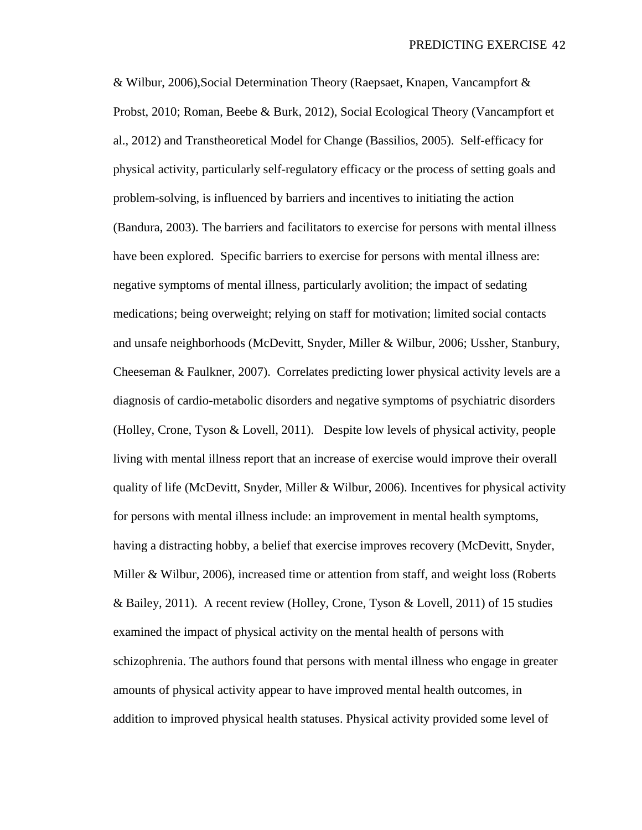& Wilbur, 2006),Social Determination Theory (Raepsaet, Knapen, Vancampfort & Probst, 2010; Roman, Beebe & Burk, 2012), Social Ecological Theory (Vancampfort et al., 2012) and Transtheoretical Model for Change (Bassilios, 2005). Self-efficacy for physical activity, particularly self-regulatory efficacy or the process of setting goals and problem-solving, is influenced by barriers and incentives to initiating the action (Bandura, 2003). The barriers and facilitators to exercise for persons with mental illness have been explored. Specific barriers to exercise for persons with mental illness are: negative symptoms of mental illness, particularly avolition; the impact of sedating medications; being overweight; relying on staff for motivation; limited social contacts and unsafe neighborhoods (McDevitt, Snyder, Miller & Wilbur, 2006; Ussher, Stanbury, Cheeseman & Faulkner, 2007). Correlates predicting lower physical activity levels are a diagnosis of cardio-metabolic disorders and negative symptoms of psychiatric disorders (Holley, Crone, Tyson & Lovell, 2011). Despite low levels of physical activity, people living with mental illness report that an increase of exercise would improve their overall quality of life (McDevitt, Snyder, Miller & Wilbur, 2006). Incentives for physical activity for persons with mental illness include: an improvement in mental health symptoms, having a distracting hobby, a belief that exercise improves recovery (McDevitt, Snyder, Miller & Wilbur, 2006), increased time or attention from staff, and weight loss (Roberts & Bailey, 2011). A recent review (Holley, Crone, Tyson & Lovell, 2011) of 15 studies examined the impact of physical activity on the mental health of persons with schizophrenia. The authors found that persons with mental illness who engage in greater amounts of physical activity appear to have improved mental health outcomes, in addition to improved physical health statuses. Physical activity provided some level of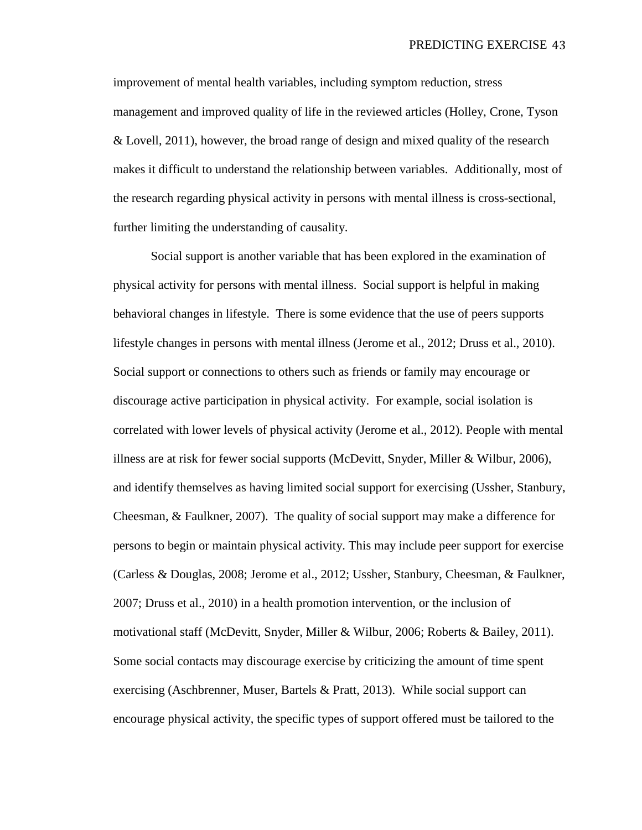improvement of mental health variables, including symptom reduction, stress management and improved quality of life in the reviewed articles (Holley, Crone, Tyson & Lovell, 2011), however, the broad range of design and mixed quality of the research makes it difficult to understand the relationship between variables. Additionally, most of the research regarding physical activity in persons with mental illness is cross-sectional, further limiting the understanding of causality.

Social support is another variable that has been explored in the examination of physical activity for persons with mental illness. Social support is helpful in making behavioral changes in lifestyle. There is some evidence that the use of peers supports lifestyle changes in persons with mental illness (Jerome et al., 2012; Druss et al., 2010). Social support or connections to others such as friends or family may encourage or discourage active participation in physical activity. For example, social isolation is correlated with lower levels of physical activity (Jerome et al., 2012). People with mental illness are at risk for fewer social supports (McDevitt, Snyder, Miller & Wilbur, 2006), and identify themselves as having limited social support for exercising (Ussher, Stanbury, Cheesman, & Faulkner, 2007). The quality of social support may make a difference for persons to begin or maintain physical activity. This may include peer support for exercise (Carless & Douglas, 2008; Jerome et al., 2012; Ussher, Stanbury, Cheesman, & Faulkner, 2007; Druss et al., 2010) in a health promotion intervention, or the inclusion of motivational staff (McDevitt, Snyder, Miller & Wilbur, 2006; Roberts & Bailey, 2011). Some social contacts may discourage exercise by criticizing the amount of time spent exercising (Aschbrenner, Muser, Bartels & Pratt, 2013). While social support can encourage physical activity, the specific types of support offered must be tailored to the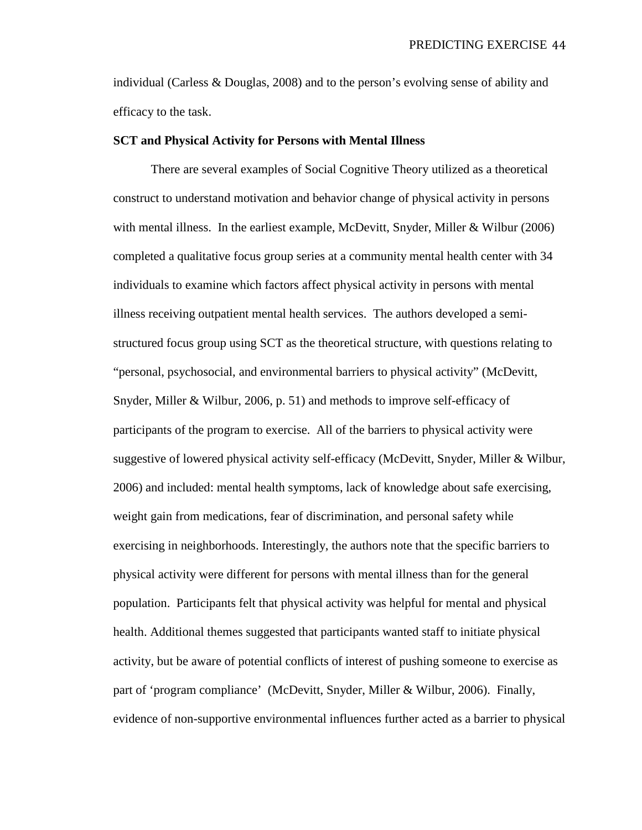individual (Carless & Douglas, 2008) and to the person's evolving sense of ability and efficacy to the task.

### **SCT and Physical Activity for Persons with Mental Illness**

There are several examples of Social Cognitive Theory utilized as a theoretical construct to understand motivation and behavior change of physical activity in persons with mental illness. In the earliest example, McDevitt, Snyder, Miller & Wilbur (2006) completed a qualitative focus group series at a community mental health center with 34 individuals to examine which factors affect physical activity in persons with mental illness receiving outpatient mental health services. The authors developed a semistructured focus group using SCT as the theoretical structure, with questions relating to "personal, psychosocial, and environmental barriers to physical activity" (McDevitt, Snyder, Miller & Wilbur, 2006, p. 51) and methods to improve self-efficacy of participants of the program to exercise. All of the barriers to physical activity were suggestive of lowered physical activity self-efficacy (McDevitt, Snyder, Miller & Wilbur, 2006) and included: mental health symptoms, lack of knowledge about safe exercising, weight gain from medications, fear of discrimination, and personal safety while exercising in neighborhoods. Interestingly, the authors note that the specific barriers to physical activity were different for persons with mental illness than for the general population. Participants felt that physical activity was helpful for mental and physical health. Additional themes suggested that participants wanted staff to initiate physical activity, but be aware of potential conflicts of interest of pushing someone to exercise as part of 'program compliance' (McDevitt, Snyder, Miller & Wilbur, 2006). Finally, evidence of non-supportive environmental influences further acted as a barrier to physical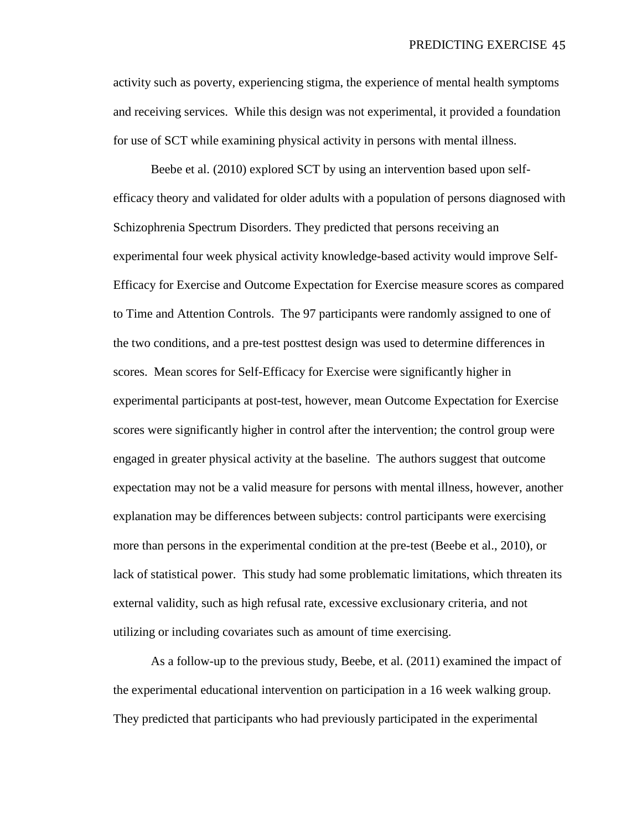activity such as poverty, experiencing stigma, the experience of mental health symptoms and receiving services. While this design was not experimental, it provided a foundation for use of SCT while examining physical activity in persons with mental illness.

Beebe et al. (2010) explored SCT by using an intervention based upon selfefficacy theory and validated for older adults with a population of persons diagnosed with Schizophrenia Spectrum Disorders. They predicted that persons receiving an experimental four week physical activity knowledge-based activity would improve Self-Efficacy for Exercise and Outcome Expectation for Exercise measure scores as compared to Time and Attention Controls. The 97 participants were randomly assigned to one of the two conditions, and a pre-test posttest design was used to determine differences in scores. Mean scores for Self-Efficacy for Exercise were significantly higher in experimental participants at post-test, however, mean Outcome Expectation for Exercise scores were significantly higher in control after the intervention; the control group were engaged in greater physical activity at the baseline. The authors suggest that outcome expectation may not be a valid measure for persons with mental illness, however, another explanation may be differences between subjects: control participants were exercising more than persons in the experimental condition at the pre-test (Beebe et al., 2010), or lack of statistical power. This study had some problematic limitations, which threaten its external validity, such as high refusal rate, excessive exclusionary criteria, and not utilizing or including covariates such as amount of time exercising.

As a follow-up to the previous study, Beebe, et al. (2011) examined the impact of the experimental educational intervention on participation in a 16 week walking group. They predicted that participants who had previously participated in the experimental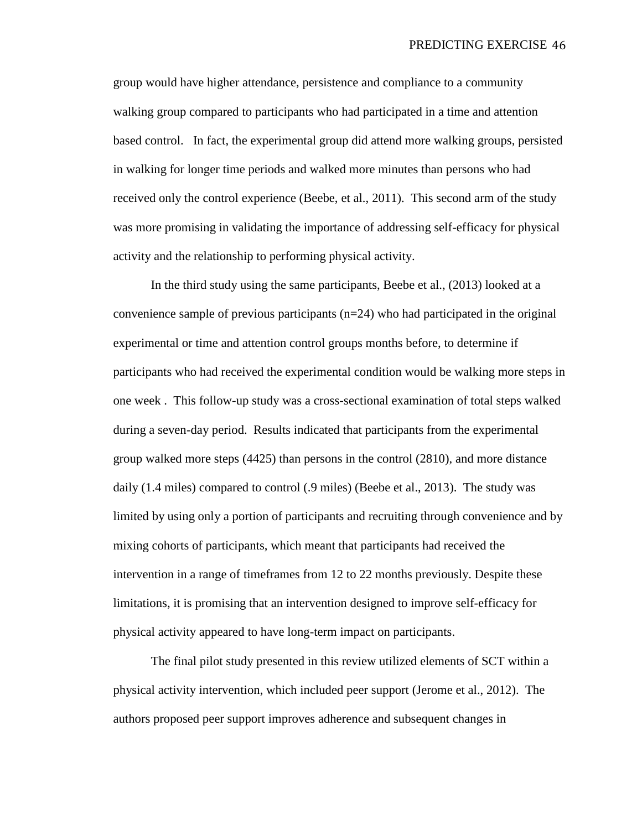group would have higher attendance, persistence and compliance to a community walking group compared to participants who had participated in a time and attention based control. In fact, the experimental group did attend more walking groups, persisted in walking for longer time periods and walked more minutes than persons who had received only the control experience (Beebe, et al., 2011). This second arm of the study was more promising in validating the importance of addressing self-efficacy for physical activity and the relationship to performing physical activity.

In the third study using the same participants, Beebe et al., (2013) looked at a convenience sample of previous participants  $(n=24)$  who had participated in the original experimental or time and attention control groups months before, to determine if participants who had received the experimental condition would be walking more steps in one week . This follow-up study was a cross-sectional examination of total steps walked during a seven-day period. Results indicated that participants from the experimental group walked more steps (4425) than persons in the control (2810), and more distance daily (1.4 miles) compared to control (.9 miles) (Beebe et al., 2013). The study was limited by using only a portion of participants and recruiting through convenience and by mixing cohorts of participants, which meant that participants had received the intervention in a range of timeframes from 12 to 22 months previously. Despite these limitations, it is promising that an intervention designed to improve self-efficacy for physical activity appeared to have long-term impact on participants.

The final pilot study presented in this review utilized elements of SCT within a physical activity intervention, which included peer support (Jerome et al., 2012). The authors proposed peer support improves adherence and subsequent changes in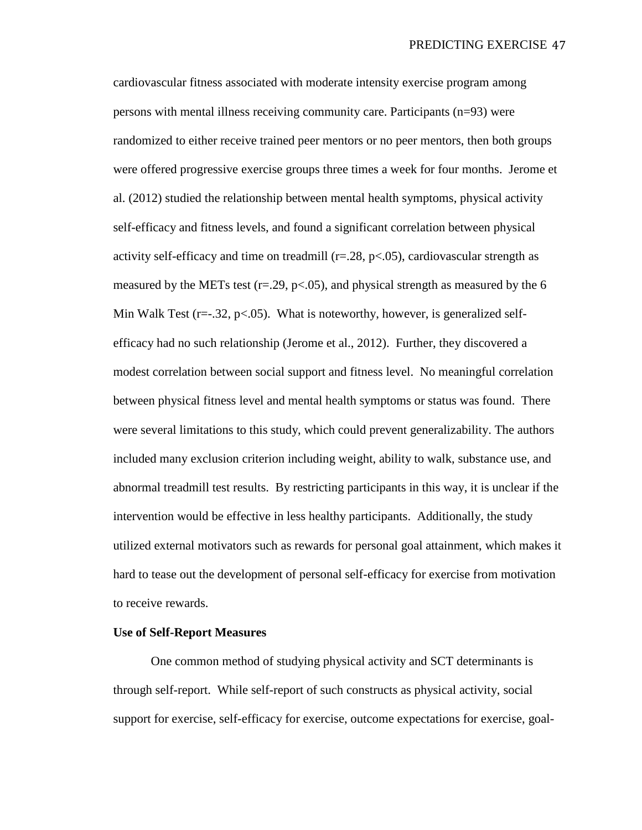cardiovascular fitness associated with moderate intensity exercise program among persons with mental illness receiving community care. Participants (n=93) were randomized to either receive trained peer mentors or no peer mentors, then both groups were offered progressive exercise groups three times a week for four months. Jerome et al. (2012) studied the relationship between mental health symptoms, physical activity self-efficacy and fitness levels, and found a significant correlation between physical activity self-efficacy and time on treadmill ( $r=0.28$ ,  $p<0.05$ ), cardiovascular strength as measured by the METs test ( $r = 0.29$ ,  $p < 0.05$ ), and physical strength as measured by the 6 Min Walk Test ( $r=-.32$ ,  $p<-0.05$ ). What is noteworthy, however, is generalized selfefficacy had no such relationship (Jerome et al., 2012). Further, they discovered a modest correlation between social support and fitness level. No meaningful correlation between physical fitness level and mental health symptoms or status was found. There were several limitations to this study, which could prevent generalizability. The authors included many exclusion criterion including weight, ability to walk, substance use, and abnormal treadmill test results. By restricting participants in this way, it is unclear if the intervention would be effective in less healthy participants. Additionally, the study utilized external motivators such as rewards for personal goal attainment, which makes it hard to tease out the development of personal self-efficacy for exercise from motivation to receive rewards.

### **Use of Self-Report Measures**

One common method of studying physical activity and SCT determinants is through self-report. While self-report of such constructs as physical activity, social support for exercise, self-efficacy for exercise, outcome expectations for exercise, goal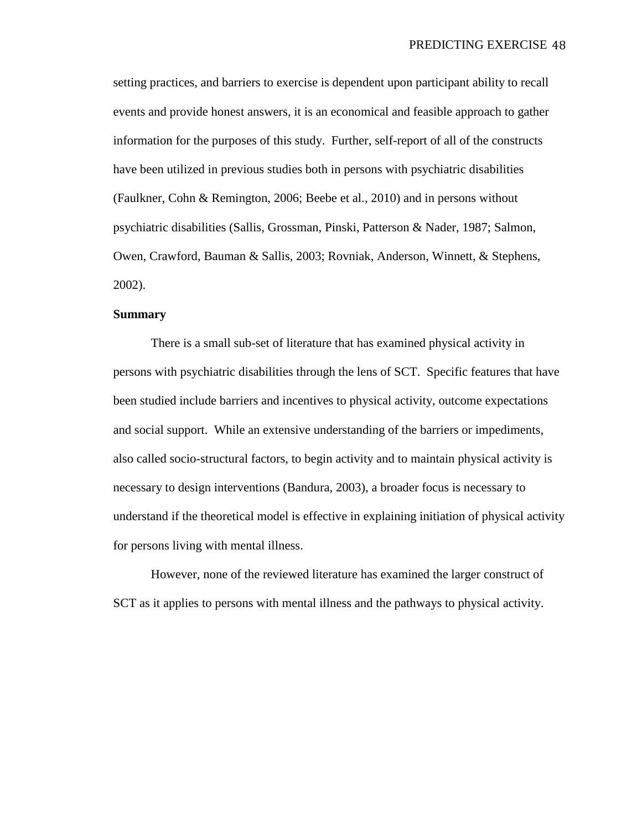setting practices, and barriers to exercise is dependent upon participant ability to recall events and provide honest answers, it is an economical and feasible approach to gather information for the purposes of this study. Further, self-report of all of the constructs have been utilized in previous studies both in persons with psychiatric disabilities (Faulkner, Cohn & Remington, 2006; Beebe et al., 2010) and in persons without psychiatric disabilities (Sallis, Grossman, Pinski, Patterson & Nader, 1987; Salmon, Owen, Crawford, Bauman & Sallis, 2003; Rovniak, Anderson, Winnett, & Stephens, 2002).

## **Summary**

There is a small sub-set of literature that has examined physical activity in persons with psychiatric disabilities through the lens of SCT. Specific features that have been studied include barriers and incentives to physical activity, outcome expectations and social support. While an extensive understanding of the barriers or impediments, also called socio-structural factors, to begin activity and to maintain physical activity is necessary to design interventions (Bandura, 2003), a broader focus is necessary to understand if the theoretical model is effective in explaining initiation of physical activity for persons living with mental illness.

However, none of the reviewed literature has examined the larger construct of SCT as it applies to persons with mental illness and the pathways to physical activity.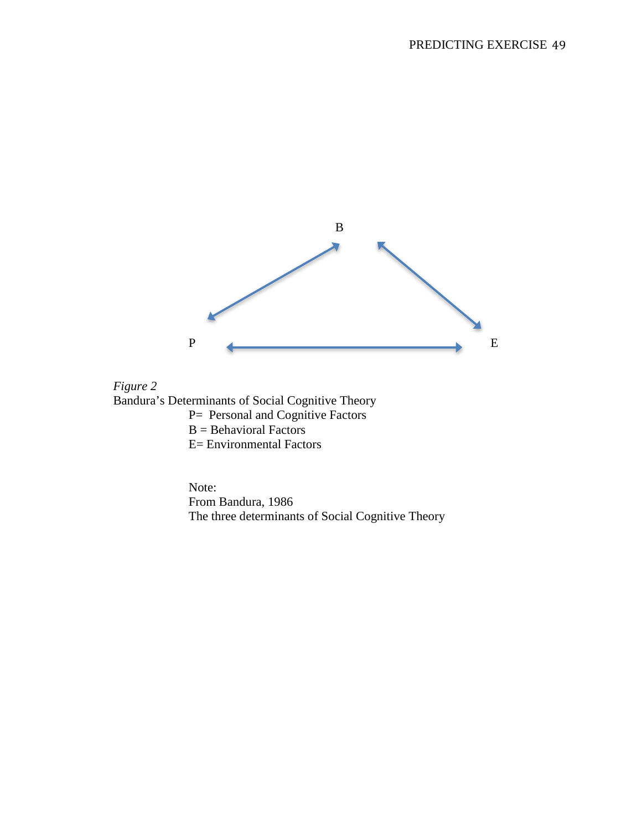



Note: From Bandura, 1986 The three determinants of Social Cognitive Theory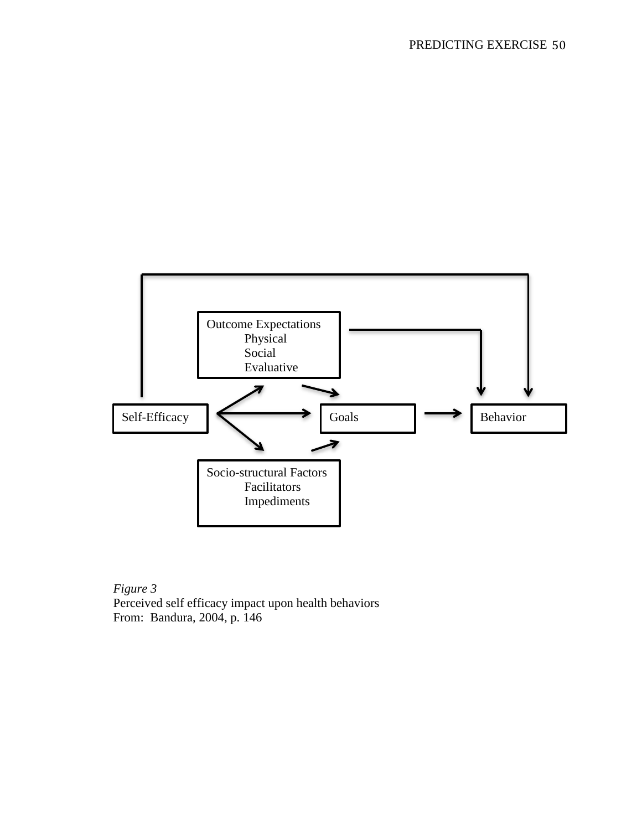

*Figure 3* Perceived self efficacy impact upon health behaviors From: Bandura, 2004, p. 146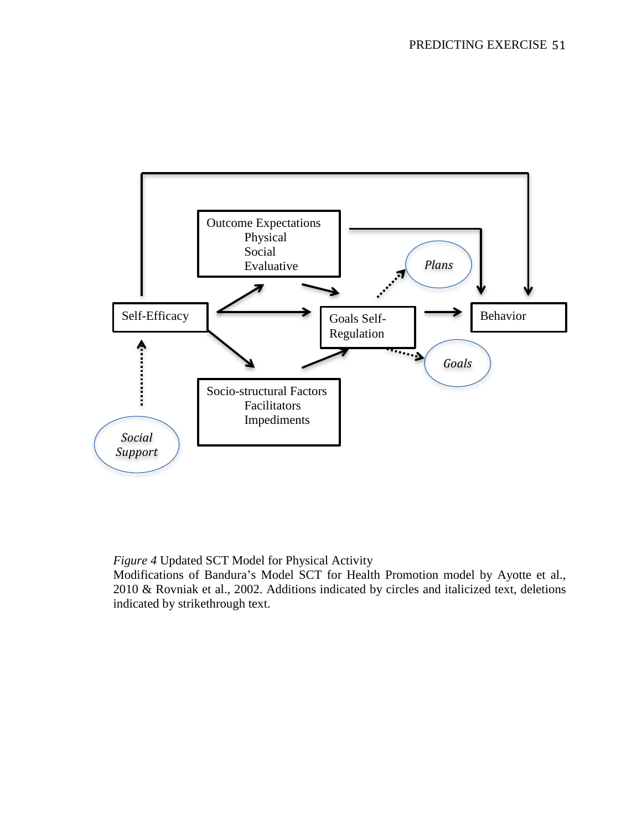

*Figure 4* Updated SCT Model for Physical Activity

Modifications of Bandura's Model SCT for Health Promotion model by Ayotte et al., 2010 & Rovniak et al., 2002. Additions indicated by circles and italicized text, deletions indicated by strikethrough text.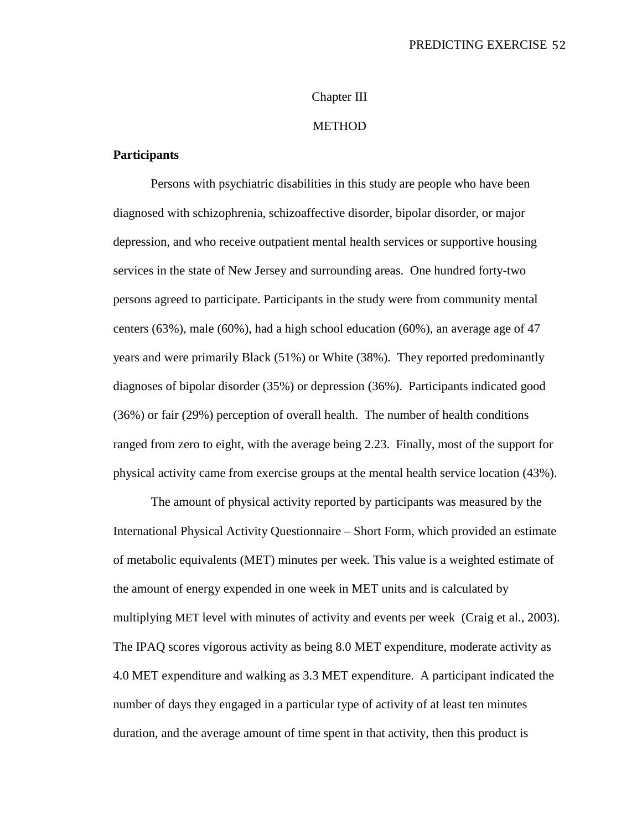# Chapter III

# METHOD

# **Participants**

Persons with psychiatric disabilities in this study are people who have been diagnosed with schizophrenia, schizoaffective disorder, bipolar disorder, or major depression, and who receive outpatient mental health services or supportive housing services in the state of New Jersey and surrounding areas. One hundred forty-two persons agreed to participate. Participants in the study were from community mental centers (63%), male (60%), had a high school education (60%), an average age of 47 years and were primarily Black (51%) or White (38%). They reported predominantly diagnoses of bipolar disorder (35%) or depression (36%). Participants indicated good (36%) or fair (29%) perception of overall health. The number of health conditions ranged from zero to eight, with the average being 2.23. Finally, most of the support for physical activity came from exercise groups at the mental health service location (43%).

The amount of physical activity reported by participants was measured by the International Physical Activity Questionnaire – Short Form, which provided an estimate of metabolic equivalents (MET) minutes per week. This value is a weighted estimate of the amount of energy expended in one week in MET units and is calculated by multiplying MET level with minutes of activity and events per week (Craig et al., 2003). The IPAQ scores vigorous activity as being 8.0 MET expenditure, moderate activity as 4.0 MET expenditure and walking as 3.3 MET expenditure. A participant indicated the number of days they engaged in a particular type of activity of at least ten minutes duration, and the average amount of time spent in that activity, then this product is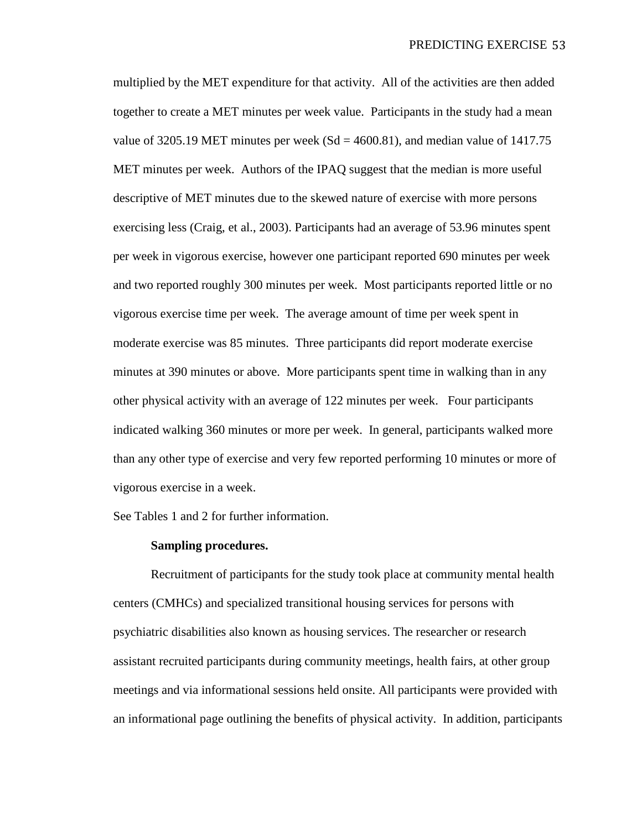multiplied by the MET expenditure for that activity. All of the activities are then added together to create a MET minutes per week value. Participants in the study had a mean value of 3205.19 MET minutes per week ( $Sd = 4600.81$ ), and median value of 1417.75 MET minutes per week. Authors of the IPAQ suggest that the median is more useful descriptive of MET minutes due to the skewed nature of exercise with more persons exercising less (Craig, et al., 2003). Participants had an average of 53.96 minutes spent per week in vigorous exercise, however one participant reported 690 minutes per week and two reported roughly 300 minutes per week. Most participants reported little or no vigorous exercise time per week. The average amount of time per week spent in moderate exercise was 85 minutes. Three participants did report moderate exercise minutes at 390 minutes or above. More participants spent time in walking than in any other physical activity with an average of 122 minutes per week. Four participants indicated walking 360 minutes or more per week. In general, participants walked more than any other type of exercise and very few reported performing 10 minutes or more of vigorous exercise in a week.

See Tables 1 and 2 for further information.

### **Sampling procedures.**

Recruitment of participants for the study took place at community mental health centers (CMHCs) and specialized transitional housing services for persons with psychiatric disabilities also known as housing services. The researcher or research assistant recruited participants during community meetings, health fairs, at other group meetings and via informational sessions held onsite. All participants were provided with an informational page outlining the benefits of physical activity. In addition, participants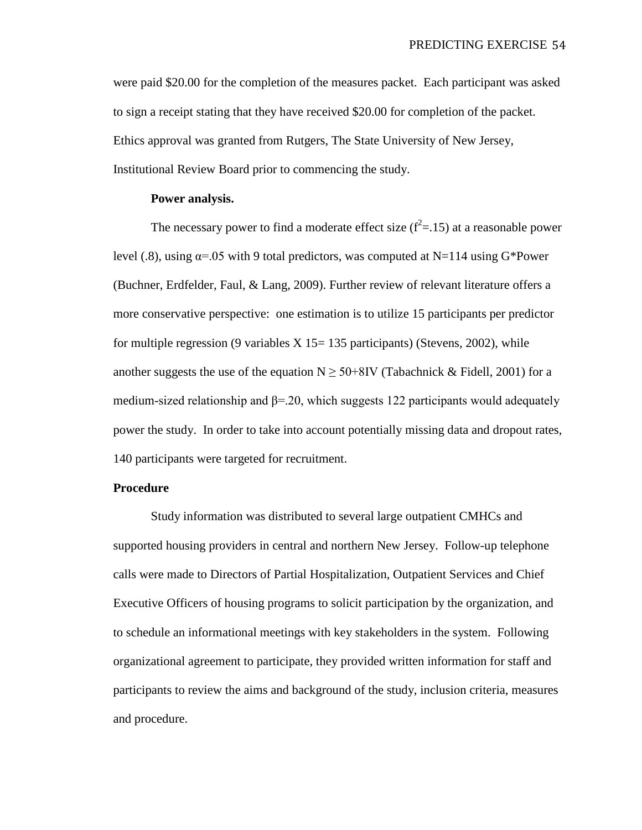were paid \$20.00 for the completion of the measures packet. Each participant was asked to sign a receipt stating that they have received \$20.00 for completion of the packet. Ethics approval was granted from Rutgers, The State University of New Jersey, Institutional Review Board prior to commencing the study.

## **Power analysis.**

The necessary power to find a moderate effect size  $(f^2=15)$  at a reasonable power level (.8), using  $\alpha$ =.05 with 9 total predictors, was computed at N=114 using G\*Power (Buchner, Erdfelder, Faul, & Lang, 2009). Further review of relevant literature offers a more conservative perspective: one estimation is to utilize 15 participants per predictor for multiple regression (9 variables  $X$  15 = 135 participants) (Stevens, 2002), while another suggests the use of the equation  $N \geq 50+8$ IV (Tabachnick & Fidell, 2001) for a medium-sized relationship and  $\beta$ =.20, which suggests 122 participants would adequately power the study. In order to take into account potentially missing data and dropout rates, 140 participants were targeted for recruitment.

## **Procedure**

Study information was distributed to several large outpatient CMHCs and supported housing providers in central and northern New Jersey. Follow-up telephone calls were made to Directors of Partial Hospitalization, Outpatient Services and Chief Executive Officers of housing programs to solicit participation by the organization, and to schedule an informational meetings with key stakeholders in the system. Following organizational agreement to participate, they provided written information for staff and participants to review the aims and background of the study, inclusion criteria, measures and procedure.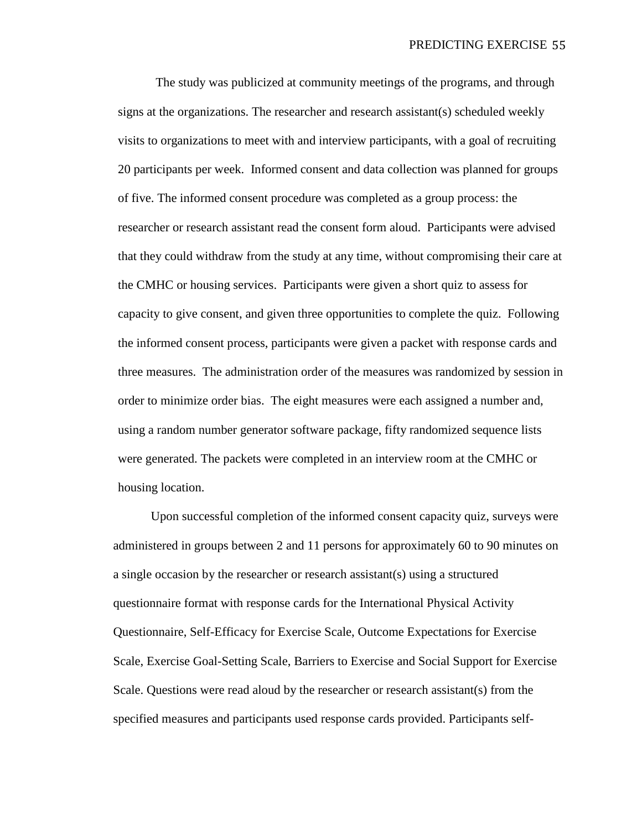The study was publicized at community meetings of the programs, and through signs at the organizations. The researcher and research assistant(s) scheduled weekly visits to organizations to meet with and interview participants, with a goal of recruiting 20 participants per week. Informed consent and data collection was planned for groups of five. The informed consent procedure was completed as a group process: the researcher or research assistant read the consent form aloud. Participants were advised that they could withdraw from the study at any time, without compromising their care at the CMHC or housing services. Participants were given a short quiz to assess for capacity to give consent, and given three opportunities to complete the quiz. Following the informed consent process, participants were given a packet with response cards and three measures. The administration order of the measures was randomized by session in order to minimize order bias. The eight measures were each assigned a number and, using a random number generator software package, fifty randomized sequence lists were generated. The packets were completed in an interview room at the CMHC or housing location.

Upon successful completion of the informed consent capacity quiz, surveys were administered in groups between 2 and 11 persons for approximately 60 to 90 minutes on a single occasion by the researcher or research assistant(s) using a structured questionnaire format with response cards for the International Physical Activity Questionnaire, Self-Efficacy for Exercise Scale, Outcome Expectations for Exercise Scale, Exercise Goal-Setting Scale, Barriers to Exercise and Social Support for Exercise Scale. Questions were read aloud by the researcher or research assistant(s) from the specified measures and participants used response cards provided. Participants self-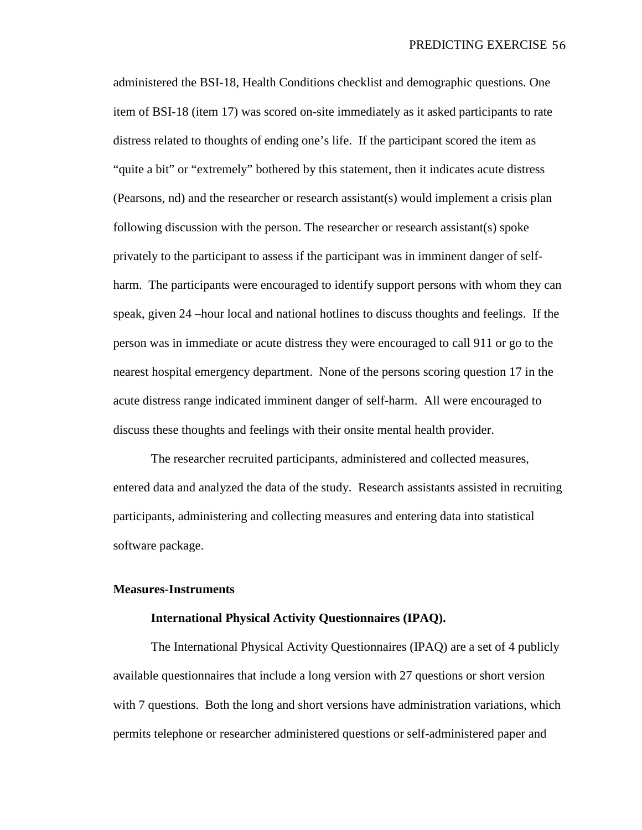administered the BSI-18, Health Conditions checklist and demographic questions. One item of BSI-18 (item 17) was scored on-site immediately as it asked participants to rate distress related to thoughts of ending one's life. If the participant scored the item as "quite a bit" or "extremely" bothered by this statement, then it indicates acute distress (Pearsons, nd) and the researcher or research assistant(s) would implement a crisis plan following discussion with the person. The researcher or research assistant(s) spoke privately to the participant to assess if the participant was in imminent danger of selfharm. The participants were encouraged to identify support persons with whom they can speak, given 24 –hour local and national hotlines to discuss thoughts and feelings. If the person was in immediate or acute distress they were encouraged to call 911 or go to the nearest hospital emergency department. None of the persons scoring question 17 in the acute distress range indicated imminent danger of self-harm. All were encouraged to discuss these thoughts and feelings with their onsite mental health provider.

The researcher recruited participants, administered and collected measures, entered data and analyzed the data of the study. Research assistants assisted in recruiting participants, administering and collecting measures and entering data into statistical software package.

### **Measures-Instruments**

# **International Physical Activity Questionnaires (IPAQ).**

The International Physical Activity Questionnaires (IPAQ) are a set of 4 publicly available questionnaires that include a long version with 27 questions or short version with 7 questions. Both the long and short versions have administration variations, which permits telephone or researcher administered questions or self-administered paper and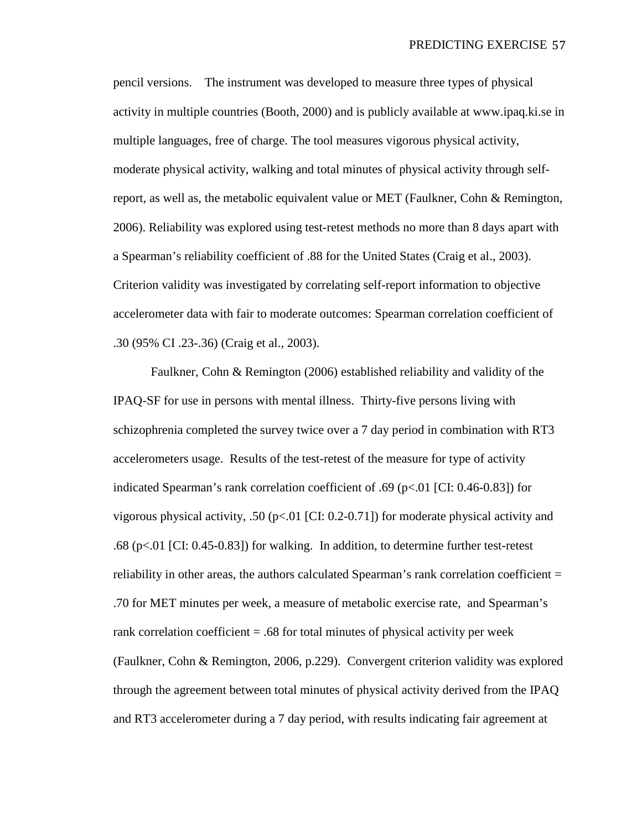pencil versions. The instrument was developed to measure three types of physical activity in multiple countries (Booth, 2000) and is publicly available at www.ipaq.ki.se in multiple languages, free of charge. The tool measures vigorous physical activity, moderate physical activity, walking and total minutes of physical activity through selfreport, as well as, the metabolic equivalent value or MET (Faulkner, Cohn & Remington, 2006). Reliability was explored using test-retest methods no more than 8 days apart with a Spearman's reliability coefficient of .88 for the United States (Craig et al., 2003). Criterion validity was investigated by correlating self-report information to objective accelerometer data with fair to moderate outcomes: Spearman correlation coefficient of .30 (95% CI .23-.36) (Craig et al., 2003).

Faulkner, Cohn & Remington (2006) established reliability and validity of the IPAQ-SF for use in persons with mental illness. Thirty-five persons living with schizophrenia completed the survey twice over a 7 day period in combination with RT3 accelerometers usage. Results of the test-retest of the measure for type of activity indicated Spearman's rank correlation coefficient of .69 (p<.01 [CI: 0.46-0.83]) for vigorous physical activity, .50 ( $p<01$  [CI: 0.2-0.71]) for moderate physical activity and .68 (p<.01 [CI: 0.45-0.83]) for walking. In addition, to determine further test-retest reliability in other areas, the authors calculated Spearman's rank correlation coefficient = .70 for MET minutes per week, a measure of metabolic exercise rate, and Spearman's rank correlation coefficient = .68 for total minutes of physical activity per week (Faulkner, Cohn & Remington, 2006, p.229). Convergent criterion validity was explored through the agreement between total minutes of physical activity derived from the IPAQ and RT3 accelerometer during a 7 day period, with results indicating fair agreement at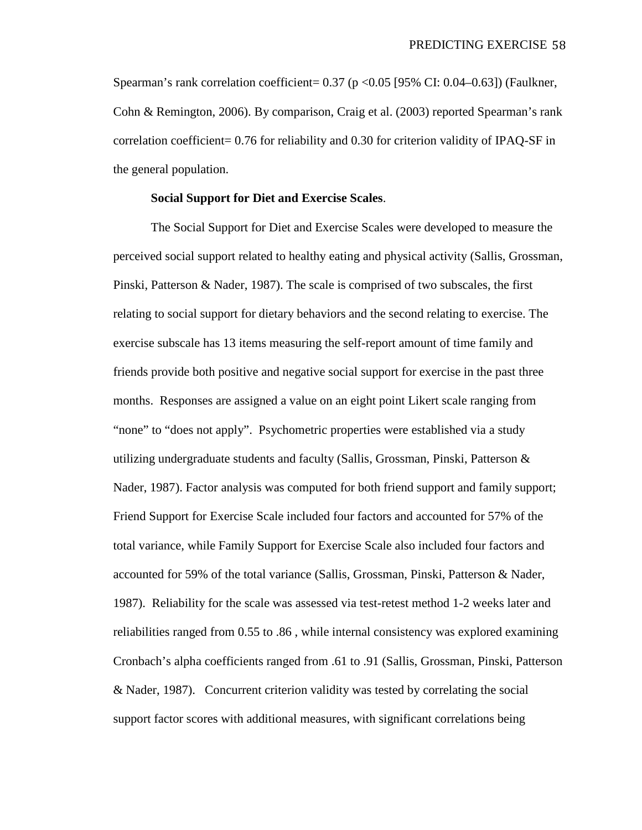Spearman's rank correlation coefficient=  $0.37$  (p < 0.05 [95% CI: 0.04–0.63]) (Faulkner, Cohn & Remington, 2006). By comparison, Craig et al. (2003) reported Spearman's rank correlation coefficient= 0.76 for reliability and 0.30 for criterion validity of IPAQ-SF in the general population.

# **Social Support for Diet and Exercise Scales**.

The Social Support for Diet and Exercise Scales were developed to measure the perceived social support related to healthy eating and physical activity (Sallis, Grossman, Pinski, Patterson & Nader, 1987). The scale is comprised of two subscales, the first relating to social support for dietary behaviors and the second relating to exercise. The exercise subscale has 13 items measuring the self-report amount of time family and friends provide both positive and negative social support for exercise in the past three months. Responses are assigned a value on an eight point Likert scale ranging from "none" to "does not apply". Psychometric properties were established via a study utilizing undergraduate students and faculty (Sallis, Grossman, Pinski, Patterson  $\&$ Nader, 1987). Factor analysis was computed for both friend support and family support; Friend Support for Exercise Scale included four factors and accounted for 57% of the total variance, while Family Support for Exercise Scale also included four factors and accounted for 59% of the total variance (Sallis, Grossman, Pinski, Patterson & Nader, 1987). Reliability for the scale was assessed via test-retest method 1-2 weeks later and reliabilities ranged from 0.55 to .86 , while internal consistency was explored examining Cronbach's alpha coefficients ranged from .61 to .91 (Sallis, Grossman, Pinski, Patterson & Nader, 1987). Concurrent criterion validity was tested by correlating the social support factor scores with additional measures, with significant correlations being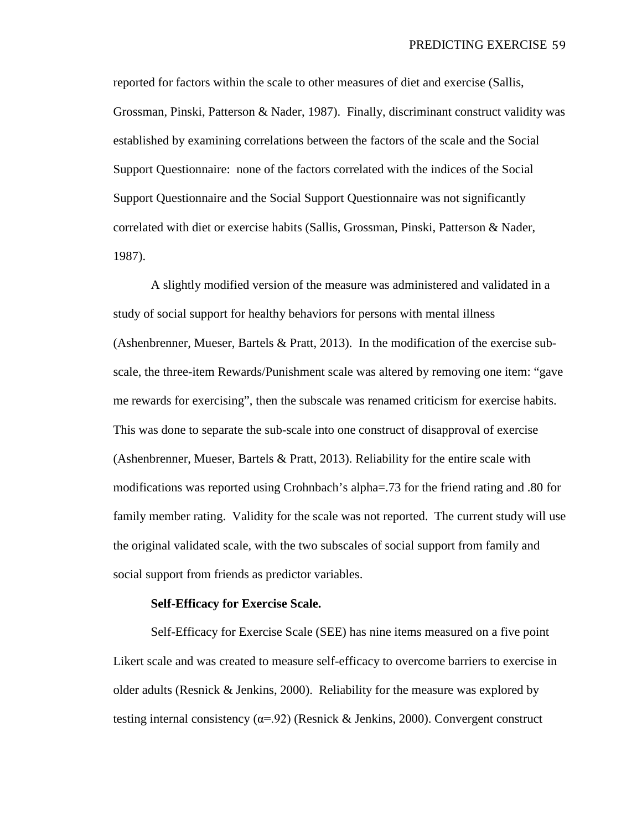reported for factors within the scale to other measures of diet and exercise (Sallis, Grossman, Pinski, Patterson & Nader, 1987). Finally, discriminant construct validity was established by examining correlations between the factors of the scale and the Social Support Questionnaire: none of the factors correlated with the indices of the Social Support Questionnaire and the Social Support Questionnaire was not significantly correlated with diet or exercise habits (Sallis, Grossman, Pinski, Patterson & Nader, 1987).

A slightly modified version of the measure was administered and validated in a study of social support for healthy behaviors for persons with mental illness (Ashenbrenner, Mueser, Bartels & Pratt, 2013). In the modification of the exercise subscale, the three-item Rewards/Punishment scale was altered by removing one item: "gave me rewards for exercising", then the subscale was renamed criticism for exercise habits. This was done to separate the sub-scale into one construct of disapproval of exercise (Ashenbrenner, Mueser, Bartels & Pratt, 2013). Reliability for the entire scale with modifications was reported using Crohnbach's alpha=.73 for the friend rating and .80 for family member rating. Validity for the scale was not reported. The current study will use the original validated scale, with the two subscales of social support from family and social support from friends as predictor variables.

### **Self-Efficacy for Exercise Scale.**

Self-Efficacy for Exercise Scale (SEE) has nine items measured on a five point Likert scale and was created to measure self-efficacy to overcome barriers to exercise in older adults (Resnick  $&$  Jenkins, 2000). Reliability for the measure was explored by testing internal consistency ( $\alpha$ =.92) (Resnick & Jenkins, 2000). Convergent construct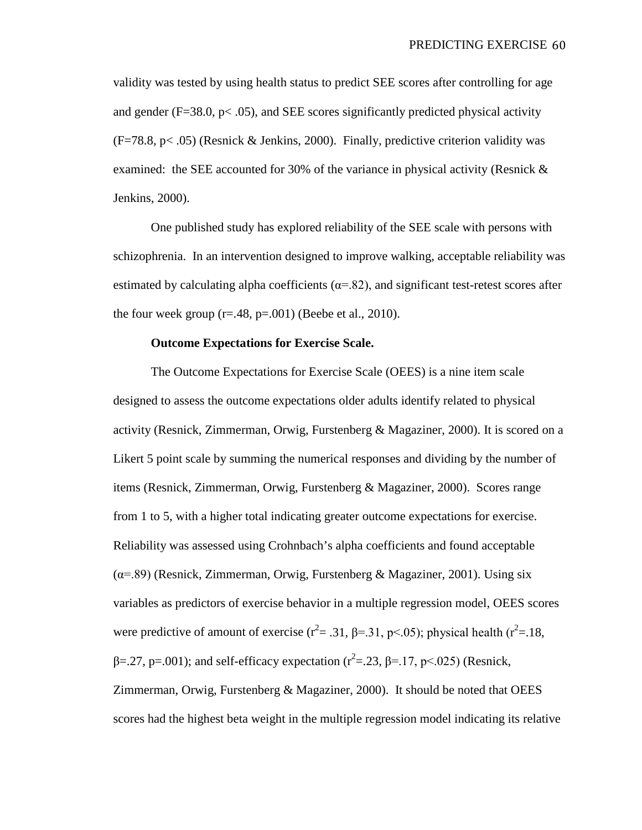validity was tested by using health status to predict SEE scores after controlling for age and gender ( $F=38.0$ ,  $p<.05$ ), and SEE scores significantly predicted physical activity  $(F=78.8, p< .05)$  (Resnick & Jenkins, 2000). Finally, predictive criterion validity was examined: the SEE accounted for 30% of the variance in physical activity (Resnick & Jenkins, 2000).

One published study has explored reliability of the SEE scale with persons with schizophrenia. In an intervention designed to improve walking, acceptable reliability was estimated by calculating alpha coefficients ( $\alpha$ =.82), and significant test-retest scores after the four week group  $(r=.48, p=.001)$  (Beebe et al., 2010).

## **Outcome Expectations for Exercise Scale.**

The Outcome Expectations for Exercise Scale (OEES) is a nine item scale designed to assess the outcome expectations older adults identify related to physical activity (Resnick, Zimmerman, Orwig, Furstenberg & Magaziner, 2000). It is scored on a Likert 5 point scale by summing the numerical responses and dividing by the number of items (Resnick, Zimmerman, Orwig, Furstenberg & Magaziner, 2000). Scores range from 1 to 5, with a higher total indicating greater outcome expectations for exercise. Reliability was assessed using Crohnbach's alpha coefficients and found acceptable  $(\alpha = 89)$  (Resnick, Zimmerman, Orwig, Furstenberg & Magaziner, 2001). Using six variables as predictors of exercise behavior in a multiple regression model, OEES scores were predictive of amount of exercise ( $r^2 = .31$ ,  $\beta = .31$ ,  $p < .05$ ); physical health ( $r^2 = .18$ , β=.27, p=.001); and self-efficacy expectation ( $r^2$ =.23, β=.17, p<.025) (Resnick, Zimmerman, Orwig, Furstenberg & Magaziner, 2000). It should be noted that OEES scores had the highest beta weight in the multiple regression model indicating its relative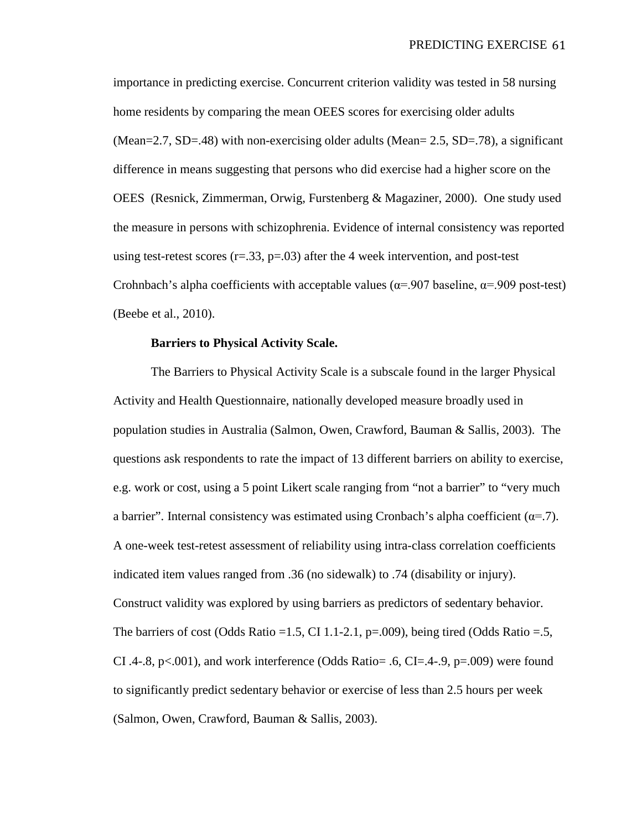importance in predicting exercise. Concurrent criterion validity was tested in 58 nursing home residents by comparing the mean OEES scores for exercising older adults (Mean=2.7, SD=.48) with non-exercising older adults (Mean=  $2.5$ , SD=.78), a significant difference in means suggesting that persons who did exercise had a higher score on the OEES (Resnick, Zimmerman, Orwig, Furstenberg & Magaziner, 2000). One study used the measure in persons with schizophrenia. Evidence of internal consistency was reported using test-retest scores  $(r=.33, p=.03)$  after the 4 week intervention, and post-test Crohnbach's alpha coefficients with acceptable values ( $\alpha$ =.907 baseline,  $\alpha$ =.909 post-test) (Beebe et al., 2010).

## **Barriers to Physical Activity Scale.**

The Barriers to Physical Activity Scale is a subscale found in the larger Physical Activity and Health Questionnaire, nationally developed measure broadly used in population studies in Australia (Salmon, Owen, Crawford, Bauman & Sallis, 2003). The questions ask respondents to rate the impact of 13 different barriers on ability to exercise, e.g. work or cost, using a 5 point Likert scale ranging from "not a barrier" to "very much a barrier". Internal consistency was estimated using Cronbach's alpha coefficient  $(\alpha = .7)$ . A one-week test-retest assessment of reliability using intra-class correlation coefficients indicated item values ranged from .36 (no sidewalk) to .74 (disability or injury). Construct validity was explored by using barriers as predictors of sedentary behavior. The barriers of cost (Odds Ratio = 1.5, CI 1.1-2.1, p=.009), being tired (Odds Ratio = .5, CI .4-.8, p<.001), and work interference (Odds Ratio= .6, CI=.4-.9, p=.009) were found to significantly predict sedentary behavior or exercise of less than 2.5 hours per week (Salmon, Owen, Crawford, Bauman & Sallis, 2003).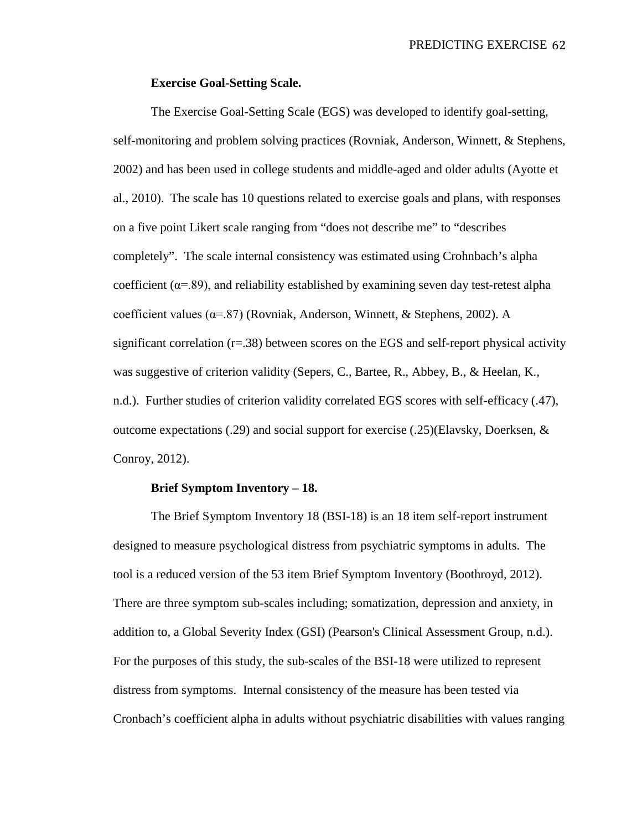## **Exercise Goal-Setting Scale.**

The Exercise Goal-Setting Scale (EGS) was developed to identify goal-setting, self-monitoring and problem solving practices (Rovniak, Anderson, Winnett, & Stephens, 2002) and has been used in college students and middle-aged and older adults (Ayotte et al., 2010). The scale has 10 questions related to exercise goals and plans, with responses on a five point Likert scale ranging from "does not describe me" to "describes completely". The scale internal consistency was estimated using Crohnbach's alpha coefficient ( $\alpha$ =.89), and reliability established by examining seven day test-retest alpha coefficient values ( $\alpha$ =.87) (Rovniak, Anderson, Winnett, & Stephens, 2002). A significant correlation  $(r=.38)$  between scores on the EGS and self-report physical activity was suggestive of criterion validity (Sepers, C., Bartee, R., Abbey, B., & Heelan, K., n.d.). Further studies of criterion validity correlated EGS scores with self-efficacy (.47), outcome expectations (.29) and social support for exercise (.25)(Elavsky, Doerksen,  $\&$ Conroy, 2012).

## **Brief Symptom Inventory – 18.**

The Brief Symptom Inventory 18 (BSI-18) is an 18 item self-report instrument designed to measure psychological distress from psychiatric symptoms in adults. The tool is a reduced version of the 53 item Brief Symptom Inventory (Boothroyd, 2012). There are three symptom sub-scales including; somatization, depression and anxiety, in addition to, a Global Severity Index (GSI) (Pearson's Clinical Assessment Group, n.d.). For the purposes of this study, the sub-scales of the BSI-18 were utilized to represent distress from symptoms. Internal consistency of the measure has been tested via Cronbach's coefficient alpha in adults without psychiatric disabilities with values ranging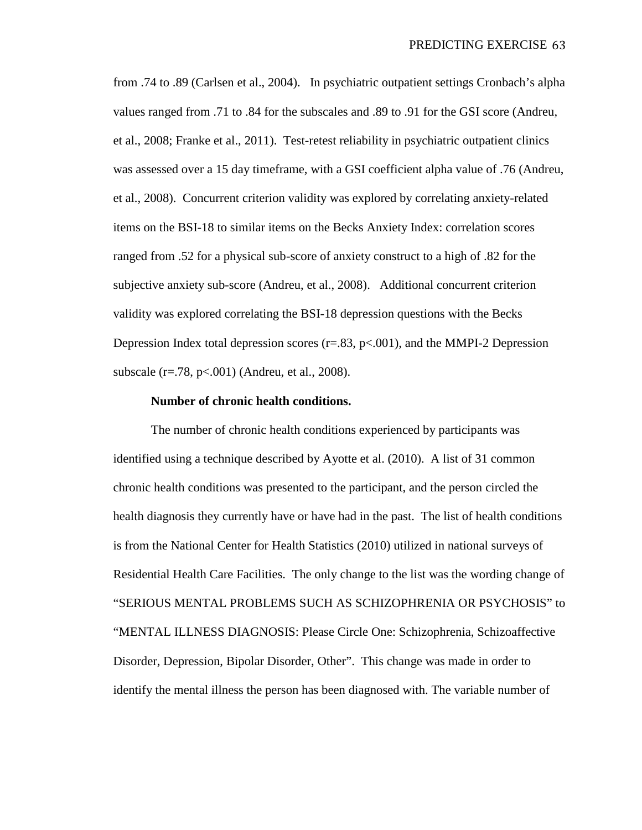from .74 to .89 (Carlsen et al., 2004). In psychiatric outpatient settings Cronbach's alpha values ranged from .71 to .84 for the subscales and .89 to .91 for the GSI score (Andreu, et al., 2008; Franke et al., 2011). Test-retest reliability in psychiatric outpatient clinics was assessed over a 15 day timeframe, with a GSI coefficient alpha value of .76 (Andreu, et al., 2008). Concurrent criterion validity was explored by correlating anxiety-related items on the BSI-18 to similar items on the Becks Anxiety Index: correlation scores ranged from .52 for a physical sub-score of anxiety construct to a high of .82 for the subjective anxiety sub-score (Andreu, et al., 2008). Additional concurrent criterion validity was explored correlating the BSI-18 depression questions with the Becks Depression Index total depression scores  $(r=.83, p<.001)$ , and the MMPI-2 Depression subscale (r=.78, p<.001) (Andreu, et al., 2008).

### **Number of chronic health conditions.**

The number of chronic health conditions experienced by participants was identified using a technique described by Ayotte et al. (2010). A list of 31 common chronic health conditions was presented to the participant, and the person circled the health diagnosis they currently have or have had in the past. The list of health conditions is from the National Center for Health Statistics (2010) utilized in national surveys of Residential Health Care Facilities. The only change to the list was the wording change of "SERIOUS MENTAL PROBLEMS SUCH AS SCHIZOPHRENIA OR PSYCHOSIS" to "MENTAL ILLNESS DIAGNOSIS: Please Circle One: Schizophrenia, Schizoaffective Disorder, Depression, Bipolar Disorder, Other". This change was made in order to identify the mental illness the person has been diagnosed with. The variable number of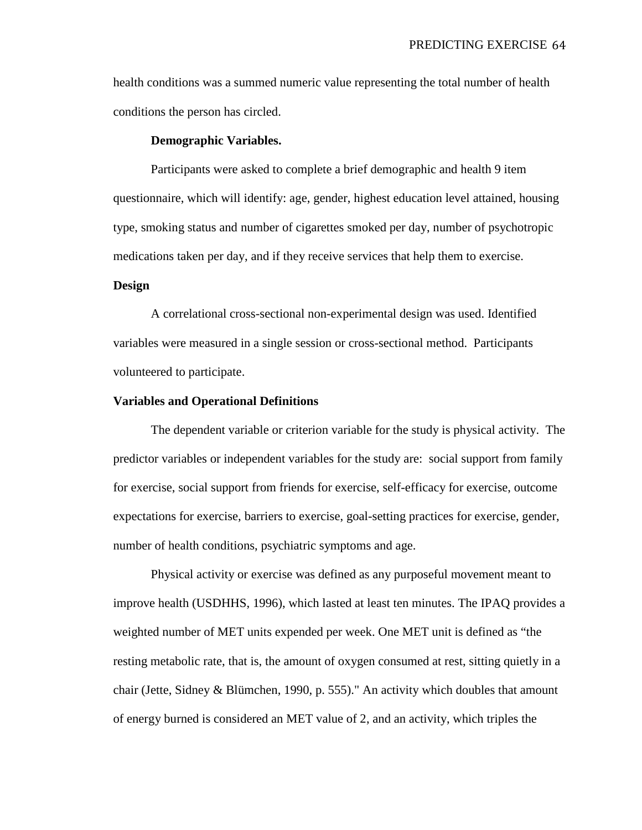health conditions was a summed numeric value representing the total number of health conditions the person has circled.

## **Demographic Variables.**

Participants were asked to complete a brief demographic and health 9 item questionnaire, which will identify: age, gender, highest education level attained, housing type, smoking status and number of cigarettes smoked per day, number of psychotropic medications taken per day, and if they receive services that help them to exercise.

# **Design**

A correlational cross-sectional non-experimental design was used. Identified variables were measured in a single session or cross-sectional method. Participants volunteered to participate.

## **Variables and Operational Definitions**

The dependent variable or criterion variable for the study is physical activity. The predictor variables or independent variables for the study are: social support from family for exercise, social support from friends for exercise, self-efficacy for exercise, outcome expectations for exercise, barriers to exercise, goal-setting practices for exercise, gender, number of health conditions, psychiatric symptoms and age.

Physical activity or exercise was defined as any purposeful movement meant to improve health (USDHHS, 1996), which lasted at least ten minutes. The IPAQ provides a weighted number of MET units expended per week. One MET unit is defined as "the resting metabolic rate, that is, the amount of oxygen consumed at rest, sitting quietly in a chair (Jette, Sidney & Blümchen, 1990, p. 555)." An activity which doubles that amount of energy burned is considered an MET value of 2, and an activity, which triples the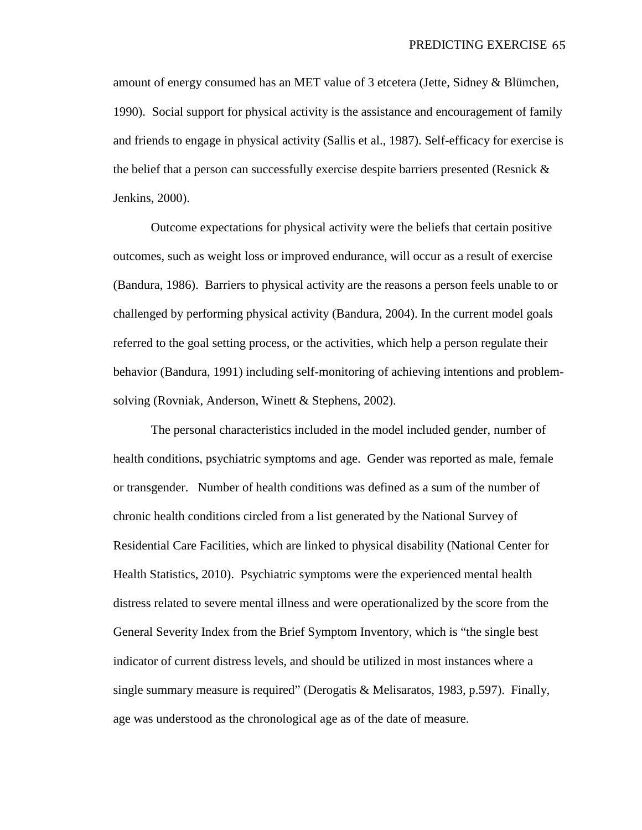amount of energy consumed has an MET value of 3 etcetera (Jette, Sidney & Blümchen, 1990). Social support for physical activity is the assistance and encouragement of family and friends to engage in physical activity (Sallis et al., 1987). Self-efficacy for exercise is the belief that a person can successfully exercise despite barriers presented (Resnick & Jenkins, 2000).

Outcome expectations for physical activity were the beliefs that certain positive outcomes, such as weight loss or improved endurance, will occur as a result of exercise (Bandura, 1986). Barriers to physical activity are the reasons a person feels unable to or challenged by performing physical activity (Bandura, 2004). In the current model goals referred to the goal setting process, or the activities, which help a person regulate their behavior (Bandura, 1991) including self-monitoring of achieving intentions and problemsolving (Rovniak, Anderson, Winett & Stephens, 2002).

The personal characteristics included in the model included gender, number of health conditions, psychiatric symptoms and age. Gender was reported as male, female or transgender. Number of health conditions was defined as a sum of the number of chronic health conditions circled from a list generated by the National Survey of Residential Care Facilities, which are linked to physical disability (National Center for Health Statistics, 2010). Psychiatric symptoms were the experienced mental health distress related to severe mental illness and were operationalized by the score from the General Severity Index from the Brief Symptom Inventory, which is "the single best indicator of current distress levels, and should be utilized in most instances where a single summary measure is required" (Derogatis & Melisaratos, 1983, p.597). Finally, age was understood as the chronological age as of the date of measure.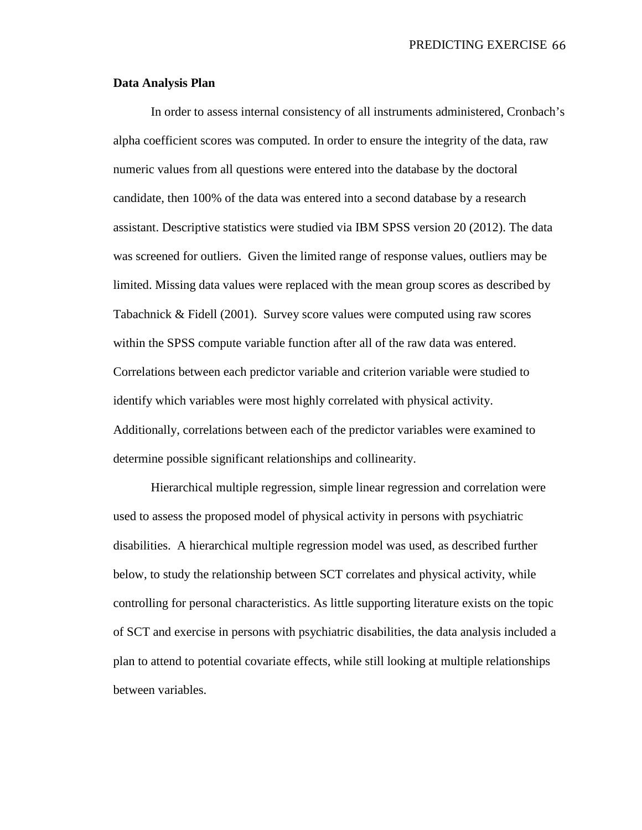## **Data Analysis Plan**

In order to assess internal consistency of all instruments administered, Cronbach's alpha coefficient scores was computed. In order to ensure the integrity of the data, raw numeric values from all questions were entered into the database by the doctoral candidate, then 100% of the data was entered into a second database by a research assistant. Descriptive statistics were studied via IBM SPSS version 20 (2012). The data was screened for outliers. Given the limited range of response values, outliers may be limited. Missing data values were replaced with the mean group scores as described by Tabachnick & Fidell (2001). Survey score values were computed using raw scores within the SPSS compute variable function after all of the raw data was entered. Correlations between each predictor variable and criterion variable were studied to identify which variables were most highly correlated with physical activity. Additionally, correlations between each of the predictor variables were examined to determine possible significant relationships and collinearity.

Hierarchical multiple regression, simple linear regression and correlation were used to assess the proposed model of physical activity in persons with psychiatric disabilities. A hierarchical multiple regression model was used, as described further below, to study the relationship between SCT correlates and physical activity, while controlling for personal characteristics. As little supporting literature exists on the topic of SCT and exercise in persons with psychiatric disabilities, the data analysis included a plan to attend to potential covariate effects, while still looking at multiple relationships between variables.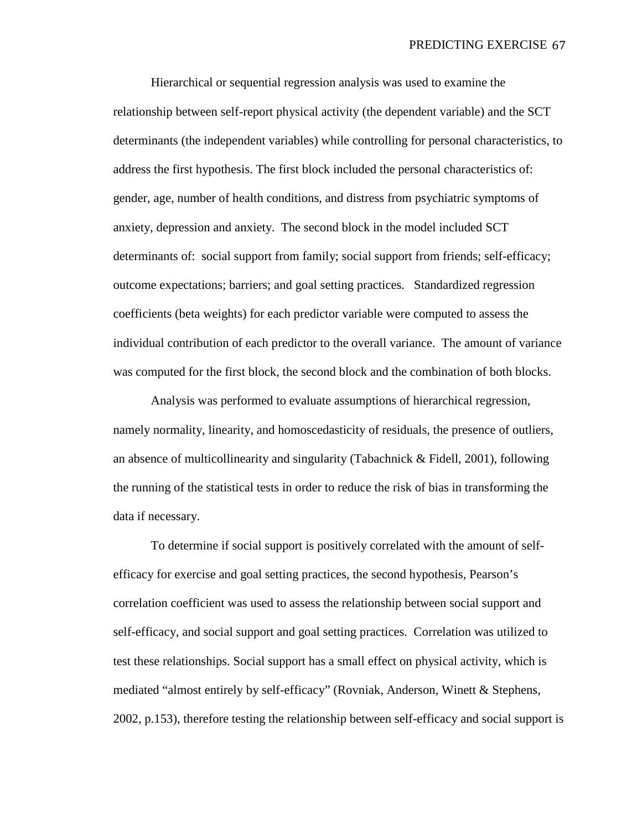Hierarchical or sequential regression analysis was used to examine the relationship between self-report physical activity (the dependent variable) and the SCT determinants (the independent variables) while controlling for personal characteristics, to address the first hypothesis. The first block included the personal characteristics of: gender, age, number of health conditions, and distress from psychiatric symptoms of anxiety, depression and anxiety. The second block in the model included SCT determinants of: social support from family; social support from friends; self-efficacy; outcome expectations; barriers; and goal setting practices. Standardized regression coefficients (beta weights) for each predictor variable were computed to assess the individual contribution of each predictor to the overall variance. The amount of variance was computed for the first block, the second block and the combination of both blocks.

Analysis was performed to evaluate assumptions of hierarchical regression, namely normality, linearity, and homoscedasticity of residuals, the presence of outliers, an absence of multicollinearity and singularity (Tabachnick & Fidell, 2001), following the running of the statistical tests in order to reduce the risk of bias in transforming the data if necessary.

To determine if social support is positively correlated with the amount of selfefficacy for exercise and goal setting practices, the second hypothesis, Pearson's correlation coefficient was used to assess the relationship between social support and self-efficacy, and social support and goal setting practices. Correlation was utilized to test these relationships. Social support has a small effect on physical activity, which is mediated "almost entirely by self-efficacy" (Rovniak, Anderson, Winett & Stephens, 2002, p.153), therefore testing the relationship between self-efficacy and social support is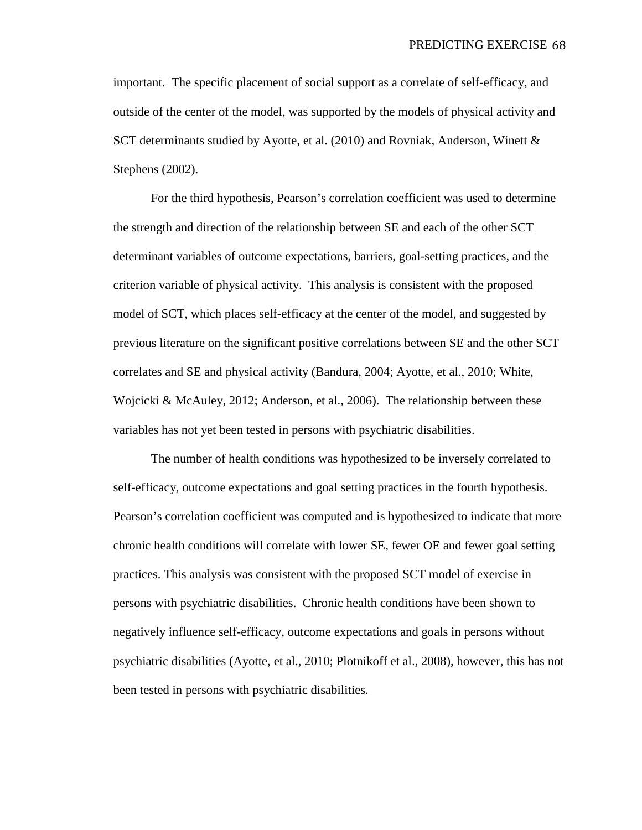important. The specific placement of social support as a correlate of self-efficacy, and outside of the center of the model, was supported by the models of physical activity and SCT determinants studied by Ayotte, et al. (2010) and Rovniak, Anderson, Winett & Stephens (2002).

For the third hypothesis, Pearson's correlation coefficient was used to determine the strength and direction of the relationship between SE and each of the other SCT determinant variables of outcome expectations, barriers, goal-setting practices, and the criterion variable of physical activity. This analysis is consistent with the proposed model of SCT, which places self-efficacy at the center of the model, and suggested by previous literature on the significant positive correlations between SE and the other SCT correlates and SE and physical activity (Bandura, 2004; Ayotte, et al., 2010; White, Wojcicki & McAuley, 2012; Anderson, et al., 2006). The relationship between these variables has not yet been tested in persons with psychiatric disabilities.

The number of health conditions was hypothesized to be inversely correlated to self-efficacy, outcome expectations and goal setting practices in the fourth hypothesis. Pearson's correlation coefficient was computed and is hypothesized to indicate that more chronic health conditions will correlate with lower SE, fewer OE and fewer goal setting practices. This analysis was consistent with the proposed SCT model of exercise in persons with psychiatric disabilities. Chronic health conditions have been shown to negatively influence self-efficacy, outcome expectations and goals in persons without psychiatric disabilities (Ayotte, et al., 2010; Plotnikoff et al., 2008), however, this has not been tested in persons with psychiatric disabilities.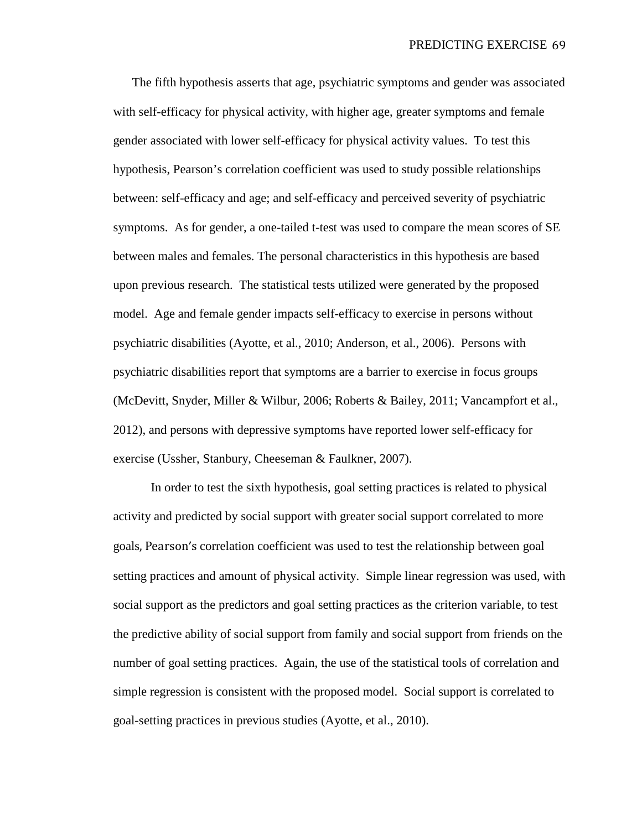The fifth hypothesis asserts that age, psychiatric symptoms and gender was associated with self-efficacy for physical activity, with higher age, greater symptoms and female gender associated with lower self-efficacy for physical activity values. To test this hypothesis, Pearson's correlation coefficient was used to study possible relationships between: self-efficacy and age; and self-efficacy and perceived severity of psychiatric symptoms. As for gender, a one-tailed t-test was used to compare the mean scores of SE between males and females. The personal characteristics in this hypothesis are based upon previous research. The statistical tests utilized were generated by the proposed model. Age and female gender impacts self-efficacy to exercise in persons without psychiatric disabilities (Ayotte, et al., 2010; Anderson, et al., 2006). Persons with psychiatric disabilities report that symptoms are a barrier to exercise in focus groups (McDevitt, Snyder, Miller & Wilbur, 2006; Roberts & Bailey, 2011; Vancampfort et al., 2012), and persons with depressive symptoms have reported lower self-efficacy for exercise (Ussher, Stanbury, Cheeseman & Faulkner, 2007).

In order to test the sixth hypothesis, goal setting practices is related to physical activity and predicted by social support with greater social support correlated to more goals, Pearson's correlation coefficient was used to test the relationship between goal setting practices and amount of physical activity. Simple linear regression was used, with social support as the predictors and goal setting practices as the criterion variable, to test the predictive ability of social support from family and social support from friends on the number of goal setting practices. Again, the use of the statistical tools of correlation and simple regression is consistent with the proposed model. Social support is correlated to goal-setting practices in previous studies (Ayotte, et al., 2010).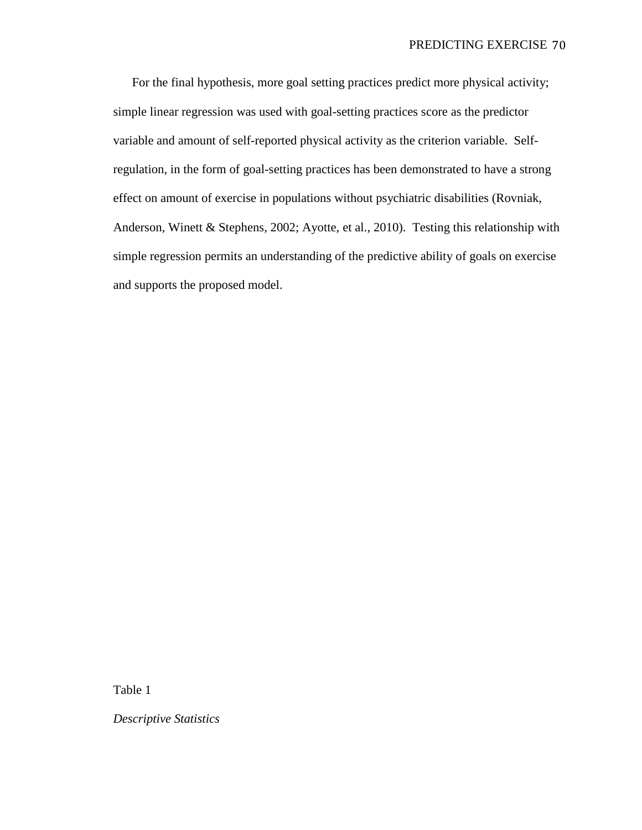For the final hypothesis, more goal setting practices predict more physical activity; simple linear regression was used with goal-setting practices score as the predictor variable and amount of self-reported physical activity as the criterion variable. Selfregulation, in the form of goal-setting practices has been demonstrated to have a strong effect on amount of exercise in populations without psychiatric disabilities (Rovniak, Anderson, Winett & Stephens, 2002; Ayotte, et al., 2010). Testing this relationship with simple regression permits an understanding of the predictive ability of goals on exercise and supports the proposed model.

Table 1

*Descriptive Statistics*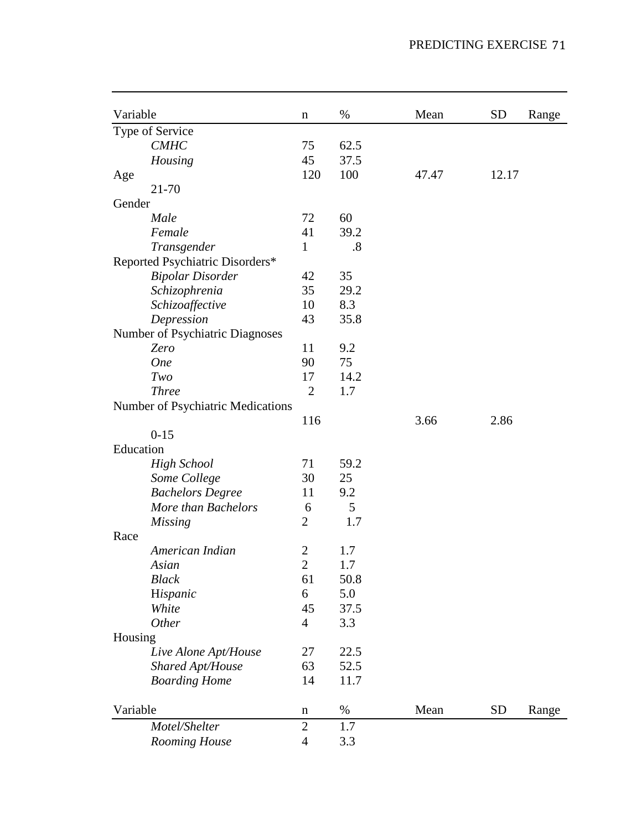| Variable  |                                   | $\mathbf n$    | %    | Mean  | <b>SD</b> | Range |
|-----------|-----------------------------------|----------------|------|-------|-----------|-------|
|           | Type of Service                   |                |      |       |           |       |
|           | <b>CMHC</b>                       | 75             | 62.5 |       |           |       |
|           | Housing                           | 45             | 37.5 |       |           |       |
| Age       |                                   | 120            | 100  | 47.47 | 12.17     |       |
|           | 21-70                             |                |      |       |           |       |
| Gender    |                                   |                |      |       |           |       |
|           | Male                              | 72             | 60   |       |           |       |
|           | Female                            | 41             | 39.2 |       |           |       |
|           | Transgender                       | 1              | .8   |       |           |       |
|           | Reported Psychiatric Disorders*   |                |      |       |           |       |
|           | <b>Bipolar Disorder</b>           | 42             | 35   |       |           |       |
|           | Schizophrenia                     | 35             | 29.2 |       |           |       |
|           | Schizoaffective                   | 10             | 8.3  |       |           |       |
|           | Depression                        | 43             | 35.8 |       |           |       |
|           | Number of Psychiatric Diagnoses   |                |      |       |           |       |
|           | Zero                              | 11             | 9.2  |       |           |       |
|           | <b>One</b>                        | 90             | 75   |       |           |       |
|           | Two                               | 17             | 14.2 |       |           |       |
|           | <b>Three</b>                      | $\overline{2}$ | 1.7  |       |           |       |
|           | Number of Psychiatric Medications |                |      |       |           |       |
|           |                                   | 116            |      | 3.66  | 2.86      |       |
|           | $0 - 15$                          |                |      |       |           |       |
| Education |                                   |                |      |       |           |       |
|           | <b>High School</b>                | 71             | 59.2 |       |           |       |
|           | Some College                      | 30             | 25   |       |           |       |
|           | <b>Bachelors Degree</b>           | 11             | 9.2  |       |           |       |
|           | More than Bachelors               | 6              | 5    |       |           |       |
|           | <b>Missing</b>                    | $\overline{2}$ | 1.7  |       |           |       |
| Race      |                                   |                |      |       |           |       |
|           | American Indian                   | $\overline{2}$ | 1.7  |       |           |       |
|           | Asian                             | $\mathbf{2}$   | 1.7  |       |           |       |
|           | <b>Black</b>                      | 61             | 50.8 |       |           |       |
|           | Hispanic                          | 6              | 5.0  |       |           |       |
|           | White                             | 45             | 37.5 |       |           |       |
|           | Other                             | $\overline{4}$ | 3.3  |       |           |       |
| Housing   |                                   |                |      |       |           |       |
|           | Live Alone Apt/House              | 27             | 22.5 |       |           |       |
|           | Shared Apt/House                  | 63             | 52.5 |       |           |       |
|           | <b>Boarding Home</b>              | 14             | 11.7 |       |           |       |
| Variable  |                                   | $\mathbf n$    | $\%$ | Mean  | <b>SD</b> | Range |
|           | Motel/Shelter                     | $\mathbf{2}$   | 1.7  |       |           |       |
|           | Rooming House                     | $\overline{4}$ | 3.3  |       |           |       |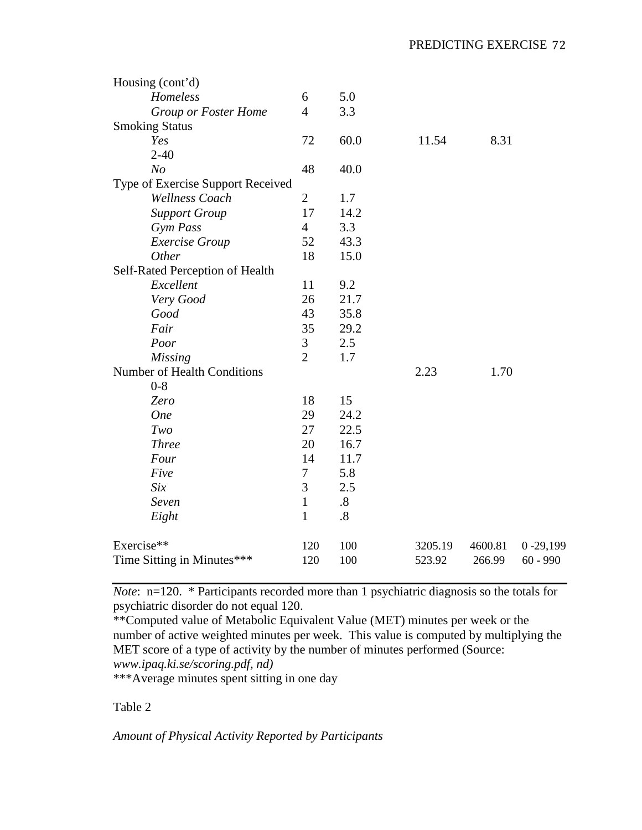| Housing (cont'd)                  |                |                   |         |         |              |
|-----------------------------------|----------------|-------------------|---------|---------|--------------|
| Homeless                          | 6              | 5.0               |         |         |              |
| Group or Foster Home              | $\overline{4}$ | 3.3               |         |         |              |
| <b>Smoking Status</b>             |                |                   |         |         |              |
| Yes                               | 72             | 60.0              | 11.54   | 8.31    |              |
| $2 - 40$                          |                |                   |         |         |              |
| N <sub>o</sub>                    | 48             | 40.0              |         |         |              |
| Type of Exercise Support Received |                |                   |         |         |              |
| <b>Wellness Coach</b>             | $\overline{2}$ | 1.7               |         |         |              |
| <b>Support Group</b>              | 17             | 14.2              |         |         |              |
| Gym Pass                          | $\overline{4}$ | 3.3               |         |         |              |
| <b>Exercise Group</b>             | 52             | 43.3              |         |         |              |
| Other                             | 18             | 15.0              |         |         |              |
| Self-Rated Perception of Health   |                |                   |         |         |              |
| Excellent                         | 11             | 9.2               |         |         |              |
| Very Good                         | 26             | 21.7              |         |         |              |
| Good                              | 43             | 35.8              |         |         |              |
| Fair                              | 35             | 29.2              |         |         |              |
| Poor                              | 3              | 2.5               |         |         |              |
| <b>Missing</b>                    | $\overline{2}$ | 1.7               |         |         |              |
| Number of Health Conditions       |                |                   | 2.23    | 1.70    |              |
| $0 - 8$                           |                |                   |         |         |              |
| Zero                              | 18             | 15                |         |         |              |
| <b>One</b>                        | 29             | 24.2              |         |         |              |
| Two                               | 27             | 22.5              |         |         |              |
| <b>Three</b>                      | 20             | 16.7              |         |         |              |
| Four                              | 14             | 11.7              |         |         |              |
| Five                              | 7              | 5.8               |         |         |              |
| Six                               | 3              | 2.5               |         |         |              |
| Seven                             | $\mathbf{1}$   | $\boldsymbol{.8}$ |         |         |              |
| Eight                             | $\mathbf{1}$   | $.8\,$            |         |         |              |
| Exercise**                        | 120            | 100               | 3205.19 | 4600.81 | $0 - 29,199$ |
| Time Sitting in Minutes***        | 120            | 100               | 523.92  | 266.99  | $60 - 990$   |

*Note*: n=120. \* Participants recorded more than 1 psychiatric diagnosis so the totals for psychiatric disorder do not equal 120.

\*\*Computed value of Metabolic Equivalent Value (MET) minutes per week or the number of active weighted minutes per week. This value is computed by multiplying the MET score of a type of activity by the number of minutes performed (Source: *www.ipaq.ki.se/scoring.pdf, nd)*

\*\*\*Average minutes spent sitting in one day

## Table 2

*Amount of Physical Activity Reported by Participants*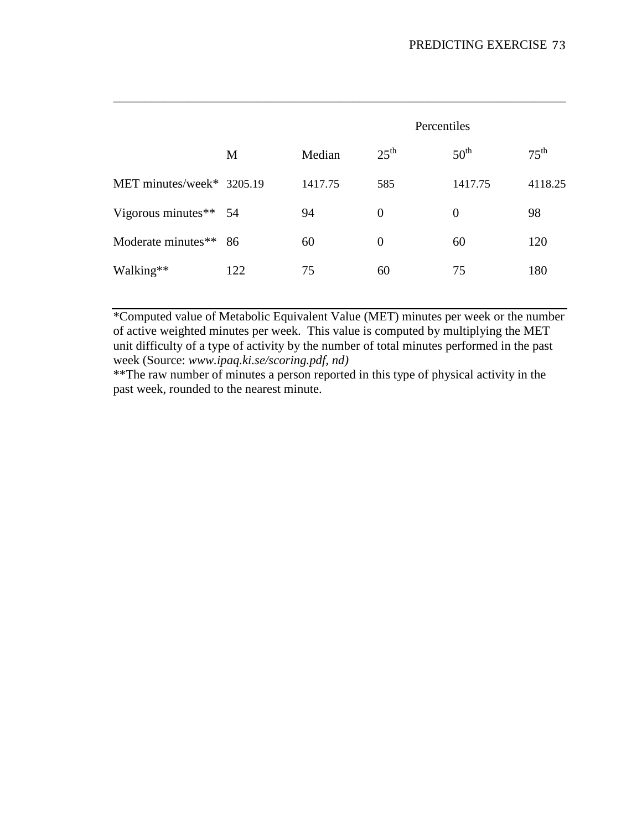|                           |     |         | Percentiles      |                  |                  |  |  |
|---------------------------|-----|---------|------------------|------------------|------------------|--|--|
|                           | M   | Median  | $25^{\text{th}}$ | $50^{\text{th}}$ | $75^{\text{th}}$ |  |  |
| MET minutes/week* 3205.19 |     | 1417.75 | 585              | 1417.75          | 4118.25          |  |  |
| Vigorous minutes** 54     |     | 94      | $\theta$         | $\overline{0}$   | 98               |  |  |
| Moderate minutes**        | 86  | 60      | $\theta$         | 60               | 120              |  |  |
| Walking**                 | 122 | 75      | 60               | 75               | 180              |  |  |

*\_\_\_\_\_\_\_\_\_\_\_\_\_\_\_\_\_\_\_\_\_\_\_\_\_\_\_\_\_\_\_\_\_\_\_\_\_\_\_\_\_\_\_\_\_\_\_\_\_\_\_\_\_\_\_\_\_\_\_\_\_\_\_\_\_\_\_\_\_\_\_\_*

\*Computed value of Metabolic Equivalent Value (MET) minutes per week or the number of active weighted minutes per week. This value is computed by multiplying the MET unit difficulty of a type of activity by the number of total minutes performed in the past week (Source: *www.ipaq.ki.se/scoring.pdf, nd)*

\*\*The raw number of minutes a person reported in this type of physical activity in the past week, rounded to the nearest minute.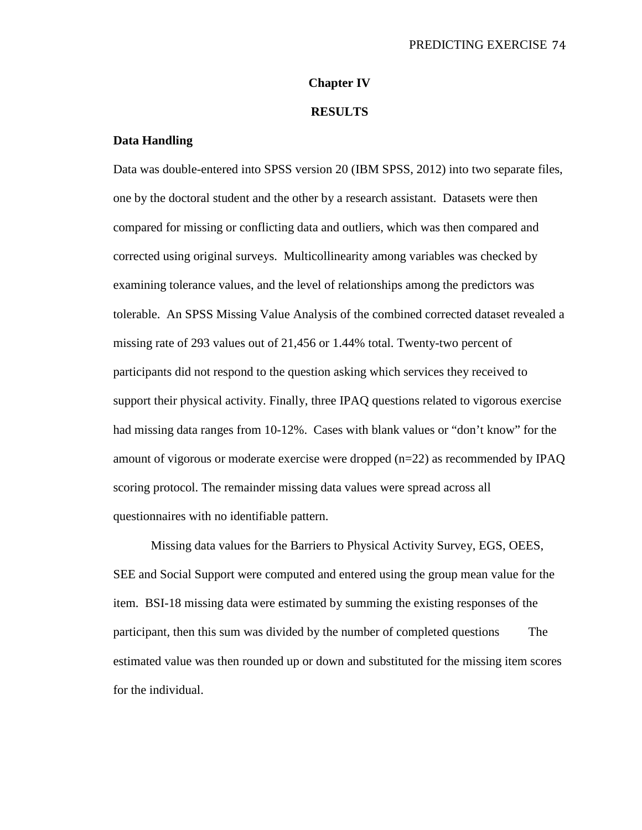## **Chapter IV**

#### **RESULTS**

### **Data Handling**

Data was double-entered into SPSS version 20 (IBM SPSS, 2012) into two separate files, one by the doctoral student and the other by a research assistant. Datasets were then compared for missing or conflicting data and outliers, which was then compared and corrected using original surveys. Multicollinearity among variables was checked by examining tolerance values, and the level of relationships among the predictors was tolerable. An SPSS Missing Value Analysis of the combined corrected dataset revealed a missing rate of 293 values out of 21,456 or 1.44% total. Twenty-two percent of participants did not respond to the question asking which services they received to support their physical activity. Finally, three IPAQ questions related to vigorous exercise had missing data ranges from 10-12%. Cases with blank values or "don't know" for the amount of vigorous or moderate exercise were dropped (n=22) as recommended by IPAQ scoring protocol. The remainder missing data values were spread across all questionnaires with no identifiable pattern.

Missing data values for the Barriers to Physical Activity Survey, EGS, OEES, SEE and Social Support were computed and entered using the group mean value for the item. BSI-18 missing data were estimated by summing the existing responses of the participant, then this sum was divided by the number of completed questions The estimated value was then rounded up or down and substituted for the missing item scores for the individual.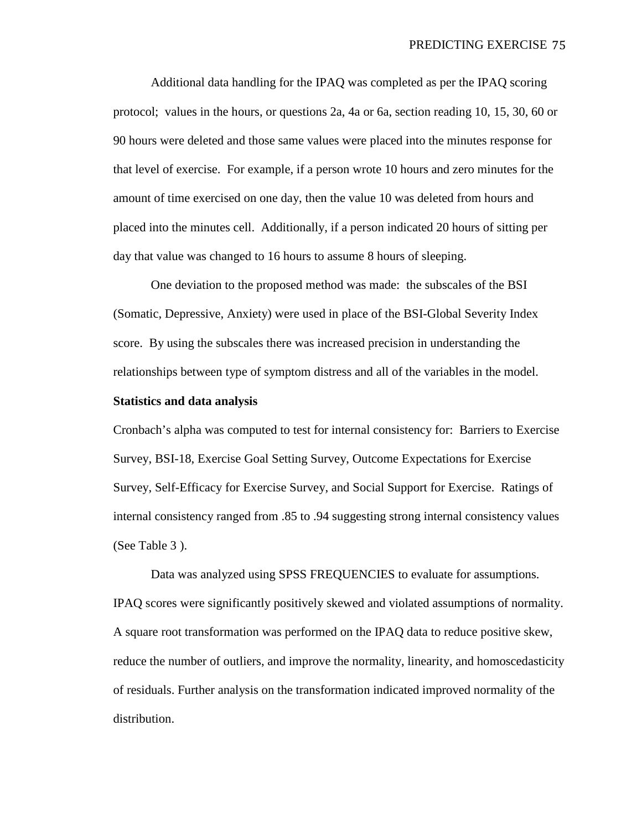Additional data handling for the IPAQ was completed as per the IPAQ scoring protocol; values in the hours, or questions 2a, 4a or 6a, section reading 10, 15, 30, 60 or 90 hours were deleted and those same values were placed into the minutes response for that level of exercise. For example, if a person wrote 10 hours and zero minutes for the amount of time exercised on one day, then the value 10 was deleted from hours and placed into the minutes cell. Additionally, if a person indicated 20 hours of sitting per day that value was changed to 16 hours to assume 8 hours of sleeping.

One deviation to the proposed method was made: the subscales of the BSI (Somatic, Depressive, Anxiety) were used in place of the BSI-Global Severity Index score. By using the subscales there was increased precision in understanding the relationships between type of symptom distress and all of the variables in the model.

### **Statistics and data analysis**

Cronbach's alpha was computed to test for internal consistency for: Barriers to Exercise Survey, BSI-18, Exercise Goal Setting Survey, Outcome Expectations for Exercise Survey, Self-Efficacy for Exercise Survey, and Social Support for Exercise. Ratings of internal consistency ranged from .85 to .94 suggesting strong internal consistency values (See Table 3 ).

Data was analyzed using SPSS FREQUENCIES to evaluate for assumptions. IPAQ scores were significantly positively skewed and violated assumptions of normality. A square root transformation was performed on the IPAQ data to reduce positive skew, reduce the number of outliers, and improve the normality, linearity, and homoscedasticity of residuals. Further analysis on the transformation indicated improved normality of the distribution.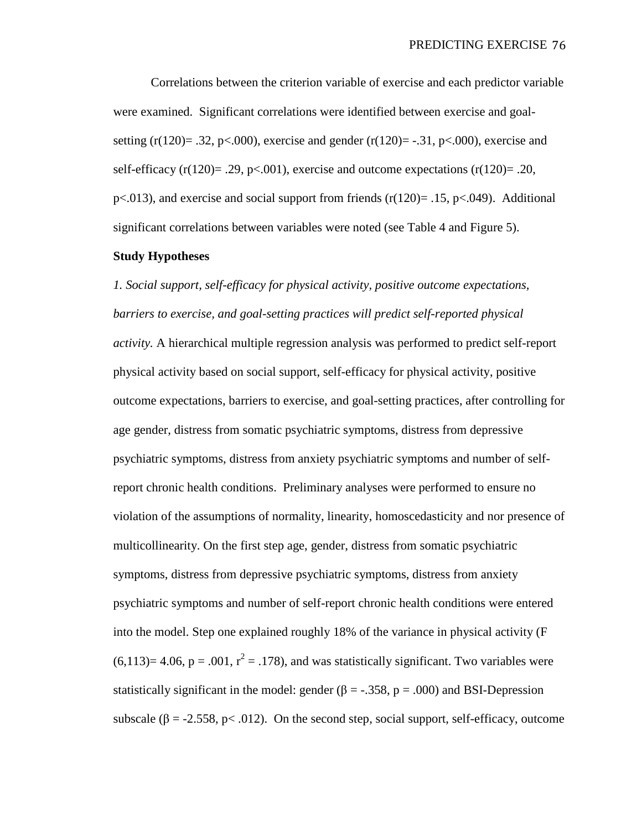Correlations between the criterion variable of exercise and each predictor variable were examined. Significant correlations were identified between exercise and goalsetting (r(120)= .32, p<.000), exercise and gender (r(120)= -.31, p<.000), exercise and self-efficacy  $(r(120)= .29, p< .001)$ , exercise and outcome expectations  $(r(120)= .20,$  $p<.013$ ), and exercise and social support from friends (r(120) = .15, p<.049). Additional significant correlations between variables were noted (see Table 4 and Figure 5).

## **Study Hypotheses**

*1. Social support, self-efficacy for physical activity, positive outcome expectations, barriers to exercise, and goal-setting practices will predict self-reported physical activity.* A hierarchical multiple regression analysis was performed to predict self-report physical activity based on social support, self-efficacy for physical activity, positive outcome expectations, barriers to exercise, and goal-setting practices, after controlling for age gender, distress from somatic psychiatric symptoms, distress from depressive psychiatric symptoms, distress from anxiety psychiatric symptoms and number of selfreport chronic health conditions. Preliminary analyses were performed to ensure no violation of the assumptions of normality, linearity, homoscedasticity and nor presence of multicollinearity. On the first step age, gender, distress from somatic psychiatric symptoms, distress from depressive psychiatric symptoms, distress from anxiety psychiatric symptoms and number of self-report chronic health conditions were entered into the model. Step one explained roughly 18% of the variance in physical activity (F  $(6,113)=4.06$ ,  $p=.001$ ,  $r^2=.178$ ), and was statistically significant. Two variables were statistically significant in the model: gender ( $\beta$  = -.358, p = .000) and BSI-Depression subscale ( $\beta$  = -2.558, p< .012). On the second step, social support, self-efficacy, outcome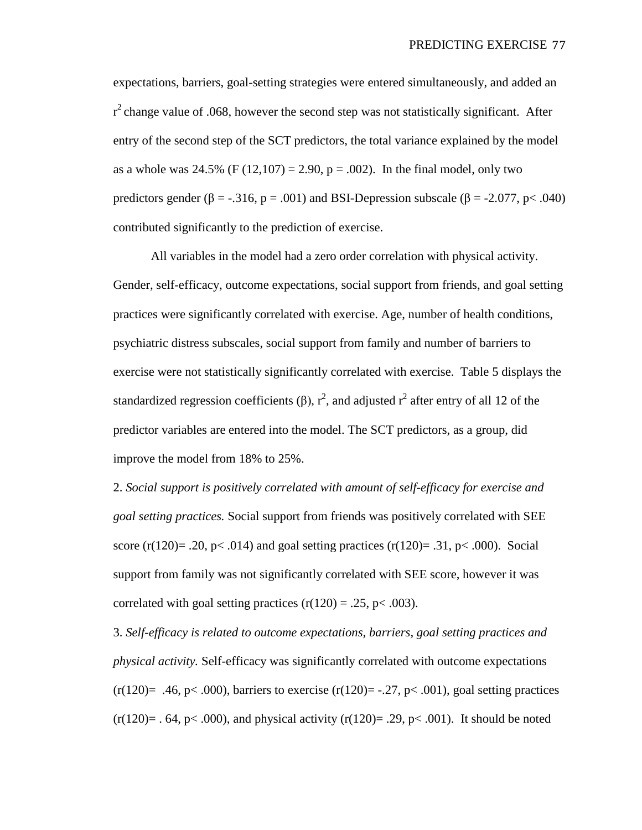expectations, barriers, goal-setting strategies were entered simultaneously, and added an  $r^2$  change value of .068, however the second step was not statistically significant. After entry of the second step of the SCT predictors, the total variance explained by the model as a whole was 24.5% (F  $(12,107) = 2.90$ , p = .002). In the final model, only two predictors gender ( $\beta$  = -.316, p = .001) and BSI-Depression subscale ( $\beta$  = -2.077, p < .040) contributed significantly to the prediction of exercise.

All variables in the model had a zero order correlation with physical activity. Gender, self-efficacy, outcome expectations, social support from friends, and goal setting practices were significantly correlated with exercise. Age, number of health conditions, psychiatric distress subscales, social support from family and number of barriers to exercise were not statistically significantly correlated with exercise. Table 5 displays the standardized regression coefficients ( $\beta$ ),  $r^2$ , and adjusted  $r^2$  after entry of all 12 of the predictor variables are entered into the model. The SCT predictors, as a group, did improve the model from 18% to 25%.

2. *Social support is positively correlated with amount of self-efficacy for exercise and goal setting practices.* Social support from friends was positively correlated with SEE score (r(120)= .20, p< .014) and goal setting practices (r(120)= .31, p< .000). Social support from family was not significantly correlated with SEE score, however it was correlated with goal setting practices  $(r(120) = .25, p < .003)$ .

3. *Self-efficacy is related to outcome expectations, barriers, goal setting practices and physical activity.* Self-efficacy was significantly correlated with outcome expectations  $(r(120)= .46, p< .000)$ , barriers to exercise  $(r(120)= .27, p< .001)$ , goal setting practices  $(r(120)= .64, p< .000)$ , and physical activity  $(r(120)= .29, p< .001)$ . It should be noted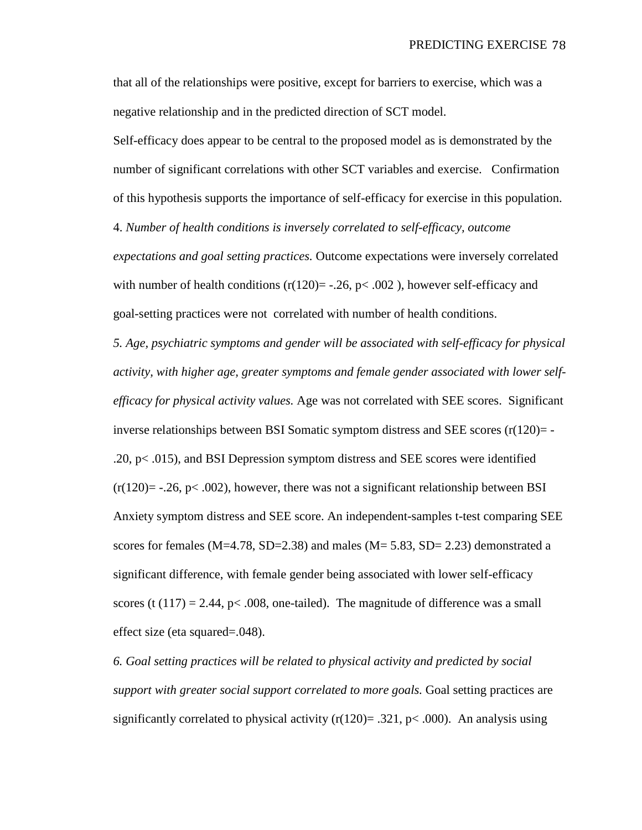that all of the relationships were positive, except for barriers to exercise, which was a negative relationship and in the predicted direction of SCT model.

Self-efficacy does appear to be central to the proposed model as is demonstrated by the number of significant correlations with other SCT variables and exercise. Confirmation of this hypothesis supports the importance of self-efficacy for exercise in this population.

4. *Number of health conditions is inversely correlated to self-efficacy, outcome* 

*expectations and goal setting practices.* Outcome expectations were inversely correlated with number of health conditions  $(r(120) = -.26, p < .002)$ , however self-efficacy and goal-setting practices were not correlated with number of health conditions.

*5. Age, psychiatric symptoms and gender will be associated with self-efficacy for physical activity, with higher age, greater symptoms and female gender associated with lower selfefficacy for physical activity values.* Age was not correlated with SEE scores. Significant inverse relationships between BSI Somatic symptom distress and SEE scores  $(r(120)= -$ .20, p< .015), and BSI Depression symptom distress and SEE scores were identified  $(r(120)=$  -.26, p< .002), however, there was not a significant relationship between BSI Anxiety symptom distress and SEE score. An independent-samples t-test comparing SEE scores for females (M=4.78, SD=2.38) and males (M=  $5.83$ , SD= 2.23) demonstrated a significant difference, with female gender being associated with lower self-efficacy scores (t  $(117) = 2.44$ , p< .008, one-tailed). The magnitude of difference was a small effect size (eta squared=.048).

*6. Goal setting practices will be related to physical activity and predicted by social support with greater social support correlated to more goals.* Goal setting practices are significantly correlated to physical activity  $(r(120)= .321, p< .000)$ . An analysis using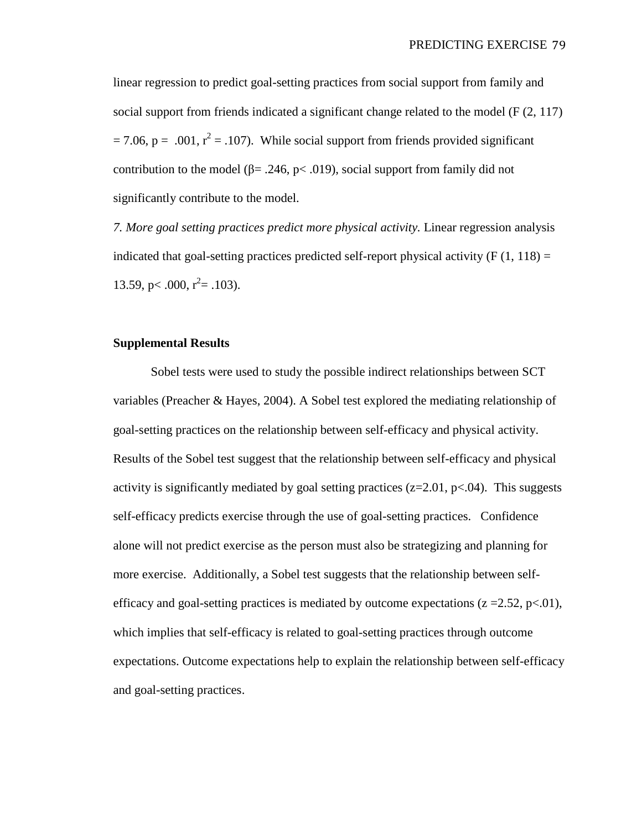linear regression to predict goal-setting practices from social support from family and social support from friends indicated a significant change related to the model (F (2, 117)  $= 7.06$ , p = .001,  $r^2 = .107$ ). While social support from friends provided significant contribution to the model ( $\beta$ = .246, p< .019), social support from family did not significantly contribute to the model.

*7. More goal setting practices predict more physical activity.* Linear regression analysis indicated that goal-setting practices predicted self-report physical activity  $(F(1, 118)) =$ 13.59, p < .000,  $r^2$  = .103).

## **Supplemental Results**

Sobel tests were used to study the possible indirect relationships between SCT variables (Preacher & Hayes, 2004). A Sobel test explored the mediating relationship of goal-setting practices on the relationship between self-efficacy and physical activity. Results of the Sobel test suggest that the relationship between self-efficacy and physical activity is significantly mediated by goal setting practices ( $z=2.01$ ,  $p<.04$ ). This suggests self-efficacy predicts exercise through the use of goal-setting practices. Confidence alone will not predict exercise as the person must also be strategizing and planning for more exercise. Additionally, a Sobel test suggests that the relationship between selfefficacy and goal-setting practices is mediated by outcome expectations ( $z = 2.52$ , p $\lt 0.01$ ), which implies that self-efficacy is related to goal-setting practices through outcome expectations. Outcome expectations help to explain the relationship between self-efficacy and goal-setting practices.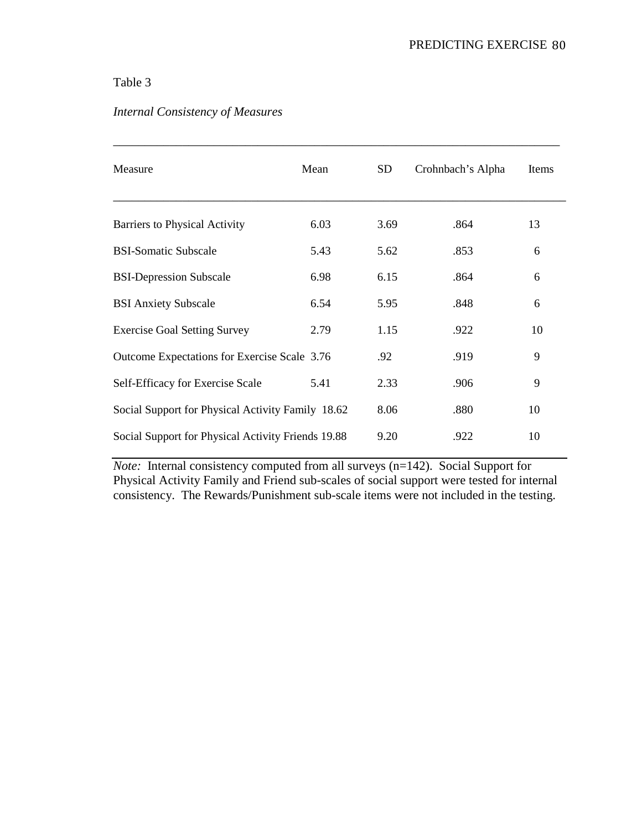## Table 3

| Measure                                            | Mean | <b>SD</b> | Crohnbach's Alpha | Items |
|----------------------------------------------------|------|-----------|-------------------|-------|
| Barriers to Physical Activity                      | 6.03 | 3.69      | .864              | 13    |
| <b>BSI-Somatic Subscale</b>                        | 5.43 | 5.62      | .853              | 6     |
| <b>BSI-Depression Subscale</b>                     | 6.98 | 6.15      | .864              | 6     |
| <b>BSI Anxiety Subscale</b>                        | 6.54 | 5.95      | .848              | 6     |
| <b>Exercise Goal Setting Survey</b>                | 2.79 | 1.15      | .922              | 10    |
| Outcome Expectations for Exercise Scale 3.76       |      | .92       | .919              | 9     |
| Self-Efficacy for Exercise Scale                   | 5.41 | 2.33      | .906              | 9     |
| Social Support for Physical Activity Family 18.62  |      | 8.06      | .880              | 10    |
| Social Support for Physical Activity Friends 19.88 |      | 9.20      | .922              | 10    |

\_\_\_\_\_\_\_\_\_\_\_\_\_\_\_\_\_\_\_\_\_\_\_\_\_\_\_\_\_\_\_\_\_\_\_\_\_\_\_\_\_\_\_\_\_\_\_\_\_\_\_\_\_\_\_\_\_\_\_\_\_\_\_\_\_\_\_\_\_\_\_

# *Internal Consistency of Measures*

*Note:* Internal consistency computed from all surveys (n=142). Social Support for Physical Activity Family and Friend sub-scales of social support were tested for internal consistency. The Rewards/Punishment sub-scale items were not included in the testing.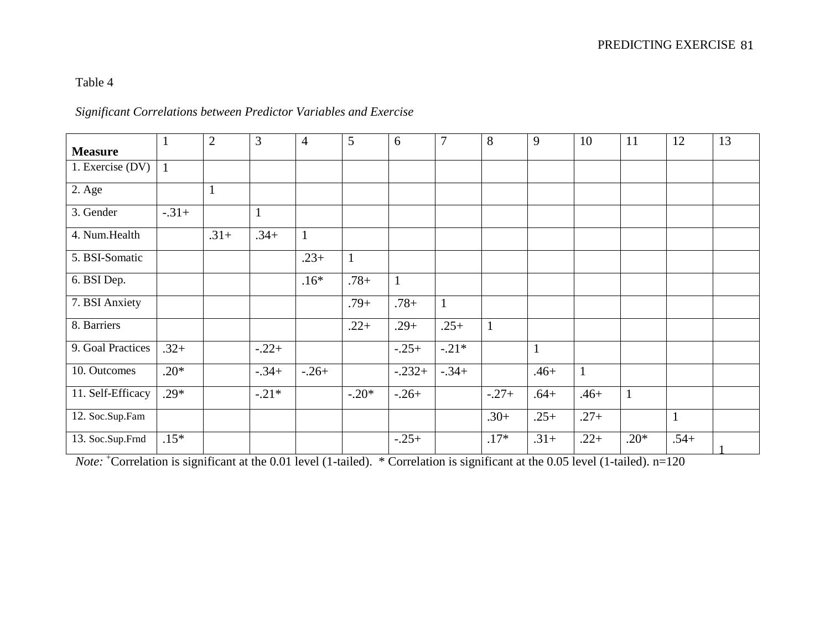## Table 4

## *Significant Correlations between Predictor Variables and Exercise*

| <b>Measure</b>    | 1            | 2            | 3            | $\overline{4}$ | $\overline{5}$ | 6            | $\overline{7}$ | 8            | 9            | 10           | 11           | 12           | 13 |
|-------------------|--------------|--------------|--------------|----------------|----------------|--------------|----------------|--------------|--------------|--------------|--------------|--------------|----|
| 1. Exercise (DV)  | $\mathbf{1}$ |              |              |                |                |              |                |              |              |              |              |              |    |
| 2. Age            |              | $\mathbf{1}$ |              |                |                |              |                |              |              |              |              |              |    |
| 3. Gender         | $-.31+$      |              | $\mathbf{1}$ |                |                |              |                |              |              |              |              |              |    |
| 4. Num.Health     |              | $.31+$       | $.34+$       | $\mathbf{1}$   |                |              |                |              |              |              |              |              |    |
| 5. BSI-Somatic    |              |              |              | $.23+$         | $\mathbf{1}$   |              |                |              |              |              |              |              |    |
| 6. BSI Dep.       |              |              |              | $.16*$         | $.78 +$        | $\mathbf{1}$ |                |              |              |              |              |              |    |
| 7. BSI Anxiety    |              |              |              |                | $.79+$         | $.78 +$      | $\mathbf{1}$   |              |              |              |              |              |    |
| 8. Barriers       |              |              |              |                | $.22+$         | $.29+$       | $.25+$         | $\mathbf{1}$ |              |              |              |              |    |
| 9. Goal Practices | $.32+$       |              | $-.22+$      |                |                | $-.25+$      | $-.21*$        |              | $\mathbf{1}$ |              |              |              |    |
| 10. Outcomes      | $.20*$       |              | $-.34+$      | $-.26+$        |                | $-.232+$     | $-.34+$        |              | $.46+$       | $\mathbf{1}$ |              |              |    |
| 11. Self-Efficacy | $.29*$       |              | $-.21*$      |                | $-.20*$        | $-.26+$      |                | $-.27+$      | $.64+$       | $.46+$       | $\mathbf{1}$ |              |    |
| 12. Soc.Sup.Fam   |              |              |              |                |                |              |                | $.30+$       | $.25+$       | $.27+$       |              | $\mathbf{1}$ |    |
| 13. Soc.Sup.Frnd  | $.15*$       |              |              |                |                | $-.25+$      |                | $.17*$       | $.31+$       | $.22+$       | $.20*$       | $.54+$       |    |

*Note:* <sup>+</sup>Correlation is significant at the 0.01 level (1-tailed). \* Correlation is significant at the 0.05 level (1-tailed). n=120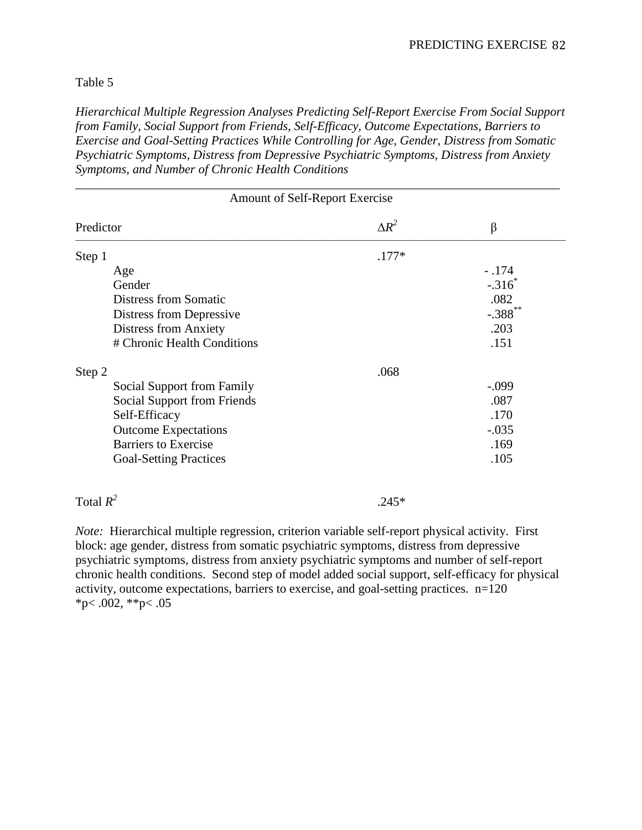## Table 5

*Hierarchical Multiple Regression Analyses Predicting Self-Report Exercise From Social Support from Family, Social Support from Friends, Self-Efficacy, Outcome Expectations, Barriers to Exercise and Goal-Setting Practices While Controlling for Age, Gender, Distress from Somatic Psychiatric Symptoms, Distress from Depressive Psychiatric Symptoms, Distress from Anxiety Symptoms, and Number of Chronic Health Conditions*

\_\_\_\_\_\_\_\_\_\_\_\_\_\_\_\_\_\_\_\_\_\_\_\_\_\_\_\_\_\_\_\_\_\_\_\_\_\_\_\_\_\_\_\_\_\_\_\_\_\_\_\_\_\_\_\_\_\_\_\_\_\_\_\_\_\_\_\_\_\_\_\_\_\_\_\_\_

| Amount of Self-Report Exercise |              |            |  |  |  |  |  |
|--------------------------------|--------------|------------|--|--|--|--|--|
| Predictor                      | $\Delta R^2$ | β          |  |  |  |  |  |
| Step 1                         | $.177*$      |            |  |  |  |  |  |
| Age                            |              | $-.174$    |  |  |  |  |  |
| Gender                         |              | $-.316^*$  |  |  |  |  |  |
| <b>Distress from Somatic</b>   |              | .082       |  |  |  |  |  |
| Distress from Depressive       |              | $-.388$ ** |  |  |  |  |  |
| <b>Distress from Anxiety</b>   |              | .203       |  |  |  |  |  |
| # Chronic Health Conditions    |              | .151       |  |  |  |  |  |
| Step 2                         | .068         |            |  |  |  |  |  |
| Social Support from Family     |              | $-.099$    |  |  |  |  |  |
| Social Support from Friends    |              | .087       |  |  |  |  |  |
| Self-Efficacy                  |              | .170       |  |  |  |  |  |
| <b>Outcome Expectations</b>    |              | $-.035$    |  |  |  |  |  |
| <b>Barriers to Exercise</b>    |              | .169       |  |  |  |  |  |
| <b>Goal-Setting Practices</b>  |              | .105       |  |  |  |  |  |

Total  $R^2$  .245\*

*Note:* Hierarchical multiple regression, criterion variable self-report physical activity. First block: age gender, distress from somatic psychiatric symptoms, distress from depressive psychiatric symptoms, distress from anxiety psychiatric symptoms and number of self-report chronic health conditions. Second step of model added social support, self-efficacy for physical activity, outcome expectations, barriers to exercise, and goal-setting practices. n=120  $*p$  < .002,  $*p$  < .05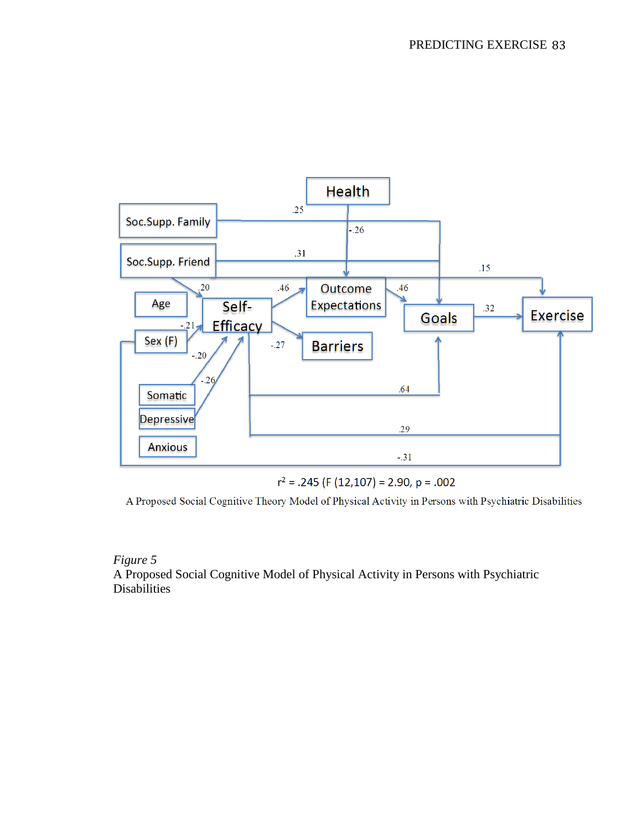

 $r^2$  = .245 (F (12,107) = 2.90, p = .002

A Proposed Social Cognitive Theory Model of Physical Activity in Persons with Psychiatric Disabilities

*Figure 5* A Proposed Social Cognitive Model of Physical Activity in Persons with Psychiatric **Disabilities**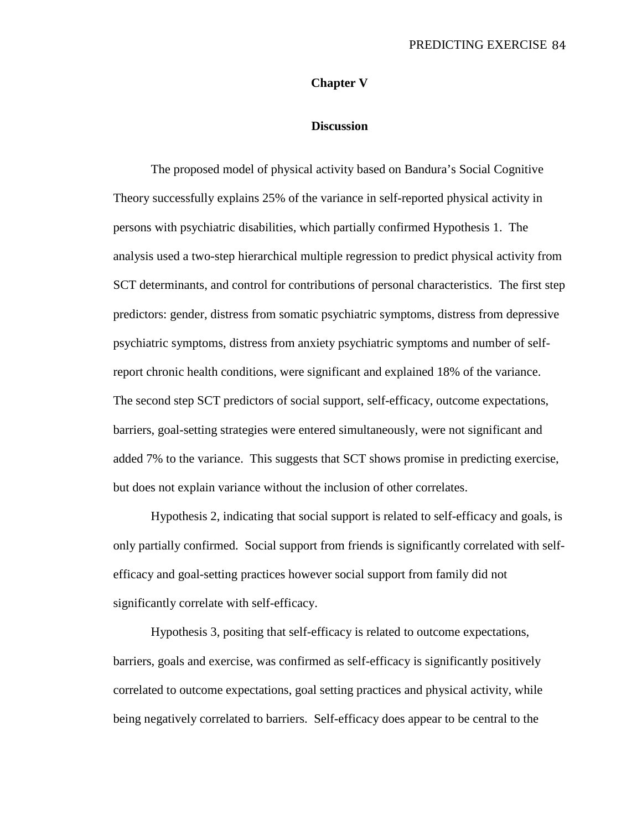## **Chapter V**

### **Discussion**

The proposed model of physical activity based on Bandura's Social Cognitive Theory successfully explains 25% of the variance in self-reported physical activity in persons with psychiatric disabilities, which partially confirmed Hypothesis 1. The analysis used a two-step hierarchical multiple regression to predict physical activity from SCT determinants, and control for contributions of personal characteristics. The first step predictors: gender, distress from somatic psychiatric symptoms, distress from depressive psychiatric symptoms, distress from anxiety psychiatric symptoms and number of selfreport chronic health conditions, were significant and explained 18% of the variance. The second step SCT predictors of social support, self-efficacy, outcome expectations, barriers, goal-setting strategies were entered simultaneously, were not significant and added 7% to the variance. This suggests that SCT shows promise in predicting exercise, but does not explain variance without the inclusion of other correlates.

Hypothesis 2, indicating that social support is related to self-efficacy and goals, is only partially confirmed. Social support from friends is significantly correlated with selfefficacy and goal-setting practices however social support from family did not significantly correlate with self-efficacy.

Hypothesis 3, positing that self-efficacy is related to outcome expectations, barriers, goals and exercise, was confirmed as self-efficacy is significantly positively correlated to outcome expectations, goal setting practices and physical activity, while being negatively correlated to barriers. Self-efficacy does appear to be central to the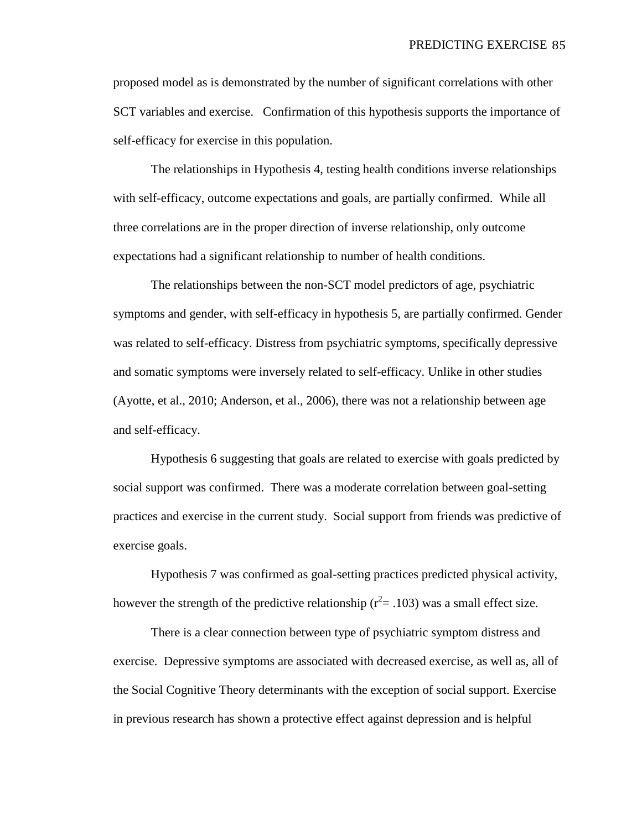proposed model as is demonstrated by the number of significant correlations with other SCT variables and exercise. Confirmation of this hypothesis supports the importance of self-efficacy for exercise in this population.

The relationships in Hypothesis 4, testing health conditions inverse relationships with self-efficacy, outcome expectations and goals, are partially confirmed. While all three correlations are in the proper direction of inverse relationship, only outcome expectations had a significant relationship to number of health conditions.

The relationships between the non-SCT model predictors of age, psychiatric symptoms and gender, with self-efficacy in hypothesis 5, are partially confirmed. Gender was related to self-efficacy. Distress from psychiatric symptoms, specifically depressive and somatic symptoms were inversely related to self-efficacy. Unlike in other studies (Ayotte, et al., 2010; Anderson, et al., 2006), there was not a relationship between age and self-efficacy.

Hypothesis 6 suggesting that goals are related to exercise with goals predicted by social support was confirmed. There was a moderate correlation between goal-setting practices and exercise in the current study. Social support from friends was predictive of exercise goals.

Hypothesis 7 was confirmed as goal-setting practices predicted physical activity, however the strength of the predictive relationship ( $r^2 = .103$ ) was a small effect size.

There is a clear connection between type of psychiatric symptom distress and exercise. Depressive symptoms are associated with decreased exercise, as well as, all of the Social Cognitive Theory determinants with the exception of social support. Exercise in previous research has shown a protective effect against depression and is helpful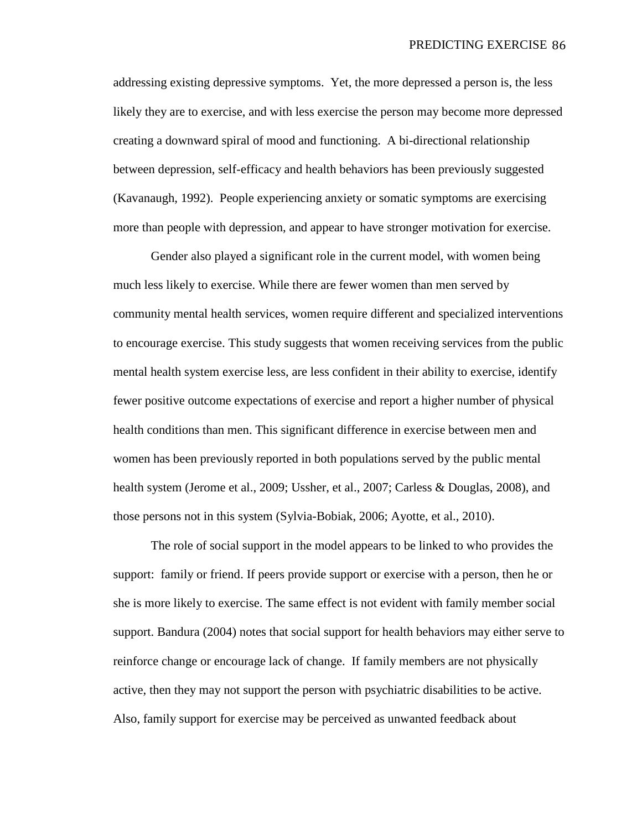addressing existing depressive symptoms. Yet, the more depressed a person is, the less likely they are to exercise, and with less exercise the person may become more depressed creating a downward spiral of mood and functioning. A bi-directional relationship between depression, self-efficacy and health behaviors has been previously suggested (Kavanaugh, 1992). People experiencing anxiety or somatic symptoms are exercising more than people with depression, and appear to have stronger motivation for exercise.

Gender also played a significant role in the current model, with women being much less likely to exercise. While there are fewer women than men served by community mental health services, women require different and specialized interventions to encourage exercise. This study suggests that women receiving services from the public mental health system exercise less, are less confident in their ability to exercise, identify fewer positive outcome expectations of exercise and report a higher number of physical health conditions than men. This significant difference in exercise between men and women has been previously reported in both populations served by the public mental health system (Jerome et al., 2009; Ussher, et al., 2007; Carless & Douglas, 2008), and those persons not in this system (Sylvia-Bobiak, 2006; Ayotte, et al., 2010).

The role of social support in the model appears to be linked to who provides the support: family or friend. If peers provide support or exercise with a person, then he or she is more likely to exercise. The same effect is not evident with family member social support. Bandura (2004) notes that social support for health behaviors may either serve to reinforce change or encourage lack of change. If family members are not physically active, then they may not support the person with psychiatric disabilities to be active. Also, family support for exercise may be perceived as unwanted feedback about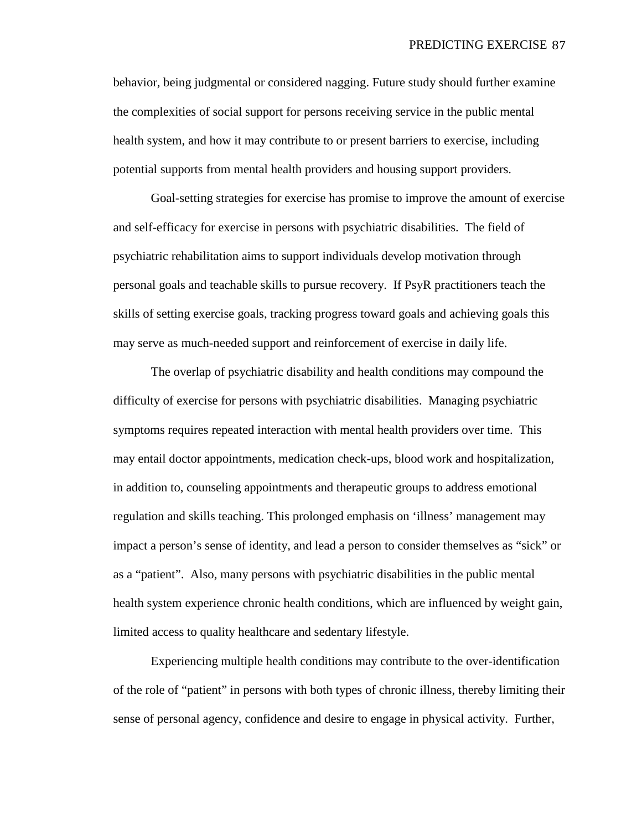behavior, being judgmental or considered nagging. Future study should further examine the complexities of social support for persons receiving service in the public mental health system, and how it may contribute to or present barriers to exercise, including potential supports from mental health providers and housing support providers.

Goal-setting strategies for exercise has promise to improve the amount of exercise and self-efficacy for exercise in persons with psychiatric disabilities. The field of psychiatric rehabilitation aims to support individuals develop motivation through personal goals and teachable skills to pursue recovery. If PsyR practitioners teach the skills of setting exercise goals, tracking progress toward goals and achieving goals this may serve as much-needed support and reinforcement of exercise in daily life.

The overlap of psychiatric disability and health conditions may compound the difficulty of exercise for persons with psychiatric disabilities. Managing psychiatric symptoms requires repeated interaction with mental health providers over time. This may entail doctor appointments, medication check-ups, blood work and hospitalization, in addition to, counseling appointments and therapeutic groups to address emotional regulation and skills teaching. This prolonged emphasis on 'illness' management may impact a person's sense of identity, and lead a person to consider themselves as "sick" or as a "patient". Also, many persons with psychiatric disabilities in the public mental health system experience chronic health conditions, which are influenced by weight gain, limited access to quality healthcare and sedentary lifestyle.

Experiencing multiple health conditions may contribute to the over-identification of the role of "patient" in persons with both types of chronic illness, thereby limiting their sense of personal agency, confidence and desire to engage in physical activity. Further,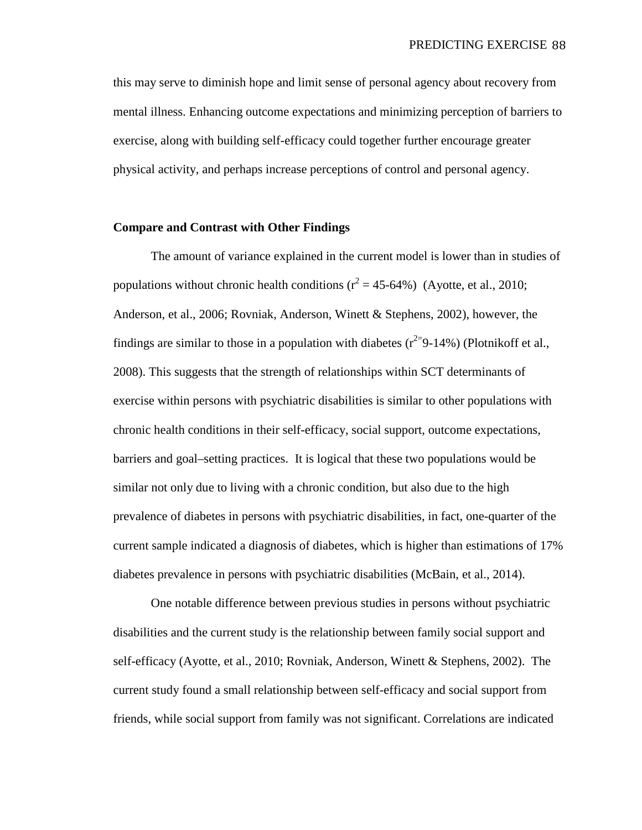this may serve to diminish hope and limit sense of personal agency about recovery from mental illness. Enhancing outcome expectations and minimizing perception of barriers to exercise, along with building self-efficacy could together further encourage greater physical activity, and perhaps increase perceptions of control and personal agency.

#### **Compare and Contrast with Other Findings**

The amount of variance explained in the current model is lower than in studies of populations without chronic health conditions ( $r^2 = 45-64\%$ ) (Ayotte, et al., 2010; Anderson, et al., 2006; Rovniak, Anderson, Winett & Stephens, 2002), however, the findings are similar to those in a population with diabetes  $(r^{2}=9-14\%)$  (Plotnikoff et al., 2008). This suggests that the strength of relationships within SCT determinants of exercise within persons with psychiatric disabilities is similar to other populations with chronic health conditions in their self-efficacy, social support, outcome expectations, barriers and goal–setting practices. It is logical that these two populations would be similar not only due to living with a chronic condition, but also due to the high prevalence of diabetes in persons with psychiatric disabilities, in fact, one-quarter of the current sample indicated a diagnosis of diabetes, which is higher than estimations of 17% diabetes prevalence in persons with psychiatric disabilities (McBain, et al., 2014).

One notable difference between previous studies in persons without psychiatric disabilities and the current study is the relationship between family social support and self-efficacy (Ayotte, et al., 2010; Rovniak, Anderson, Winett & Stephens, 2002). The current study found a small relationship between self-efficacy and social support from friends, while social support from family was not significant. Correlations are indicated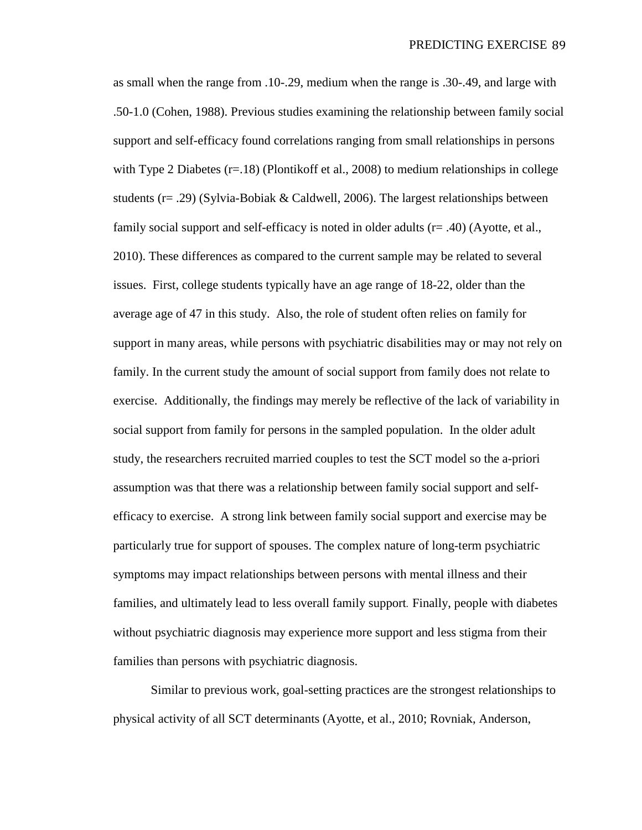as small when the range from .10-.29, medium when the range is .30-.49, and large with .50-1.0 (Cohen, 1988). Previous studies examining the relationship between family social support and self-efficacy found correlations ranging from small relationships in persons with Type 2 Diabetes  $(r=.18)$  (Plontikoff et al., 2008) to medium relationships in college students (r= .29) (Sylvia-Bobiak & Caldwell, 2006). The largest relationships between family social support and self-efficacy is noted in older adults (r= .40) (Ayotte, et al., 2010). These differences as compared to the current sample may be related to several issues. First, college students typically have an age range of 18-22, older than the average age of 47 in this study. Also, the role of student often relies on family for support in many areas, while persons with psychiatric disabilities may or may not rely on family. In the current study the amount of social support from family does not relate to exercise. Additionally, the findings may merely be reflective of the lack of variability in social support from family for persons in the sampled population. In the older adult study, the researchers recruited married couples to test the SCT model so the a-priori assumption was that there was a relationship between family social support and selfefficacy to exercise. A strong link between family social support and exercise may be particularly true for support of spouses. The complex nature of long-term psychiatric symptoms may impact relationships between persons with mental illness and their families, and ultimately lead to less overall family support. Finally, people with diabetes without psychiatric diagnosis may experience more support and less stigma from their families than persons with psychiatric diagnosis.

Similar to previous work, goal-setting practices are the strongest relationships to physical activity of all SCT determinants (Ayotte, et al., 2010; Rovniak, Anderson,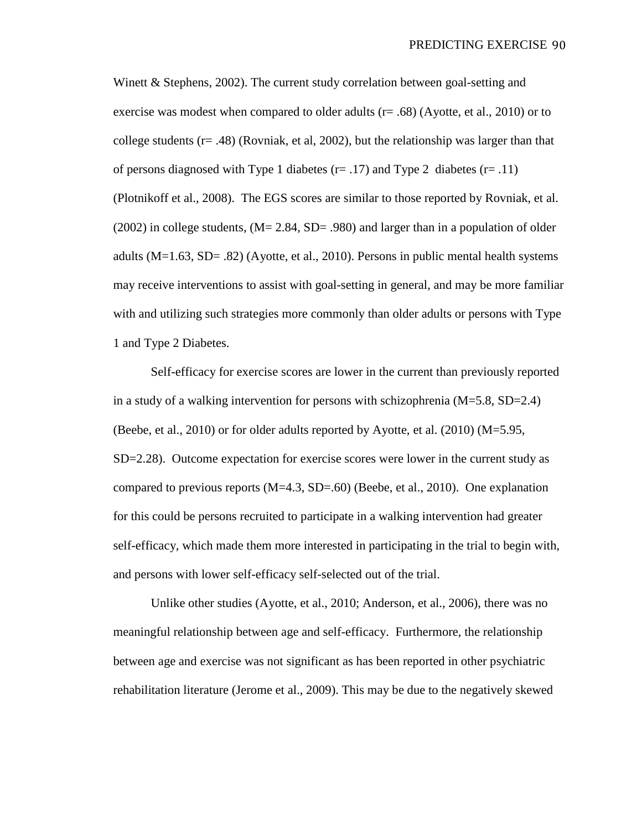Winett & Stephens, 2002). The current study correlation between goal-setting and exercise was modest when compared to older adults (r= .68) (Ayotte, et al., 2010) or to college students ( $r = .48$ ) (Rovniak, et al, 2002), but the relationship was larger than that of persons diagnosed with Type 1 diabetes ( $r = .17$ ) and Type 2 diabetes ( $r = .11$ ) (Plotnikoff et al., 2008). The EGS scores are similar to those reported by Rovniak, et al.  $(2002)$  in college students,  $(M= 2.84, SD= .980)$  and larger than in a population of older adults (M=1.63, SD= .82) (Ayotte, et al., 2010). Persons in public mental health systems may receive interventions to assist with goal-setting in general, and may be more familiar with and utilizing such strategies more commonly than older adults or persons with Type 1 and Type 2 Diabetes.

Self-efficacy for exercise scores are lower in the current than previously reported in a study of a walking intervention for persons with schizophrenia (M=5.8, SD=2.4) (Beebe, et al., 2010) or for older adults reported by Ayotte, et al.  $(2010)$  (M=5.95, SD=2.28). Outcome expectation for exercise scores were lower in the current study as compared to previous reports (M=4.3, SD=.60) (Beebe, et al., 2010). One explanation for this could be persons recruited to participate in a walking intervention had greater self-efficacy, which made them more interested in participating in the trial to begin with, and persons with lower self-efficacy self-selected out of the trial.

Unlike other studies (Ayotte, et al., 2010; Anderson, et al., 2006), there was no meaningful relationship between age and self-efficacy. Furthermore, the relationship between age and exercise was not significant as has been reported in other psychiatric rehabilitation literature (Jerome et al., 2009). This may be due to the negatively skewed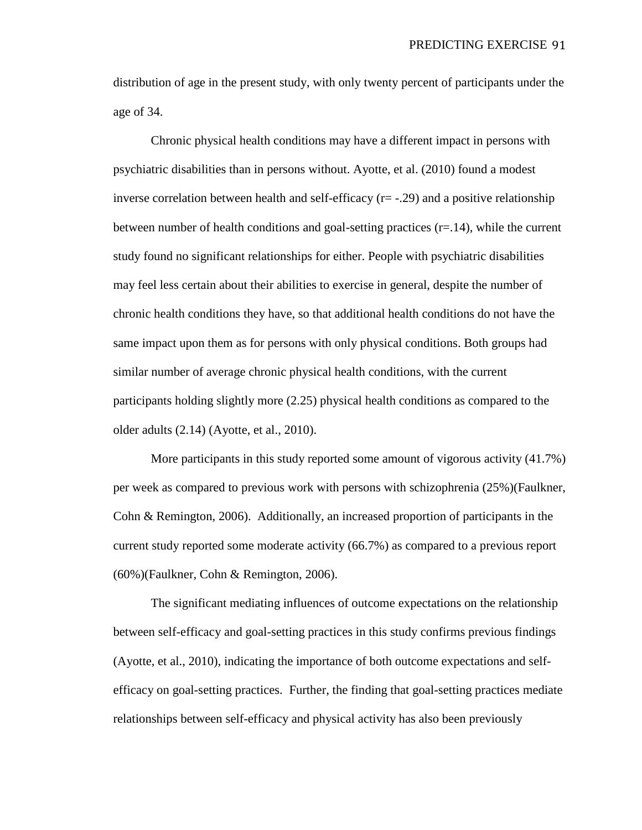distribution of age in the present study, with only twenty percent of participants under the age of 34.

Chronic physical health conditions may have a different impact in persons with psychiatric disabilities than in persons without. Ayotte, et al. (2010) found a modest inverse correlation between health and self-efficacy  $(r=-.29)$  and a positive relationship between number of health conditions and goal-setting practices  $(r=14)$ , while the current study found no significant relationships for either. People with psychiatric disabilities may feel less certain about their abilities to exercise in general, despite the number of chronic health conditions they have, so that additional health conditions do not have the same impact upon them as for persons with only physical conditions. Both groups had similar number of average chronic physical health conditions, with the current participants holding slightly more (2.25) physical health conditions as compared to the older adults (2.14) (Ayotte, et al., 2010).

More participants in this study reported some amount of vigorous activity (41.7%) per week as compared to previous work with persons with schizophrenia (25%)(Faulkner, Cohn & Remington, 2006). Additionally, an increased proportion of participants in the current study reported some moderate activity (66.7%) as compared to a previous report (60%)(Faulkner, Cohn & Remington, 2006).

The significant mediating influences of outcome expectations on the relationship between self-efficacy and goal-setting practices in this study confirms previous findings (Ayotte, et al., 2010), indicating the importance of both outcome expectations and selfefficacy on goal-setting practices. Further, the finding that goal-setting practices mediate relationships between self-efficacy and physical activity has also been previously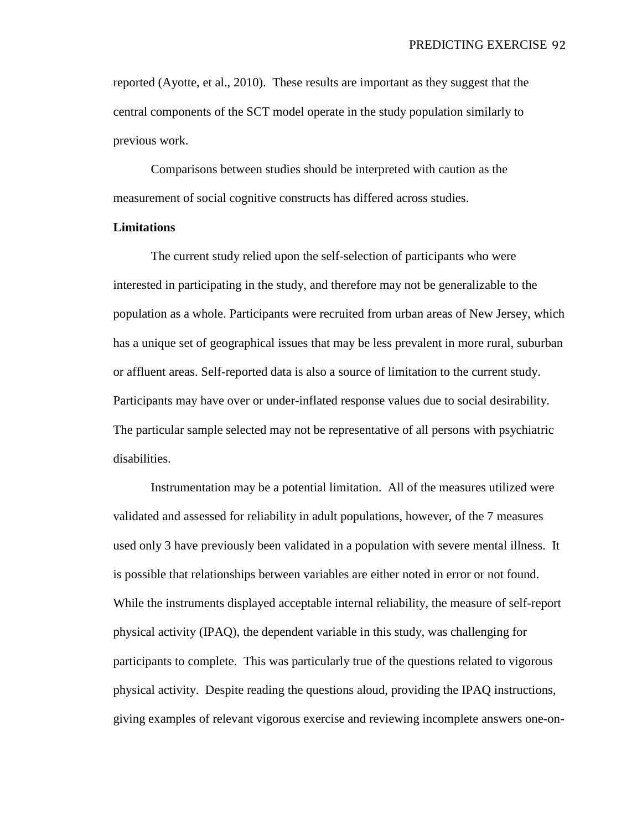reported (Ayotte, et al., 2010). These results are important as they suggest that the central components of the SCT model operate in the study population similarly to previous work.

Comparisons between studies should be interpreted with caution as the measurement of social cognitive constructs has differed across studies.

#### **Limitations**

The current study relied upon the self-selection of participants who were interested in participating in the study, and therefore may not be generalizable to the population as a whole. Participants were recruited from urban areas of New Jersey, which has a unique set of geographical issues that may be less prevalent in more rural, suburban or affluent areas. Self-reported data is also a source of limitation to the current study. Participants may have over or under-inflated response values due to social desirability. The particular sample selected may not be representative of all persons with psychiatric disabilities.

Instrumentation may be a potential limitation. All of the measures utilized were validated and assessed for reliability in adult populations, however, of the 7 measures used only 3 have previously been validated in a population with severe mental illness. It is possible that relationships between variables are either noted in error or not found. While the instruments displayed acceptable internal reliability, the measure of self-report physical activity (IPAQ), the dependent variable in this study, was challenging for participants to complete. This was particularly true of the questions related to vigorous physical activity. Despite reading the questions aloud, providing the IPAQ instructions, giving examples of relevant vigorous exercise and reviewing incomplete answers one-on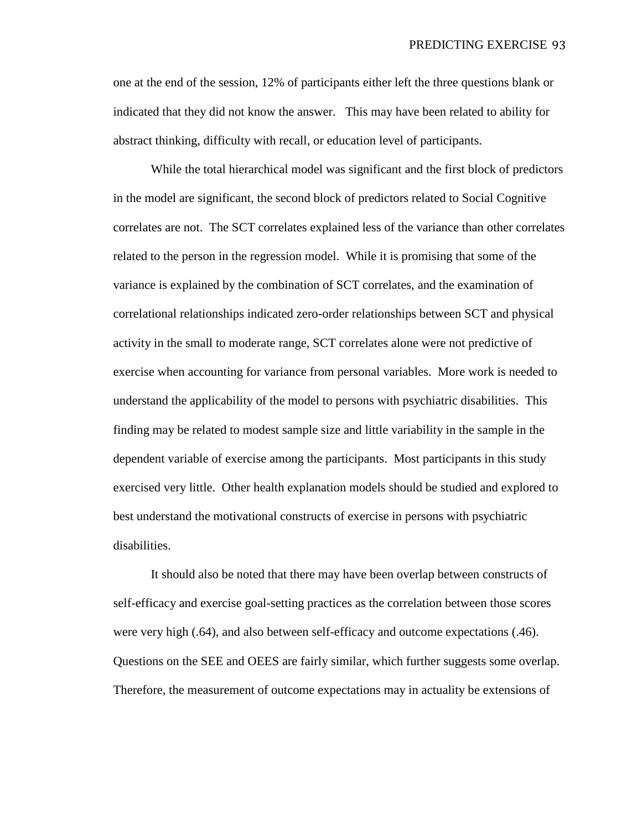one at the end of the session, 12% of participants either left the three questions blank or indicated that they did not know the answer. This may have been related to ability for abstract thinking, difficulty with recall, or education level of participants.

While the total hierarchical model was significant and the first block of predictors in the model are significant, the second block of predictors related to Social Cognitive correlates are not. The SCT correlates explained less of the variance than other correlates related to the person in the regression model. While it is promising that some of the variance is explained by the combination of SCT correlates, and the examination of correlational relationships indicated zero-order relationships between SCT and physical activity in the small to moderate range, SCT correlates alone were not predictive of exercise when accounting for variance from personal variables. More work is needed to understand the applicability of the model to persons with psychiatric disabilities. This finding may be related to modest sample size and little variability in the sample in the dependent variable of exercise among the participants. Most participants in this study exercised very little. Other health explanation models should be studied and explored to best understand the motivational constructs of exercise in persons with psychiatric disabilities.

It should also be noted that there may have been overlap between constructs of self-efficacy and exercise goal-setting practices as the correlation between those scores were very high (.64), and also between self-efficacy and outcome expectations (.46). Questions on the SEE and OEES are fairly similar, which further suggests some overlap. Therefore, the measurement of outcome expectations may in actuality be extensions of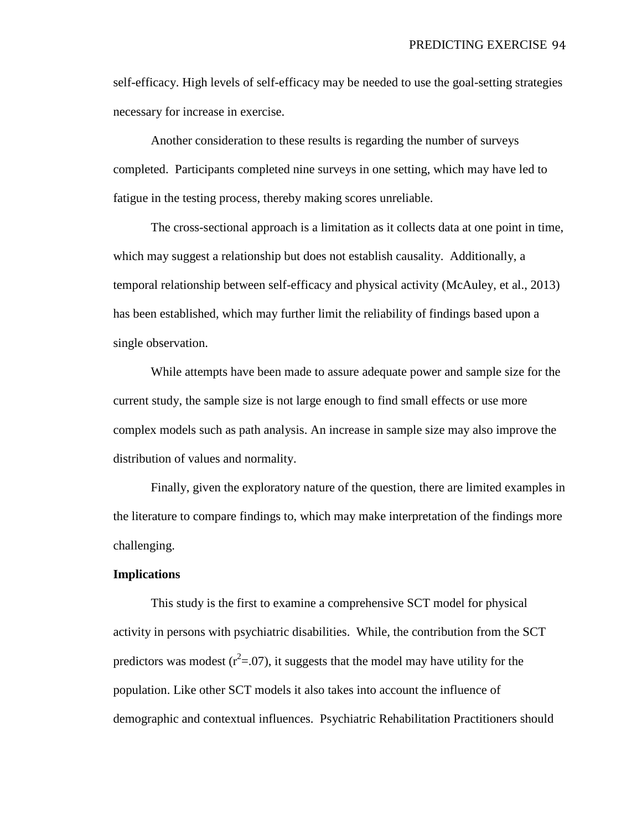self-efficacy. High levels of self-efficacy may be needed to use the goal-setting strategies necessary for increase in exercise.

Another consideration to these results is regarding the number of surveys completed. Participants completed nine surveys in one setting, which may have led to fatigue in the testing process, thereby making scores unreliable.

The cross-sectional approach is a limitation as it collects data at one point in time, which may suggest a relationship but does not establish causality. Additionally, a temporal relationship between self-efficacy and physical activity (McAuley, et al., 2013) has been established, which may further limit the reliability of findings based upon a single observation.

While attempts have been made to assure adequate power and sample size for the current study, the sample size is not large enough to find small effects or use more complex models such as path analysis. An increase in sample size may also improve the distribution of values and normality.

Finally, given the exploratory nature of the question, there are limited examples in the literature to compare findings to, which may make interpretation of the findings more challenging.

## **Implications**

This study is the first to examine a comprehensive SCT model for physical activity in persons with psychiatric disabilities. While, the contribution from the SCT predictors was modest ( $r^2$ =.07), it suggests that the model may have utility for the population. Like other SCT models it also takes into account the influence of demographic and contextual influences. Psychiatric Rehabilitation Practitioners should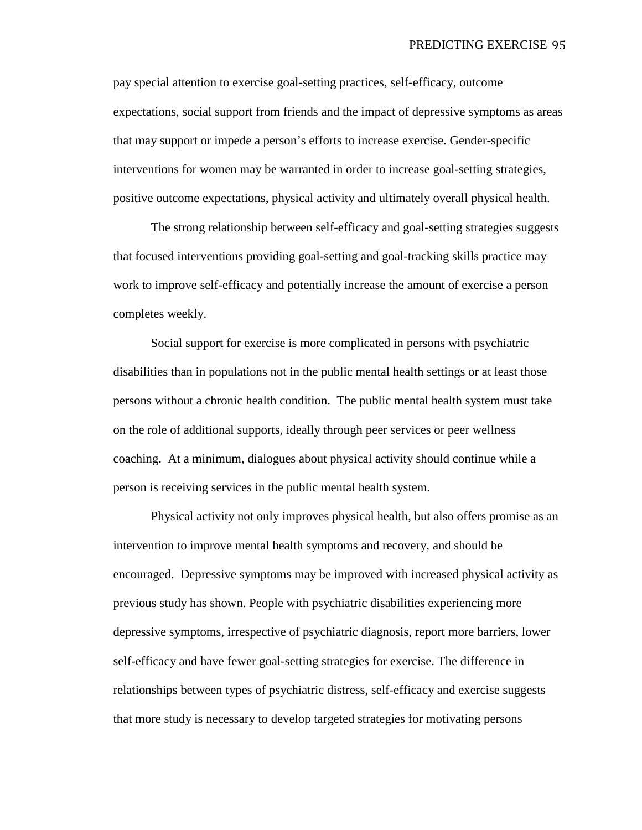pay special attention to exercise goal-setting practices, self-efficacy, outcome expectations, social support from friends and the impact of depressive symptoms as areas that may support or impede a person's efforts to increase exercise. Gender-specific interventions for women may be warranted in order to increase goal-setting strategies, positive outcome expectations, physical activity and ultimately overall physical health.

The strong relationship between self-efficacy and goal-setting strategies suggests that focused interventions providing goal-setting and goal-tracking skills practice may work to improve self-efficacy and potentially increase the amount of exercise a person completes weekly.

Social support for exercise is more complicated in persons with psychiatric disabilities than in populations not in the public mental health settings or at least those persons without a chronic health condition. The public mental health system must take on the role of additional supports, ideally through peer services or peer wellness coaching. At a minimum, dialogues about physical activity should continue while a person is receiving services in the public mental health system.

Physical activity not only improves physical health, but also offers promise as an intervention to improve mental health symptoms and recovery, and should be encouraged. Depressive symptoms may be improved with increased physical activity as previous study has shown. People with psychiatric disabilities experiencing more depressive symptoms, irrespective of psychiatric diagnosis, report more barriers, lower self-efficacy and have fewer goal-setting strategies for exercise. The difference in relationships between types of psychiatric distress, self-efficacy and exercise suggests that more study is necessary to develop targeted strategies for motivating persons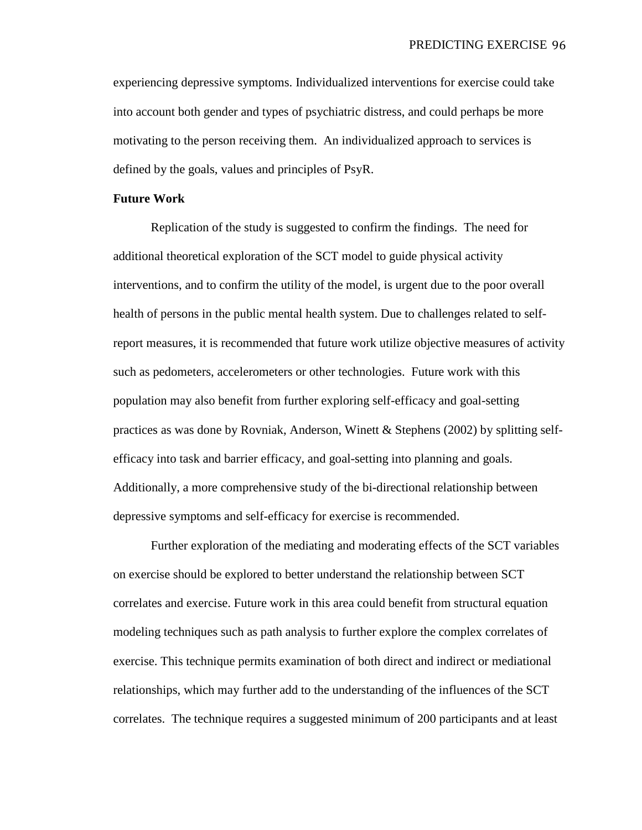experiencing depressive symptoms. Individualized interventions for exercise could take into account both gender and types of psychiatric distress, and could perhaps be more motivating to the person receiving them. An individualized approach to services is defined by the goals, values and principles of PsyR.

#### **Future Work**

Replication of the study is suggested to confirm the findings. The need for additional theoretical exploration of the SCT model to guide physical activity interventions, and to confirm the utility of the model, is urgent due to the poor overall health of persons in the public mental health system. Due to challenges related to selfreport measures, it is recommended that future work utilize objective measures of activity such as pedometers, accelerometers or other technologies. Future work with this population may also benefit from further exploring self-efficacy and goal-setting practices as was done by Rovniak, Anderson, Winett & Stephens (2002) by splitting selfefficacy into task and barrier efficacy, and goal-setting into planning and goals. Additionally, a more comprehensive study of the bi-directional relationship between depressive symptoms and self-efficacy for exercise is recommended.

Further exploration of the mediating and moderating effects of the SCT variables on exercise should be explored to better understand the relationship between SCT correlates and exercise. Future work in this area could benefit from structural equation modeling techniques such as path analysis to further explore the complex correlates of exercise. This technique permits examination of both direct and indirect or mediational relationships, which may further add to the understanding of the influences of the SCT correlates. The technique requires a suggested minimum of 200 participants and at least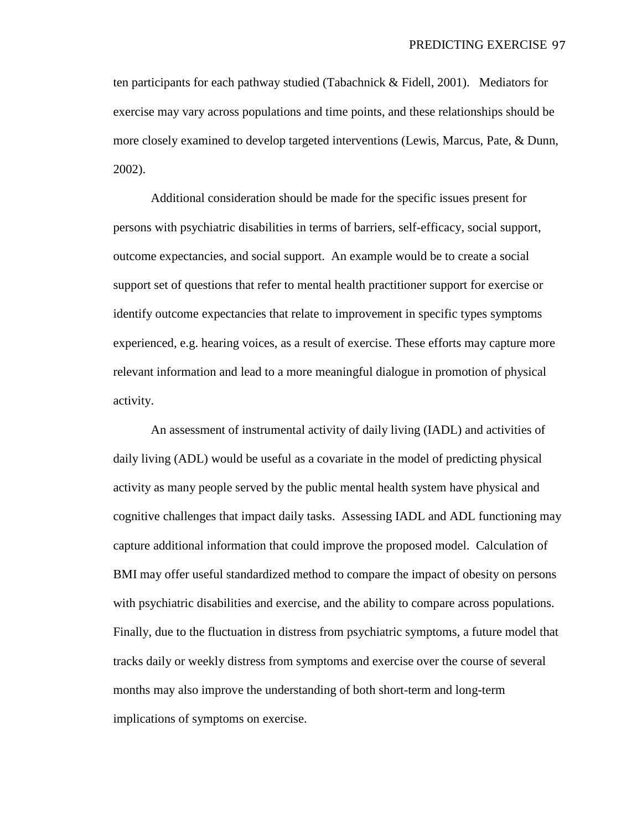ten participants for each pathway studied (Tabachnick & Fidell, 2001). Mediators for exercise may vary across populations and time points, and these relationships should be more closely examined to develop targeted interventions (Lewis, Marcus, Pate, & Dunn, 2002).

Additional consideration should be made for the specific issues present for persons with psychiatric disabilities in terms of barriers, self-efficacy, social support, outcome expectancies, and social support. An example would be to create a social support set of questions that refer to mental health practitioner support for exercise or identify outcome expectancies that relate to improvement in specific types symptoms experienced, e.g. hearing voices, as a result of exercise. These efforts may capture more relevant information and lead to a more meaningful dialogue in promotion of physical activity.

An assessment of instrumental activity of daily living (IADL) and activities of daily living (ADL) would be useful as a covariate in the model of predicting physical activity as many people served by the public mental health system have physical and cognitive challenges that impact daily tasks. Assessing IADL and ADL functioning may capture additional information that could improve the proposed model. Calculation of BMI may offer useful standardized method to compare the impact of obesity on persons with psychiatric disabilities and exercise, and the ability to compare across populations. Finally, due to the fluctuation in distress from psychiatric symptoms, a future model that tracks daily or weekly distress from symptoms and exercise over the course of several months may also improve the understanding of both short-term and long-term implications of symptoms on exercise.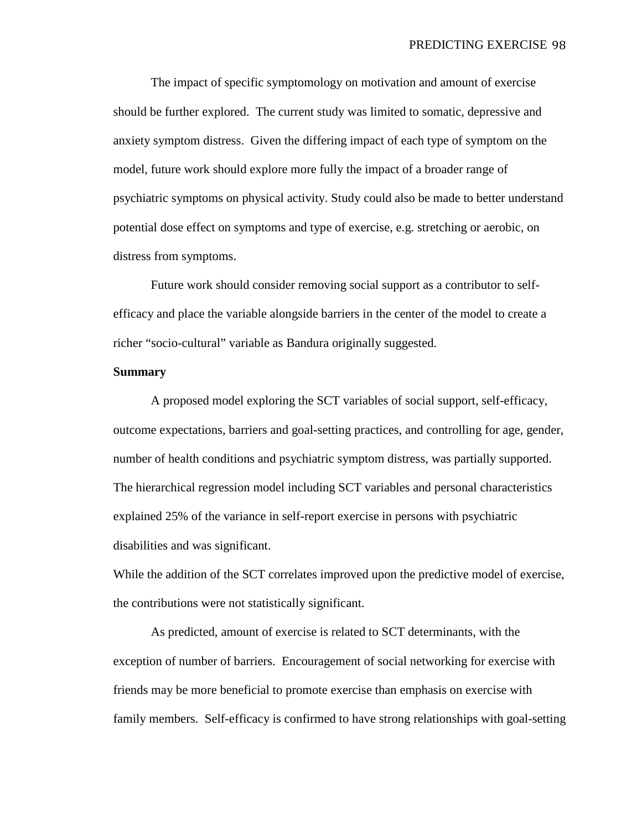The impact of specific symptomology on motivation and amount of exercise should be further explored. The current study was limited to somatic, depressive and anxiety symptom distress. Given the differing impact of each type of symptom on the model, future work should explore more fully the impact of a broader range of psychiatric symptoms on physical activity. Study could also be made to better understand potential dose effect on symptoms and type of exercise, e.g. stretching or aerobic, on distress from symptoms.

Future work should consider removing social support as a contributor to selfefficacy and place the variable alongside barriers in the center of the model to create a richer "socio-cultural" variable as Bandura originally suggested.

#### **Summary**

A proposed model exploring the SCT variables of social support, self-efficacy, outcome expectations, barriers and goal-setting practices, and controlling for age, gender, number of health conditions and psychiatric symptom distress, was partially supported. The hierarchical regression model including SCT variables and personal characteristics explained 25% of the variance in self-report exercise in persons with psychiatric disabilities and was significant.

While the addition of the SCT correlates improved upon the predictive model of exercise, the contributions were not statistically significant.

As predicted, amount of exercise is related to SCT determinants, with the exception of number of barriers. Encouragement of social networking for exercise with friends may be more beneficial to promote exercise than emphasis on exercise with family members. Self-efficacy is confirmed to have strong relationships with goal-setting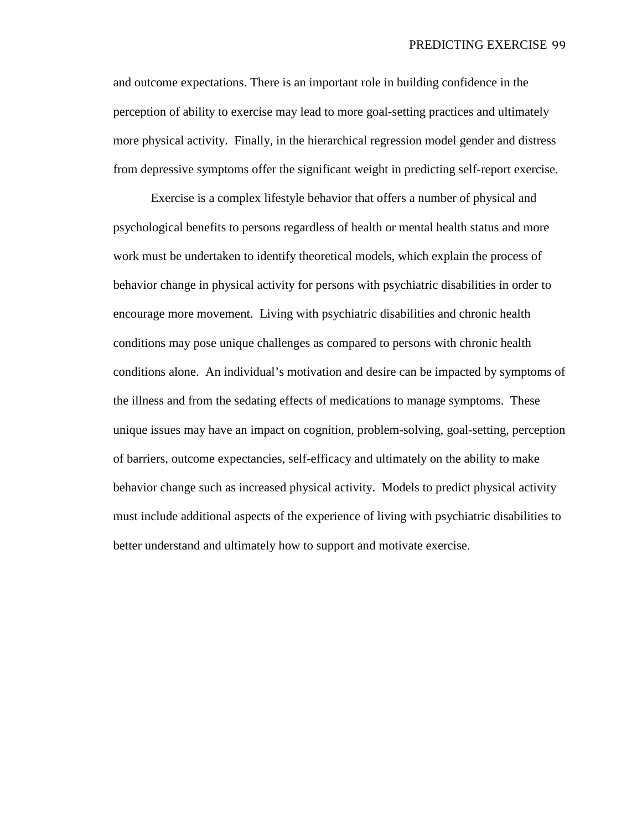#### PREDICTING EXERCISE 99

and outcome expectations. There is an important role in building confidence in the perception of ability to exercise may lead to more goal-setting practices and ultimately more physical activity. Finally, in the hierarchical regression model gender and distress from depressive symptoms offer the significant weight in predicting self-report exercise.

Exercise is a complex lifestyle behavior that offers a number of physical and psychological benefits to persons regardless of health or mental health status and more work must be undertaken to identify theoretical models, which explain the process of behavior change in physical activity for persons with psychiatric disabilities in order to encourage more movement. Living with psychiatric disabilities and chronic health conditions may pose unique challenges as compared to persons with chronic health conditions alone. An individual's motivation and desire can be impacted by symptoms of the illness and from the sedating effects of medications to manage symptoms. These unique issues may have an impact on cognition, problem-solving, goal-setting, perception of barriers, outcome expectancies, self-efficacy and ultimately on the ability to make behavior change such as increased physical activity. Models to predict physical activity must include additional aspects of the experience of living with psychiatric disabilities to better understand and ultimately how to support and motivate exercise.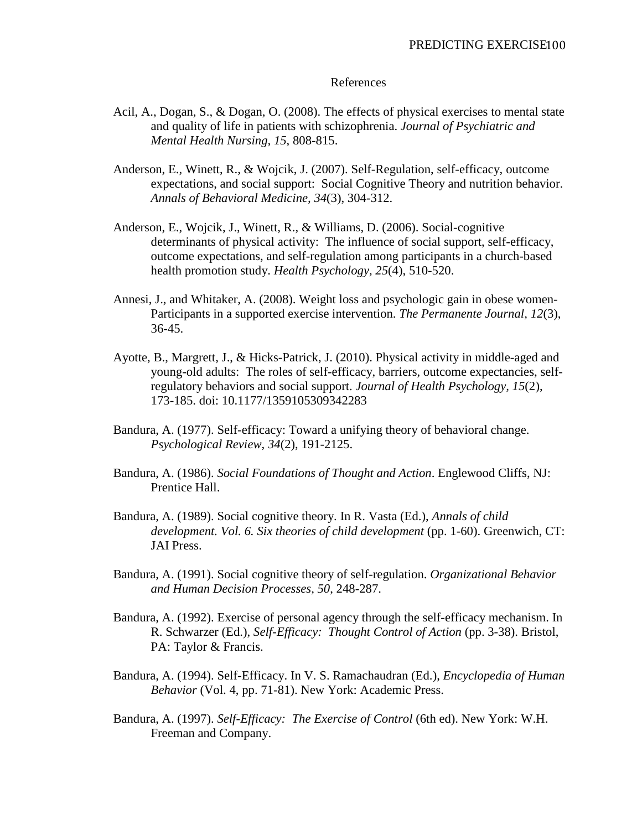## References

- Acil, A., Dogan, S., & Dogan, O. (2008). The effects of physical exercises to mental state and quality of life in patients with schizophrenia. *Journal of Psychiatric and Mental Health Nursing, 15*, 808-815.
- Anderson, E., Winett, R., & Wojcik, J. (2007). Self-Regulation, self-efficacy, outcome expectations, and social support: Social Cognitive Theory and nutrition behavior. *Annals of Behavioral Medicine, 34*(3), 304-312.
- Anderson, E., Wojcik, J., Winett, R., & Williams, D. (2006). Social-cognitive determinants of physical activity: The influence of social support, self-efficacy, outcome expectations, and self-regulation among participants in a church-based health promotion study. *Health Psychology, 25*(4), 510-520.
- Annesi, J., and Whitaker, A. (2008). Weight loss and psychologic gain in obese women-Participants in a supported exercise intervention. *The Permanente Journal, 12*(3), 36-45.
- Ayotte, B., Margrett, J., & Hicks-Patrick, J. (2010). Physical activity in middle-aged and young-old adults: The roles of self-efficacy, barriers, outcome expectancies, selfregulatory behaviors and social support. *Journal of Health Psychology, 15*(2), 173-185. doi: 10.1177/1359105309342283
- Bandura, A. (1977). Self-efficacy: Toward a unifying theory of behavioral change. *Psychological Review, 34*(2), 191-2125.
- Bandura, A. (1986). *Social Foundations of Thought and Action*. Englewood Cliffs, NJ: Prentice Hall.
- Bandura, A. (1989). Social cognitive theory. In R. Vasta (Ed.), *Annals of child development. Vol. 6. Six theories of child development* (pp. 1-60). Greenwich, CT: JAI Press.
- Bandura, A. (1991). Social cognitive theory of self-regulation. *Organizational Behavior and Human Decision Processes, 50*, 248-287.
- Bandura, A. (1992). Exercise of personal agency through the self-efficacy mechanism. In R. Schwarzer (Ed.), *Self-Efficacy: Thought Control of Action* (pp. 3-38). Bristol, PA: Taylor & Francis.
- Bandura, A. (1994). Self-Efficacy. In V. S. Ramachaudran (Ed.), *Encyclopedia of Human Behavior* (Vol. 4, pp. 71-81). New York: Academic Press.
- Bandura, A. (1997). *Self-Efficacy: The Exercise of Control* (6th ed). New York: W.H. Freeman and Company.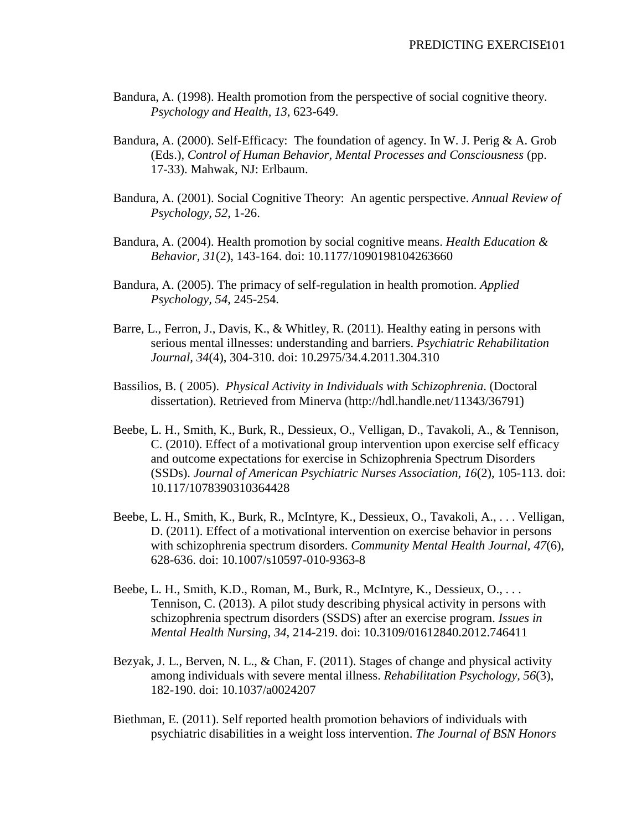- Bandura, A. (1998). Health promotion from the perspective of social cognitive theory. *Psychology and Health, 13*, 623-649.
- Bandura, A. (2000). Self-Efficacy: The foundation of agency. In W. J. Perig & A. Grob (Eds.), *Control of Human Behavior, Mental Processes and Consciousness* (pp. 17-33). Mahwak, NJ: Erlbaum.
- Bandura, A. (2001). Social Cognitive Theory: An agentic perspective. *Annual Review of Psychology, 52*, 1-26.
- Bandura, A. (2004). Health promotion by social cognitive means. *Health Education & Behavior, 31*(2), 143-164. doi: 10.1177/1090198104263660
- Bandura, A. (2005). The primacy of self-regulation in health promotion. *Applied Psychology, 54*, 245-254.
- Barre, L., Ferron, J., Davis, K., & Whitley, R. (2011). Healthy eating in persons with serious mental illnesses: understanding and barriers. *Psychiatric Rehabilitation Journal, 34*(4), 304-310. doi: 10.2975/34.4.2011.304.310
- Bassilios, B. ( 2005). *Physical Activity in Individuals with Schizophrenia*. (Doctoral dissertation). Retrieved from Minerva (http://hdl.handle.net/11343/36791)
- Beebe, L. H., Smith, K., Burk, R., Dessieux, O., Velligan, D., Tavakoli, A., & Tennison, C. (2010). Effect of a motivational group intervention upon exercise self efficacy and outcome expectations for exercise in Schizophrenia Spectrum Disorders (SSDs). *Journal of American Psychiatric Nurses Association, 16*(2), 105-113. doi: 10.117/1078390310364428
- Beebe, L. H., Smith, K., Burk, R., McIntyre, K., Dessieux, O., Tavakoli, A., . . . Velligan, D. (2011). Effect of a motivational intervention on exercise behavior in persons with schizophrenia spectrum disorders. *Community Mental Health Journal, 47*(6), 628-636. doi: 10.1007/s10597-010-9363-8
- Beebe, L. H., Smith, K.D., Roman, M., Burk, R., McIntyre, K., Dessieux, O., . . . Tennison, C. (2013). A pilot study describing physical activity in persons with schizophrenia spectrum disorders (SSDS) after an exercise program. *Issues in Mental Health Nursing, 34*, 214-219. doi: 10.3109/01612840.2012.746411
- Bezyak, J. L., Berven, N. L., & Chan, F. (2011). Stages of change and physical activity among individuals with severe mental illness. *Rehabilitation Psychology, 56*(3), 182-190. doi: 10.1037/a0024207
- Biethman, E. (2011). Self reported health promotion behaviors of individuals with psychiatric disabilities in a weight loss intervention. *The Journal of BSN Honors*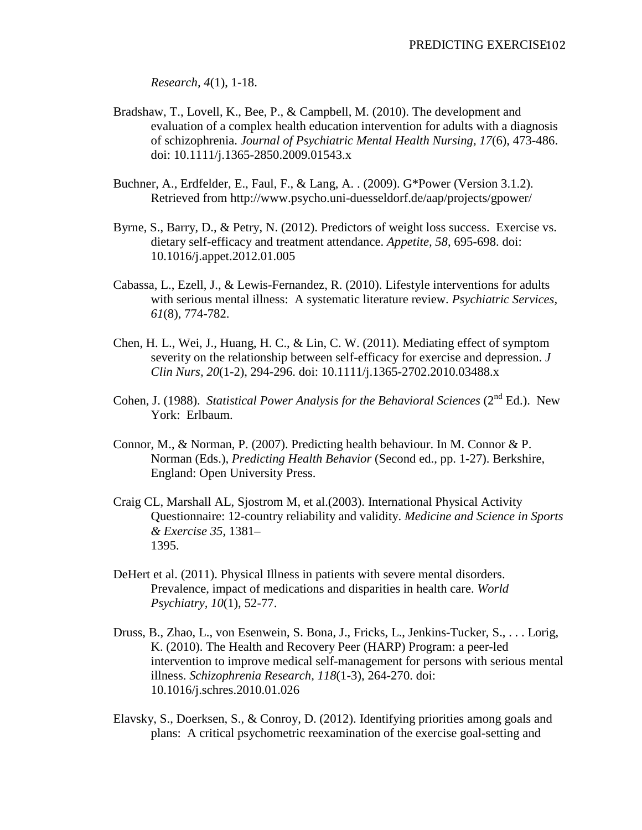*Research, 4*(1), 1-18.

- Bradshaw, T., Lovell, K., Bee, P., & Campbell, M. (2010). The development and evaluation of a complex health education intervention for adults with a diagnosis of schizophrenia. *Journal of Psychiatric Mental Health Nursing, 17*(6), 473-486. doi: 10.1111/j.1365-2850.2009.01543.x
- Buchner, A., Erdfelder, E., Faul, F., & Lang, A. . (2009). G\*Power (Version 3.1.2). Retrieved from http://www.psycho.uni-duesseldorf.de/aap/projects/gpower/
- Byrne, S., Barry, D., & Petry, N. (2012). Predictors of weight loss success. Exercise vs. dietary self-efficacy and treatment attendance. *Appetite, 58*, 695-698. doi: 10.1016/j.appet.2012.01.005
- Cabassa, L., Ezell, J., & Lewis-Fernandez, R. (2010). Lifestyle interventions for adults with serious mental illness: A systematic literature review. *Psychiatric Services, 61*(8), 774-782.
- Chen, H. L., Wei, J., Huang, H. C., & Lin, C. W. (2011). Mediating effect of symptom severity on the relationship between self-efficacy for exercise and depression. *J Clin Nurs, 20*(1-2), 294-296. doi: 10.1111/j.1365-2702.2010.03488.x
- Cohen, J. (1988). *Statistical Power Analysis for the Behavioral Sciences* (2<sup>nd</sup> Ed.). New York: Erlbaum.
- Connor, M., & Norman, P. (2007). Predicting health behaviour. In M. Connor & P. Norman (Eds.), *Predicting Health Behavior* (Second ed., pp. 1-27). Berkshire, England: Open University Press.
- Craig CL, Marshall AL, Sjostrom M, et al.(2003). International Physical Activity Questionnaire: 12-country reliability and validity. *Medicine and Science in Sports & Exercise 35*, 1381– 1395.
- DeHert et al. (2011). Physical Illness in patients with severe mental disorders. Prevalence, impact of medications and disparities in health care. *World Psychiatry, 10*(1), 52-77.
- Druss, B., Zhao, L., von Esenwein, S. Bona, J., Fricks, L., Jenkins-Tucker, S., . . . Lorig, K. (2010). The Health and Recovery Peer (HARP) Program: a peer-led intervention to improve medical self-management for persons with serious mental illness. *Schizophrenia Research, 118*(1-3), 264-270. doi: 10.1016/j.schres.2010.01.026
- Elavsky, S., Doerksen, S., & Conroy, D. (2012). Identifying priorities among goals and plans: A critical psychometric reexamination of the exercise goal-setting and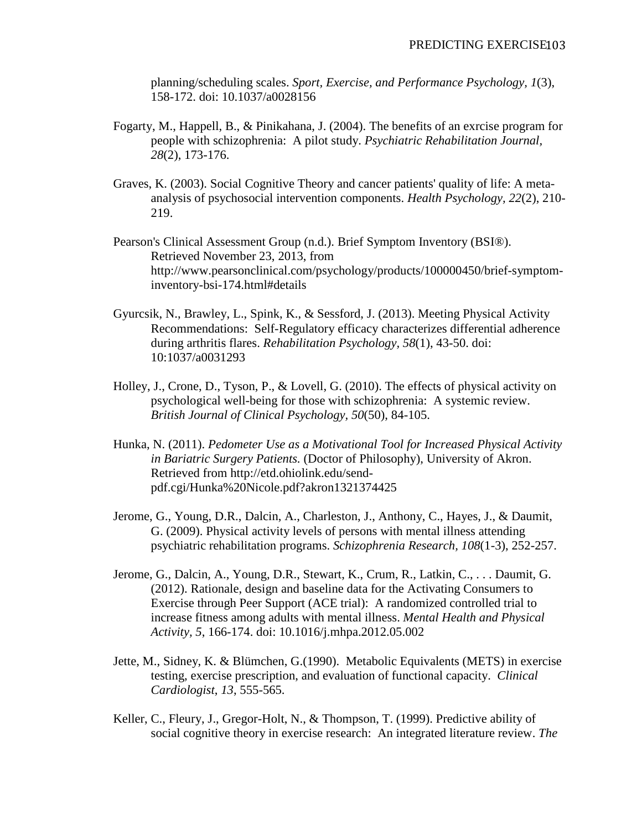planning/scheduling scales. *Sport, Exercise, and Performance Psychology, 1*(3), 158-172. doi: 10.1037/a0028156

- Fogarty, M., Happell, B., & Pinikahana, J. (2004). The benefits of an exrcise program for people with schizophrenia: A pilot study. *Psychiatric Rehabilitation Journal, 28*(2), 173-176.
- Graves, K. (2003). Social Cognitive Theory and cancer patients' quality of life: A metaanalysis of psychosocial intervention components. *Health Psychology, 22*(2), 210- 219.
- Pearson's Clinical Assessment Group (n.d.). Brief Symptom Inventory (BSI®). Retrieved November 23, 2013, from http://www.pearsonclinical.com/psychology/products/100000450/brief-symptominventory-bsi-174.html#details
- Gyurcsik, N., Brawley, L., Spink, K., & Sessford, J. (2013). Meeting Physical Activity Recommendations: Self-Regulatory efficacy characterizes differential adherence during arthritis flares. *Rehabilitation Psychology, 58*(1), 43-50. doi: 10:1037/a0031293
- Holley, J., Crone, D., Tyson, P., & Lovell, G. (2010). The effects of physical activity on psychological well-being for those with schizophrenia: A systemic review. *British Journal of Clinical Psychology, 50*(50), 84-105.
- Hunka, N. (2011). *Pedometer Use as a Motivational Tool for Increased Physical Activity in Bariatric Surgery Patients.* (Doctor of Philosophy), University of Akron. Retrieved from http://etd.ohiolink.edu/sendpdf.cgi/Hunka%20Nicole.pdf?akron1321374425
- Jerome, G., Young, D.R., Dalcin, A., Charleston, J., Anthony, C., Hayes, J., & Daumit, G. (2009). Physical activity levels of persons with mental illness attending psychiatric rehabilitation programs. *Schizophrenia Research, 108*(1-3), 252-257.
- Jerome, G., Dalcin, A., Young, D.R., Stewart, K., Crum, R., Latkin, C., . . . Daumit, G. (2012). Rationale, design and baseline data for the Activating Consumers to Exercise through Peer Support (ACE trial): A randomized controlled trial to increase fitness among adults with mental illness. *Mental Health and Physical Activity, 5*, 166-174. doi: 10.1016/j.mhpa.2012.05.002
- Jette, M., Sidney, K. & Blümchen, G.(1990). Metabolic Equivalents (METS) in exercise testing, exercise prescription, and evaluation of functional capacity. *Clinical Cardiologist*, *13*, 555-565.
- Keller, C., Fleury, J., Gregor-Holt, N., & Thompson, T. (1999). Predictive ability of social cognitive theory in exercise research: An integrated literature review. *The*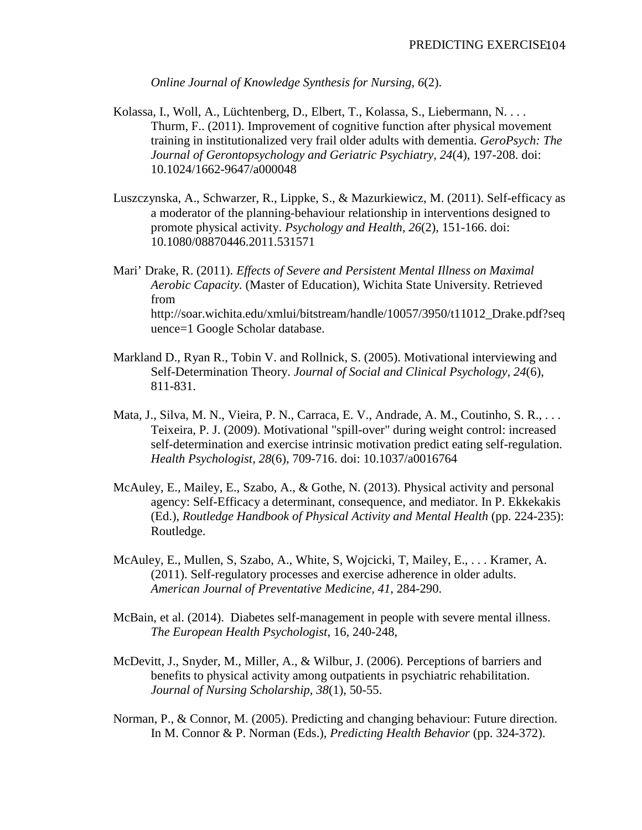*Online Journal of Knowledge Synthesis for Nursing, 6*(2).

- Kolassa, I., Woll, A., Lüchtenberg, D., Elbert, T., Kolassa, S., Liebermann, N. . . . Thurm, F.. (2011). Improvement of cognitive function after physical movement training in institutionalized very frail older adults with dementia. *GeroPsych: The Journal of Gerontopsychology and Geriatric Psychiatry, 24*(4), 197-208. doi: 10.1024/1662-9647/a000048
- Luszczynska, A., Schwarzer, R., Lippke, S., & Mazurkiewicz, M. (2011). Self-efficacy as a moderator of the planning-behaviour relationship in interventions designed to promote physical activity. *Psychology and Health, 26*(2), 151-166. doi: 10.1080/08870446.2011.531571
- Mari' Drake, R. (2011). *Effects of Severe and Persistent Mental Illness on Maximal Aerobic Capacity.* (Master of Education), Wichita State University. Retrieved from http://soar.wichita.edu/xmlui/bitstream/handle/10057/3950/t11012\_Drake.pdf?seq uence=1 Google Scholar database.
- Markland D., Ryan R., Tobin V. and Rollnick, S. (2005). Motivational interviewing and Self-Determination Theory. *Journal of Social and Clinical Psychology, 24*(6), 811-831.
- Mata, J., Silva, M. N., Vieira, P. N., Carraca, E. V., Andrade, A. M., Coutinho, S. R., ... Teixeira, P. J. (2009). Motivational "spill-over" during weight control: increased self-determination and exercise intrinsic motivation predict eating self-regulation. *Health Psychologist, 28*(6), 709-716. doi: 10.1037/a0016764
- McAuley, E., Mailey, E., Szabo, A., & Gothe, N. (2013). Physical activity and personal agency: Self-Efficacy a determinant, consequence, and mediator. In P. Ekkekakis (Ed.), *Routledge Handbook of Physical Activity and Mental Health* (pp. 224-235): Routledge.
- McAuley, E., Mullen, S, Szabo, A., White, S, Wojcicki, T, Mailey, E., . . . Kramer, A. (2011). Self-regulatory processes and exercise adherence in older adults. *American Journal of Preventative Medicine, 41*, 284-290.
- McBain, et al. (2014). Diabetes self-management in people with severe mental illness. *The European Health Psychologist*, 16, 240-248,
- McDevitt, J., Snyder, M., Miller, A., & Wilbur, J. (2006). Perceptions of barriers and benefits to physical activity among outpatients in psychiatric rehabilitation. *Journal of Nursing Scholarship, 38*(1), 50-55.
- Norman, P., & Connor, M. (2005). Predicting and changing behaviour: Future direction. In M. Connor & P. Norman (Eds.), *Predicting Health Behavior* (pp. 324-372).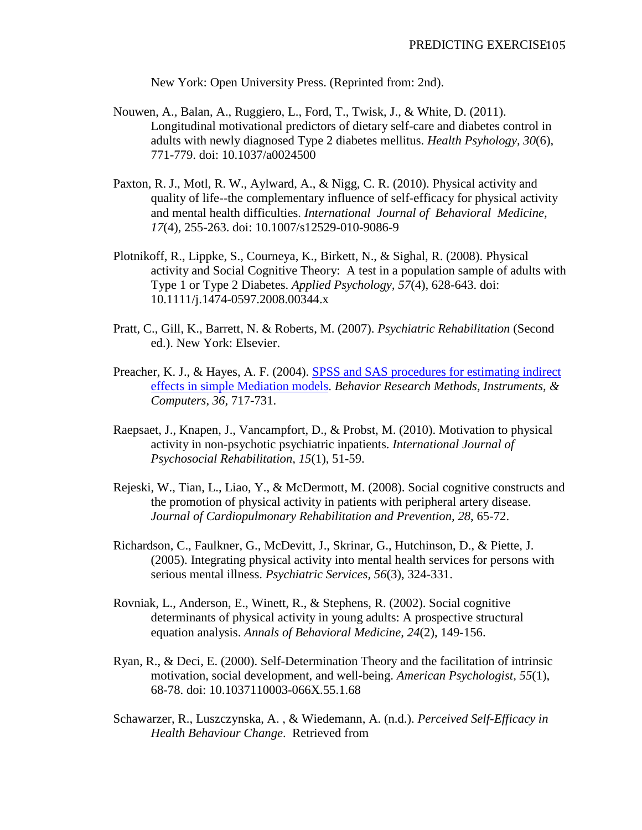New York: Open University Press. (Reprinted from: 2nd).

- Nouwen, A., Balan, A., Ruggiero, L., Ford, T., Twisk, J., & White, D. (2011). Longitudinal motivational predictors of dietary self-care and diabetes control in adults with newly diagnosed Type 2 diabetes mellitus. *Health Psyhology, 30*(6), 771-779. doi: 10.1037/a0024500
- Paxton, R. J., Motl, R. W., Aylward, A., & Nigg, C. R. (2010). Physical activity and quality of life--the complementary influence of self-efficacy for physical activity and mental health difficulties. *International Journal of Behavioral Medicine, 17*(4), 255-263. doi: 10.1007/s12529-010-9086-9
- Plotnikoff, R., Lippke, S., Courneya, K., Birkett, N., & Sighal, R. (2008). Physical activity and Social Cognitive Theory: A test in a population sample of adults with Type 1 or Type 2 Diabetes. *Applied Psychology, 57*(4), 628-643. doi: 10.1111/j.1474-0597.2008.00344.x
- Pratt, C., Gill, K., Barrett, N. & Roberts, M. (2007). *Psychiatric Rehabilitation* (Second ed.). New York: Elsevier.
- Preacher, K. J., & Hayes, A. F. (2004). SPSS and SAS procedures for estimating indirect [effects in simple Mediation models.](http://quantpsy.org/pubs/preacher_hayes_2004.pdf) *Behavior Research Methods, Instruments, & Computers*, *36*, 717-731.
- Raepsaet, J., Knapen, J., Vancampfort, D., & Probst, M. (2010). Motivation to physical activity in non-psychotic psychiatric inpatients. *International Journal of Psychosocial Rehabilitation, 15*(1), 51-59.
- Rejeski, W., Tian, L., Liao, Y., & McDermott, M. (2008). Social cognitive constructs and the promotion of physical activity in patients with peripheral artery disease. *Journal of Cardiopulmonary Rehabilitation and Prevention, 28*, 65-72.
- Richardson, C., Faulkner, G., McDevitt, J., Skrinar, G., Hutchinson, D., & Piette, J. (2005). Integrating physical activity into mental health services for persons with serious mental illness. *Psychiatric Services, 56*(3), 324-331.
- Rovniak, L., Anderson, E., Winett, R., & Stephens, R. (2002). Social cognitive determinants of physical activity in young adults: A prospective structural equation analysis. *Annals of Behavioral Medicine, 24*(2), 149-156.
- Ryan, R., & Deci, E. (2000). Self-Determination Theory and the facilitation of intrinsic motivation, social development, and well-being. *American Psychologist, 55*(1), 68-78. doi: 10.1037110003-066X.55.1.68
- Schawarzer, R., Luszczynska, A. , & Wiedemann, A. (n.d.). *Perceived Self-Efficacy in Health Behaviour Change*. Retrieved from